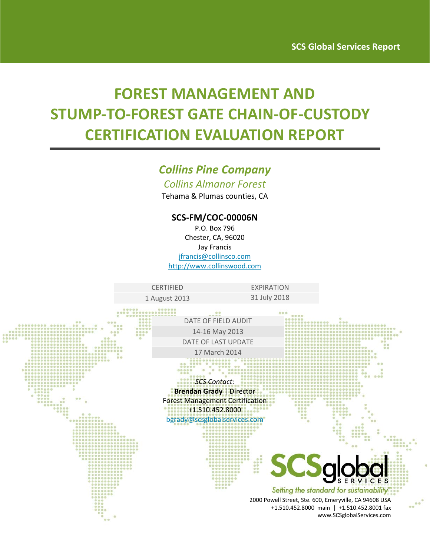# **FOREST MANAGEMENT AND STUMP‐TO‐FOREST GATE CHAIN‐OF‐CUSTODY CERTIFICATION EVALUATION REPORT**

# *Collins Pine Company*

*Collins Almanor Forest*

Tehama & Plumas counties, CA

### **SCS‐FM/COC‐00006N**

P.O. Box 796 Chester, CA, 96020 Jay Francis jfrancis@collinsco.com http://www.collinswood.com

CERTIFIED **EXPIRATION** 

1 August 2013 31 July 2018

 $0000000$ 

DATE OF FIELD AUDIT 14‐16 May 2013 DATE OF LAST UPDATE 17 March 2014

*SCS Contact:* **Brendan Grady** | Director Forest Management Certification +1.510.452.8000 bgrady@scsglobalservices.com



Setting the standard for sustainability'

2000 Powell Street, Ste. 600, Emeryville, CA 94608 USA +1.510.452.8000 main | +1.510.452.8001 fax www.SCSglobalServices.com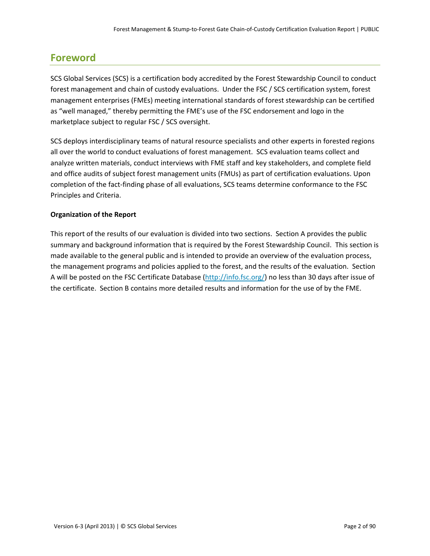# **Foreword**

SCS Global Services (SCS) is a certification body accredited by the Forest Stewardship Council to conduct forest management and chain of custody evaluations. Under the FSC / SCS certification system, forest management enterprises (FMEs) meeting international standards of forest stewardship can be certified as "well managed," thereby permitting the FME's use of the FSC endorsement and logo in the marketplace subject to regular FSC / SCS oversight.

SCS deploys interdisciplinary teams of natural resource specialists and other experts in forested regions all over the world to conduct evaluations of forest management. SCS evaluation teams collect and analyze written materials, conduct interviews with FME staff and key stakeholders, and complete field and office audits of subject forest management units (FMUs) as part of certification evaluations. Upon completion of the fact-finding phase of all evaluations, SCS teams determine conformance to the FSC Principles and Criteria.

#### **Organization of the Report**

This report of the results of our evaluation is divided into two sections. Section A provides the public summary and background information that is required by the Forest Stewardship Council. This section is made available to the general public and is intended to provide an overview of the evaluation process, the management programs and policies applied to the forest, and the results of the evaluation. Section A will be posted on the FSC Certificate Database (http://info.fsc.org/) no less than 30 days after issue of the certificate. Section B contains more detailed results and information for the use of by the FME.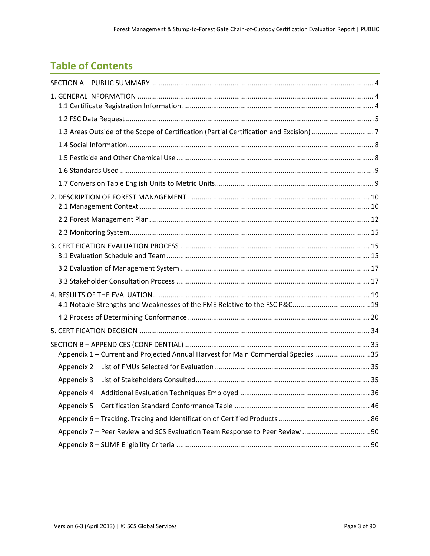# **Table of Contents**

| Appendix 1 - Current and Projected Annual Harvest for Main Commercial Species  35 |  |
|-----------------------------------------------------------------------------------|--|
|                                                                                   |  |
|                                                                                   |  |
|                                                                                   |  |
|                                                                                   |  |
|                                                                                   |  |
|                                                                                   |  |
|                                                                                   |  |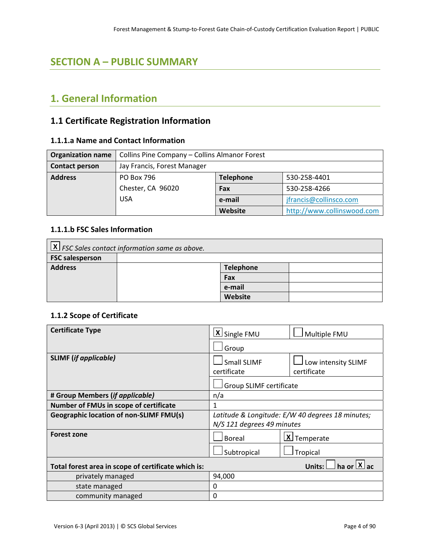# **SECTION A – PUBLIC SUMMARY**

# **1. General Information**

# **1.1 Certificate Registration Information**

#### **1.1.1.a Name and Contact Information**

| <b>Organization name</b> | Collins Pine Company - Collins Almanor Forest  |  |  |  |  |
|--------------------------|------------------------------------------------|--|--|--|--|
| <b>Contact person</b>    | Jay Francis, Forest Manager                    |  |  |  |  |
| <b>Address</b>           | PO Box 796<br><b>Telephone</b><br>530-258-4401 |  |  |  |  |
|                          | Chester, CA 96020<br>530-258-4266<br>Fax       |  |  |  |  |
|                          | <b>USA</b><br>jfrancis@collinsco.com<br>e-mail |  |  |  |  |
|                          | Website<br>http://www.collinswood.com          |  |  |  |  |

### **1.1.1.b FSC Sales Information**

| $\lfloor x \rfloor$ FSC Sales contact information same as above. |  |         |  |  |
|------------------------------------------------------------------|--|---------|--|--|
| <b>FSC salesperson</b>                                           |  |         |  |  |
| <b>Address</b><br><b>Telephone</b>                               |  |         |  |  |
|                                                                  |  | Fax     |  |  |
|                                                                  |  | e-mail  |  |  |
|                                                                  |  | Website |  |  |

#### **1.1.2 Scope of Certificate**

| <b>Certificate Type</b>                             | X Single FMU                                     | Multiple FMU               |  |
|-----------------------------------------------------|--------------------------------------------------|----------------------------|--|
|                                                     | Group                                            |                            |  |
| <b>SLIMF</b> (if applicable)                        | <b>Small SLIMF</b><br>Low intensity SLIMF        |                            |  |
|                                                     | certificate                                      | certificate                |  |
|                                                     | Group SLIMF certificate                          |                            |  |
| # Group Members (if applicable)                     | n/a                                              |                            |  |
| <b>Number of FMUs in scope of certificate</b>       | 1                                                |                            |  |
| <b>Geographic location of non-SLIMF FMU(s)</b>      | Latitude & Longitude: E/W 40 degrees 18 minutes; |                            |  |
|                                                     | N/S 121 degrees 49 minutes                       |                            |  |
| <b>Forest zone</b>                                  | <b>Boreal</b>                                    | $X$ Temperate              |  |
|                                                     | Subtropical<br>Tropical                          |                            |  |
| Total forest area in scope of certificate which is: |                                                  | Units: $\Box$ ha or $X$ ac |  |
| privately managed                                   | 94,000                                           |                            |  |
| state managed                                       | 0                                                |                            |  |
| community managed                                   | 0                                                |                            |  |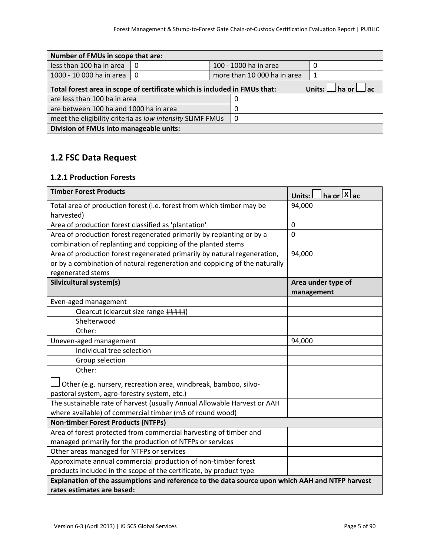| Number of FMUs in scope that are:                                                                          |     |   |                             |  |
|------------------------------------------------------------------------------------------------------------|-----|---|-----------------------------|--|
| less than 100 ha in area                                                                                   | - 0 |   | 100 - 1000 ha in area       |  |
| 1000 - 10 000 ha in area                                                                                   | -0  |   | more than 10 000 ha in area |  |
| Units: $\Box$ ha or $\Box$ ac<br>Total forest area in scope of certificate which is included in FMUs that: |     |   |                             |  |
| are less than 100 ha in area                                                                               |     | O |                             |  |
| are between 100 ha and 1000 ha in area<br>0                                                                |     |   |                             |  |
| meet the eligibility criteria as low intensity SLIMF FMUs<br>0                                             |     |   |                             |  |
| Division of FMUs into manageable units:                                                                    |     |   |                             |  |
|                                                                                                            |     |   |                             |  |

### **1.2 FSC Data Request**

#### **1.2.1 Production Forests**

| <b>Timber Forest Products</b>                                                                   | ha or $X$ ac<br>Units:           |
|-------------------------------------------------------------------------------------------------|----------------------------------|
| Total area of production forest (i.e. forest from which timber may be<br>harvested)             | 94,000                           |
| Area of production forest classified as 'plantation'                                            | $\Omega$                         |
| Area of production forest regenerated primarily by replanting or by a                           | $\mathbf 0$                      |
| combination of replanting and coppicing of the planted stems                                    |                                  |
| Area of production forest regenerated primarily by natural regeneration,                        | 94,000                           |
| or by a combination of natural regeneration and coppicing of the naturally                      |                                  |
| regenerated stems                                                                               |                                  |
| Silvicultural system(s)                                                                         | Area under type of<br>management |
| Even-aged management                                                                            |                                  |
| Clearcut (clearcut size range #####)                                                            |                                  |
| Shelterwood                                                                                     |                                  |
| Other:                                                                                          |                                  |
| Uneven-aged management                                                                          | 94,000                           |
| Individual tree selection                                                                       |                                  |
| Group selection                                                                                 |                                  |
| Other:                                                                                          |                                  |
| Other (e.g. nursery, recreation area, windbreak, bamboo, silvo-                                 |                                  |
| pastoral system, agro-forestry system, etc.)                                                    |                                  |
| The sustainable rate of harvest (usually Annual Allowable Harvest or AAH                        |                                  |
| where available) of commercial timber (m3 of round wood)                                        |                                  |
| <b>Non-timber Forest Products (NTFPs)</b>                                                       |                                  |
| Area of forest protected from commercial harvesting of timber and                               |                                  |
| managed primarily for the production of NTFPs or services                                       |                                  |
| Other areas managed for NTFPs or services                                                       |                                  |
| Approximate annual commercial production of non-timber forest                                   |                                  |
| products included in the scope of the certificate, by product type                              |                                  |
| Explanation of the assumptions and reference to the data source upon which AAH and NTFP harvest |                                  |
| rates estimates are based:                                                                      |                                  |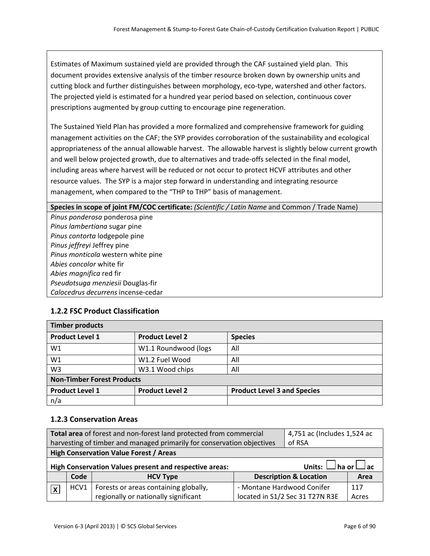Estimates of Maximum sustained yield are provided through the CAF sustained yield plan. This document provides extensive analysis of the timber resource broken down by ownership units and cutting block and further distinguishes between morphology, eco-type, watershed and other factors. The projected yield is estimated for a hundred year period based on selection, continuous cover prescriptions augmented by group cutting to encourage pine regeneration.

The Sustained Yield Plan has provided a more formalized and comprehensive framework for guiding management activities on the CAF; the SYP provides corroboration of the sustainability and ecological appropriateness of the annual allowable harvest. The allowable harvest is slightly below current growth and well below projected growth, due to alternatives and trade‐offs selected in the final model, including areas where harvest will be reduced or not occur to protect HCVF attributes and other resource values. The SYP is a major step forward in understanding and integrating resource management, when compared to the "THP to THP" basis of management.

**Species in scope of joint FM/COC certificate:** *(Scientific / Latin Name* and Common / Trade Name)

*Pinus ponderosa* ponderosa pine *Pinus lambertiana* sugar pine *Pinus contorta* lodgepole pine *Pinus jeffreyi* Jeffrey pine *Pinus monticola* western white pine *Abies concolor* white fir *Abies magnifica* red fir *Pseudotsuga menziesii* Douglas‐fir *Calocedrus decurrens* incense‐cedar

### **1.2.2 FSC Product Classification**

| <b>Timber products</b>            |                        |                                    |  |  |
|-----------------------------------|------------------------|------------------------------------|--|--|
| <b>Product Level 1</b>            | <b>Product Level 2</b> | <b>Species</b>                     |  |  |
| W1                                | W1.1 Roundwood (logs   | All                                |  |  |
| W1                                | W1.2 Fuel Wood         | All                                |  |  |
| W <sub>3</sub>                    | W3.1 Wood chips        | All                                |  |  |
| <b>Non-Timber Forest Products</b> |                        |                                    |  |  |
| <b>Product Level 1</b>            | <b>Product Level 2</b> | <b>Product Level 3 and Species</b> |  |  |
| n/a                               |                        |                                    |  |  |

#### **1.2.3 Conservation Areas**

| Total area of forest and non-forest land protected from commercial     |                                                                                         |                                               | 4,751 ac (Includes 1,524 ac       |                                 |       |
|------------------------------------------------------------------------|-----------------------------------------------------------------------------------------|-----------------------------------------------|-----------------------------------|---------------------------------|-------|
| harvesting of timber and managed primarily for conservation objectives |                                                                                         |                                               | of RSA                            |                                 |       |
|                                                                        |                                                                                         | <b>High Conservation Value Forest / Areas</b> |                                   |                                 |       |
|                                                                        | Units: $\Box$ ha or $\Box$ ac<br>High Conservation Values present and respective areas: |                                               |                                   |                                 |       |
| Code<br><b>Description &amp; Location</b><br><b>HCV Type</b>           |                                                                                         | Area                                          |                                   |                                 |       |
| $\overline{\mathbf{x}}$                                                | HCV1                                                                                    | Forests or areas containing globally,         | - Montane Hardwood Conifer<br>117 |                                 |       |
|                                                                        |                                                                                         | regionally or nationally significant          |                                   | located in S1/2 Sec 31 T27N R3E | Acres |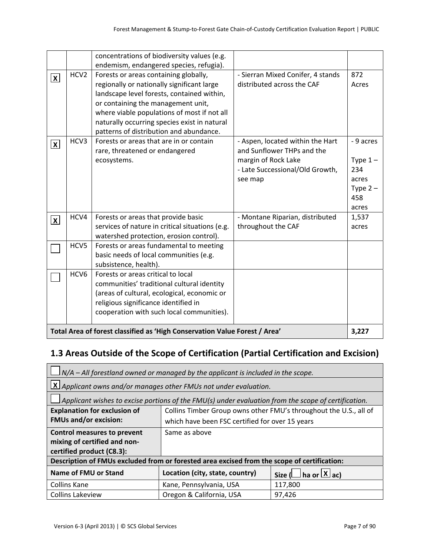|                 |                                                                            | concentrations of biodiversity values (e.g.<br>endemism, endangered species, refugia).                                                                                                                                                                                                                            |                                                                                                                                     |                                                                     |
|-----------------|----------------------------------------------------------------------------|-------------------------------------------------------------------------------------------------------------------------------------------------------------------------------------------------------------------------------------------------------------------------------------------------------------------|-------------------------------------------------------------------------------------------------------------------------------------|---------------------------------------------------------------------|
| $ \mathbf{x} $  | HCV <sub>2</sub>                                                           | Forests or areas containing globally,<br>regionally or nationally significant large<br>landscape level forests, contained within,<br>or containing the management unit,<br>where viable populations of most if not all<br>naturally occurring species exist in natural<br>patterns of distribution and abundance. | - Sierran Mixed Conifer, 4 stands<br>distributed across the CAF                                                                     | 872<br>Acres                                                        |
| $ \mathbf{x} $  | HCV3                                                                       | Forests or areas that are in or contain<br>rare, threatened or endangered<br>ecosystems.                                                                                                                                                                                                                          | - Aspen, located within the Hart<br>and Sunflower THPs and the<br>margin of Rock Lake<br>- Late Successional/Old Growth,<br>see map | - 9 acres<br>Type $1-$<br>234<br>acres<br>Type $2-$<br>458<br>acres |
| $\vert x \vert$ | HCV4                                                                       | Forests or areas that provide basic<br>services of nature in critical situations (e.g.<br>watershed protection, erosion control).                                                                                                                                                                                 | - Montane Riparian, distributed<br>throughout the CAF                                                                               | 1,537<br>acres                                                      |
|                 | HCV5                                                                       | Forests or areas fundamental to meeting<br>basic needs of local communities (e.g.<br>subsistence, health).                                                                                                                                                                                                        |                                                                                                                                     |                                                                     |
|                 | HCV <sub>6</sub>                                                           | Forests or areas critical to local<br>communities' traditional cultural identity<br>(areas of cultural, ecological, economic or<br>religious significance identified in<br>cooperation with such local communities).                                                                                              |                                                                                                                                     |                                                                     |
|                 | Total Area of forest classified as 'High Conservation Value Forest / Area' |                                                                                                                                                                                                                                                                                                                   |                                                                                                                                     |                                                                     |

# **1.3 Areas Outside of the Scope of Certification (Partial Certification and Excision)**

| $\vert$ N/A – All forestland owned or managed by the applicant is included in the scope.         |                                                                                                              |  |  |
|--------------------------------------------------------------------------------------------------|--------------------------------------------------------------------------------------------------------------|--|--|
|                                                                                                  | $\lfloor x \rfloor$ Applicant owns and/or manages other FMUs not under evaluation.                           |  |  |
|                                                                                                  | $\Delta$ Applicant wishes to excise portions of the FMU(s) under evaluation from the scope of certification. |  |  |
| <b>Explanation for exclusion of</b>                                                              | Collins Timber Group owns other FMU's throughout the U.S., all of                                            |  |  |
| <b>FMUs and/or excision:</b>                                                                     | which have been FSC certified for over 15 years                                                              |  |  |
| <b>Control measures to prevent</b>                                                               | Same as above                                                                                                |  |  |
| mixing of certified and non-                                                                     |                                                                                                              |  |  |
| certified product (C8.3):                                                                        |                                                                                                              |  |  |
|                                                                                                  | Description of FMUs excluded from or forested area excised from the scope of certification:                  |  |  |
| <b>Name of FMU or Stand</b><br>Location (city, state, country)<br>Size ( $\Box$ ha or $\Box$ ac) |                                                                                                              |  |  |
| <b>Collins Kane</b>                                                                              | Kane, Pennsylvania, USA<br>117,800                                                                           |  |  |
| <b>Collins Lakeview</b><br>Oregon & California, USA<br>97,426                                    |                                                                                                              |  |  |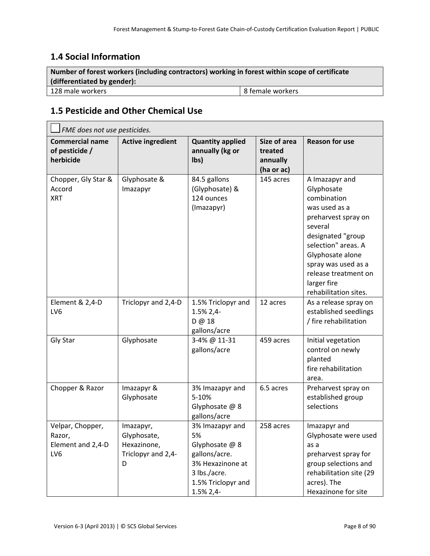# **1.4 Social Information**

| Number of forest workers (including contractors) working in forest within scope of certificate |  |  |  |
|------------------------------------------------------------------------------------------------|--|--|--|
| (differentiated by gender):                                                                    |  |  |  |
| 8 female workers<br>l 128 male workers                                                         |  |  |  |

# **1.5 Pesticide and Other Chemical Use**

| FME does not use pesticides.                           |                                                                    |                                                                                                                                 |                                                   |                                                                                                                                                                                                                                                       |  |
|--------------------------------------------------------|--------------------------------------------------------------------|---------------------------------------------------------------------------------------------------------------------------------|---------------------------------------------------|-------------------------------------------------------------------------------------------------------------------------------------------------------------------------------------------------------------------------------------------------------|--|
| <b>Commercial name</b><br>of pesticide /<br>herbicide  | <b>Active ingredient</b>                                           | <b>Quantity applied</b><br>annually (kg or<br>lbs)                                                                              | Size of area<br>treated<br>annually<br>(ha or ac) | <b>Reason for use</b>                                                                                                                                                                                                                                 |  |
| Chopper, Gly Star &<br>Accord<br><b>XRT</b>            | Glyphosate &<br>Imazapyr                                           | 84.5 gallons<br>(Glyphosate) &<br>124 ounces<br>(Imazapyr)                                                                      | 145 acres                                         | A Imazapyr and<br>Glyphosate<br>combination<br>was used as a<br>preharvest spray on<br>several<br>designated "group<br>selection" areas. A<br>Glyphosate alone<br>spray was used as a<br>release treatment on<br>larger fire<br>rehabilitation sites. |  |
| Element & 2,4-D<br>LV <sub>6</sub>                     | Triclopyr and 2,4-D                                                | 1.5% Triclopyr and<br>1.5% 2,4-<br>D@18<br>gallons/acre                                                                         | 12 acres                                          | As a release spray on<br>established seedlings<br>/ fire rehabilitation                                                                                                                                                                               |  |
| Gly Star                                               | Glyphosate                                                         | 3-4% @ 11-31<br>gallons/acre                                                                                                    | 459 acres                                         | Initial vegetation<br>control on newly<br>planted<br>fire rehabilitation<br>area.                                                                                                                                                                     |  |
| Chopper & Razor                                        | Imazapyr &<br>Glyphosate                                           | 3% Imazapyr and<br>5-10%<br>Glyphosate @ 8<br>gallons/acre                                                                      | 6.5 acres                                         | Preharvest spray on<br>established group<br>selections                                                                                                                                                                                                |  |
| Velpar, Chopper,<br>Razor.<br>Element and 2,4-D<br>LV6 | Imazapyr,<br>Glyphosate,<br>Hexazinone,<br>Triclopyr and 2,4-<br>D | 3% Imazapyr and<br>5%<br>Glyphosate @ 8<br>gallons/acre.<br>3% Hexazinone at<br>3 lbs./acre.<br>1.5% Triclopyr and<br>1.5% 2,4- | 258 acres                                         | Imazapyr and<br>Glyphosate were used<br>as a<br>preharvest spray for<br>group selections and<br>rehabilitation site (29<br>acres). The<br>Hexazinone for site                                                                                         |  |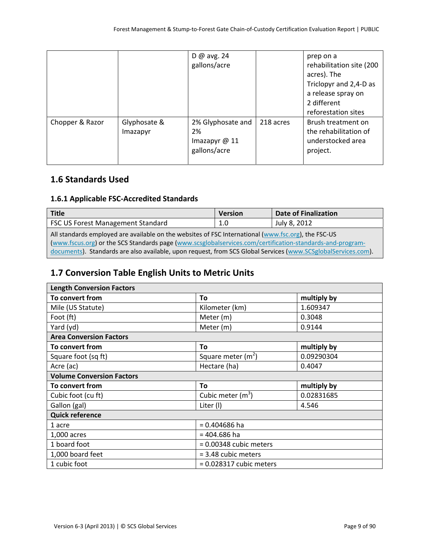|                 |                          | D @ avg. $24$<br>gallons/acre                            |           | prep on a<br>rehabilitation site (200<br>acres). The<br>Triclopyr and 2,4-D as<br>a release spray on<br>2 different<br>reforestation sites |
|-----------------|--------------------------|----------------------------------------------------------|-----------|--------------------------------------------------------------------------------------------------------------------------------------------|
| Chopper & Razor | Glyphosate &<br>Imazapyr | 2% Glyphosate and<br>2%<br>Imazapyr @ 11<br>gallons/acre | 218 acres | Brush treatment on<br>the rehabilitation of<br>understocked area<br>project.                                                               |

### **1.6 Standards Used**

### **1.6.1 Applicable FSC‐Accredited Standards**

| <b>Title</b>                                                                                                  | <b>Version</b> | <b>Date of Finalization</b> |  |
|---------------------------------------------------------------------------------------------------------------|----------------|-----------------------------|--|
| FSC US Forest Management Standard                                                                             | 1.0            | July 8, 2012                |  |
| All standards employed are available on the websites of FSC International (www.fsc.org), the FSC-US           |                |                             |  |
| (www.fscus.org) or the SCS Standards page (www.scsglobalservices.com/certification-standards-and-program-     |                |                             |  |
| documents). Standards are also available, upon request, from SCS Global Services (www.SCSglobalServices.com). |                |                             |  |

# **1.7 Conversion Table English Units to Metric Units**

| <b>Length Conversion Factors</b> |                           |             |  |
|----------------------------------|---------------------------|-------------|--|
| To convert from                  | To                        | multiply by |  |
| Mile (US Statute)                | Kilometer (km)            | 1.609347    |  |
| Foot (ft)                        | Meter (m)                 | 0.3048      |  |
| Yard (yd)                        | Meter (m)                 | 0.9144      |  |
| <b>Area Conversion Factors</b>   |                           |             |  |
| To convert from                  | To                        | multiply by |  |
| Square foot (sq ft)              | Square meter $(m2)$       | 0.09290304  |  |
| Acre (ac)                        | Hectare (ha)              | 0.4047      |  |
| <b>Volume Conversion Factors</b> |                           |             |  |
| To convert from                  | To                        | multiply by |  |
| Cubic foot (cu ft)               | Cubic meter $(m^3)$       | 0.02831685  |  |
| Gallon (gal)                     | Liter (I)                 | 4.546       |  |
| <b>Quick reference</b>           |                           |             |  |
| 1 acre                           | $= 0.404686$ ha           |             |  |
| 1,000 acres                      | $= 404.686$ ha            |             |  |
| 1 board foot                     | $= 0.00348$ cubic meters  |             |  |
| 1,000 board feet                 | $=$ 3.48 cubic meters     |             |  |
| 1 cubic foot                     | $= 0.028317$ cubic meters |             |  |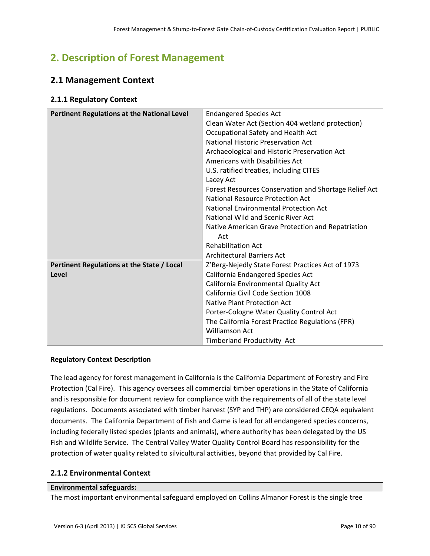# **2. Description of Forest Management**

### **2.1 Management Context**

#### **2.1.1 Regulatory Context**

| Pertinent Regulations at the National Level | <b>Endangered Species Act</b>                         |  |
|---------------------------------------------|-------------------------------------------------------|--|
|                                             | Clean Water Act (Section 404 wetland protection)      |  |
|                                             | Occupational Safety and Health Act                    |  |
|                                             | <b>National Historic Preservation Act</b>             |  |
|                                             | Archaeological and Historic Preservation Act          |  |
|                                             | Americans with Disabilities Act                       |  |
|                                             | U.S. ratified treaties, including CITES               |  |
|                                             | Lacey Act                                             |  |
|                                             | Forest Resources Conservation and Shortage Relief Act |  |
|                                             | <b>National Resource Protection Act</b>               |  |
|                                             | National Environmental Protection Act                 |  |
|                                             | National Wild and Scenic River Act                    |  |
|                                             | Native American Grave Protection and Repatriation     |  |
|                                             | Act                                                   |  |
|                                             | <b>Rehabilitation Act</b>                             |  |
|                                             | <b>Architectural Barriers Act</b>                     |  |
| Pertinent Regulations at the State / Local  | Z'Berg-Nejedly State Forest Practices Act of 1973     |  |
| Level                                       | California Endangered Species Act                     |  |
|                                             | California Environmental Quality Act                  |  |
|                                             | California Civil Code Section 1008                    |  |
|                                             | Native Plant Protection Act                           |  |
|                                             | Porter-Cologne Water Quality Control Act              |  |
|                                             | The California Forest Practice Regulations (FPR)      |  |
|                                             | Williamson Act                                        |  |
|                                             | Timberland Productivity Act                           |  |

#### **Regulatory Context Description**

The lead agency for forest management in California is the California Department of Forestry and Fire Protection (Cal Fire). This agency oversees all commercial timber operations in the State of California and is responsible for document review for compliance with the requirements of all of the state level regulations. Documents associated with timber harvest (SYP and THP) are considered CEQA equivalent documents. The California Department of Fish and Game is lead for all endangered species concerns, including federally listed species (plants and animals), where authority has been delegated by the US Fish and Wildlife Service. The Central Valley Water Quality Control Board has responsibility for the protection of water quality related to silvicultural activities, beyond that provided by Cal Fire.

#### **2.1.2 Environmental Context**

#### **Environmental safeguards:**

The most important environmental safeguard employed on Collins Almanor Forest is the single tree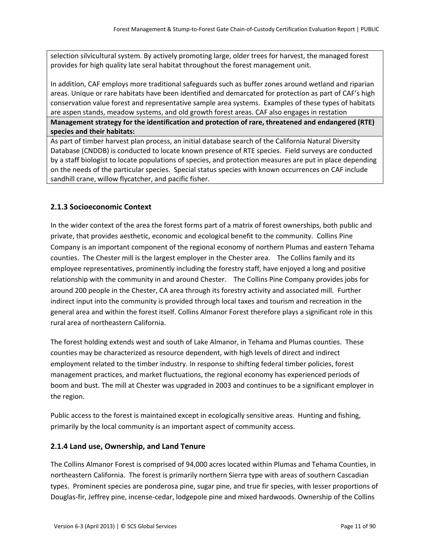selection silvicultural system. By actively promoting large, older trees for harvest, the managed forest provides for high quality late seral habitat throughout the forest management unit.

In addition, CAF employs more traditional safeguards such as buffer zones around wetland and riparian areas. Unique or rare habitats have been identified and demarcated for protection as part of CAF's high conservation value forest and representative sample area systems. Examples of these types of habitats are aspen stands, meadow systems, and old growth forest areas. CAF also engages in restation

**Management strategy for the identification and protection of rare, threatened and endangered (RTE) species and their habitats:**

As part of timber harvest plan process, an initial database search of the California Natural Diversity Database (CNDDB) is conducted to locate known presence of RTE species. Field surveys are conducted by a staff biologist to locate populations of species, and protection measures are put in place depending on the needs of the particular species. Special status species with known occurrences on CAF include sandhill crane, willow flycatcher, and pacific fisher.

#### **2.1.3 Socioeconomic Context**

In the wider context of the area the forest forms part of a matrix of forest ownerships, both public and private, that provides aesthetic, economic and ecological benefit to the community. Collins Pine Company is an important component of the regional economy of northern Plumas and eastern Tehama counties. The Chester mill is the largest employer in the Chester area. The Collins family and its employee representatives, prominently including the forestry staff, have enjoyed a long and positive relationship with the community in and around Chester. The Collins Pine Company provides jobs for around 200 people in the Chester, CA area through its forestry activity and associated mill. Further indirect input into the community is provided through local taxes and tourism and recreation in the general area and within the forest itself. Collins Almanor Forest therefore plays a significant role in this rural area of northeastern California.

The forest holding extends west and south of Lake Almanor, in Tehama and Plumas counties. These counties may be characterized as resource dependent, with high levels of direct and indirect employment related to the timber industry. In response to shifting federal timber policies, forest management practices, and market fluctuations, the regional economy has experienced periods of boom and bust. The mill at Chester was upgraded in 2003 and continues to be a significant employer in the region.

Public access to the forest is maintained except in ecologically sensitive areas. Hunting and fishing, primarily by the local community is an important aspect of community access.

#### **2.1.4 Land use, Ownership, and Land Tenure**

The Collins Almanor Forest is comprised of 94,000 acres located within Plumas and Tehama Counties, in northeastern California. The forest is primarily northern Sierra type with areas of southern Cascadian types. Prominent species are ponderosa pine, sugar pine, and true fir species, with lesser proportions of Douglas‐fir, Jeffrey pine, incense‐cedar, lodgepole pine and mixed hardwoods. Ownership of the Collins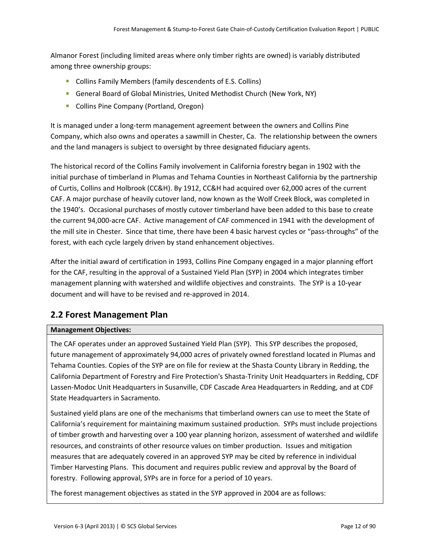Almanor Forest (including limited areas where only timber rights are owned) is variably distributed among three ownership groups:

- Collins Family Members (family descendents of E.S. Collins)
- General Board of Global Ministries, United Methodist Church (New York, NY)
- **Collins Pine Company (Portland, Oregon)**

It is managed under a long‐term management agreement between the owners and Collins Pine Company, which also owns and operates a sawmill in Chester, Ca. The relationship between the owners and the land managers is subject to oversight by three designated fiduciary agents.

The historical record of the Collins Family involvement in California forestry began in 1902 with the initial purchase of timberland in Plumas and Tehama Counties in Northeast California by the partnership of Curtis, Collins and Holbrook (CC&H). By 1912, CC&H had acquired over 62,000 acres of the current CAF. A major purchase of heavily cutover land, now known as the Wolf Creek Block, was completed in the 1940's. Occasional purchases of mostly cutover timberland have been added to this base to create the current 94,000‐acre CAF. Active management of CAF commenced in 1941 with the development of the mill site in Chester. Since that time, there have been 4 basic harvest cycles or "pass-throughs" of the forest, with each cycle largely driven by stand enhancement objectives.

After the initial award of certification in 1993, Collins Pine Company engaged in a major planning effort for the CAF, resulting in the approval of a Sustained Yield Plan (SYP) in 2004 which integrates timber management planning with watershed and wildlife objectives and constraints. The SYP is a 10‐year document and will have to be revised and re‐approved in 2014.

# **2.2 Forest Management Plan**

#### **Management Objectives:**

The CAF operates under an approved Sustained Yield Plan (SYP). This SYP describes the proposed, future management of approximately 94,000 acres of privately owned forestland located in Plumas and Tehama Counties. Copies of the SYP are on file for review at the Shasta County Library in Redding, the California Department of Forestry and Fire Protection's Shasta‐Trinity Unit Headquarters in Redding, CDF Lassen‐Modoc Unit Headquarters in Susanville, CDF Cascade Area Headquarters in Redding, and at CDF State Headquarters in Sacramento.

Sustained yield plans are one of the mechanisms that timberland owners can use to meet the State of California's requirement for maintaining maximum sustained production. SYPs must include projections of timber growth and harvesting over a 100 year planning horizon, assessment of watershed and wildlife resources, and constraints of other resource values on timber production. Issues and mitigation measures that are adequately covered in an approved SYP may be cited by reference in individual Timber Harvesting Plans. This document and requires public review and approval by the Board of forestry. Following approval, SYPs are in force for a period of 10 years.

The forest management objectives as stated in the SYP approved in 2004 are as follows: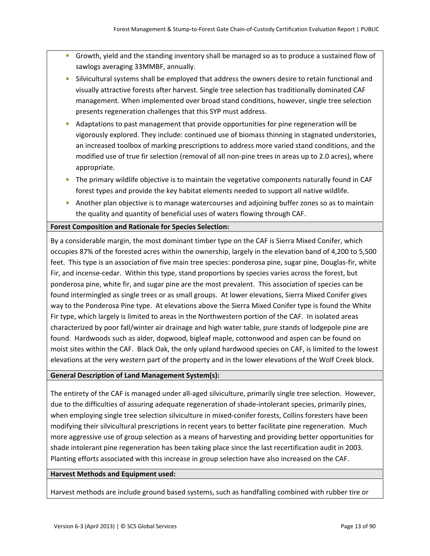- Growth, yield and the standing inventory shall be managed so as to produce a sustained flow of sawlogs averaging 33MMBF, annually.
- Silvicultural systems shall be employed that address the owners desire to retain functional and visually attractive forests after harvest. Single tree selection has traditionally dominated CAF management. When implemented over broad stand conditions, however, single tree selection presents regeneration challenges that this SYP must address.
- Adaptations to past management that provide opportunities for pine regeneration will be vigorously explored. They include: continued use of biomass thinning in stagnated understories, an increased toolbox of marking prescriptions to address more varied stand conditions, and the modified use of true fir selection (removal of all non-pine trees in areas up to 2.0 acres), where appropriate.
- **The primary wildlife objective is to maintain the vegetative components naturally found in CAF** forest types and provide the key habitat elements needed to support all native wildlife.
- **Another plan objective is to manage watercourses and adjoining buffer zones so as to maintain** the quality and quantity of beneficial uses of waters flowing through CAF.

#### **Forest Composition and Rationale for Species Selection:**

By a considerable margin, the most dominant timber type on the CAF is Sierra Mixed Conifer, which occupies 87% of the forested acres within the ownership, largely in the elevation band of 4,200 to 5,500 feet. This type is an association of five main tree species: ponderosa pine, sugar pine, Douglas‐fir, white Fir, and incense-cedar. Within this type, stand proportions by species varies across the forest, but ponderosa pine, white fir, and sugar pine are the most prevalent. This association of species can be found intermingled as single trees or as small groups. At lower elevations, Sierra Mixed Conifer gives way to the Ponderosa Pine type. At elevations above the Sierra Mixed Conifer type is found the White Fir type, which largely is limited to areas in the Northwestern portion of the CAF. In isolated areas characterized by poor fall/winter air drainage and high water table, pure stands of lodgepole pine are found. Hardwoods such as alder, dogwood, bigleaf maple, cottonwood and aspen can be found on moist sites within the CAF. Black Oak, the only upland hardwood species on CAF, is limited to the lowest elevations at the very western part of the property and in the lower elevations of the Wolf Creek block.

#### **General Description of Land Management System(s):**

The entirety of the CAF is managed under all-aged silviculture, primarily single tree selection. However, due to the difficulties of assuring adequate regeneration of shade‐intolerant species, primarily pines, when employing single tree selection silviculture in mixed-conifer forests, Collins foresters have been modifying their silvicultural prescriptions in recent years to better facilitate pine regeneration. Much more aggressive use of group selection as a means of harvesting and providing better opportunities for shade intolerant pine regeneration has been taking place since the last recertification audit in 2003. Planting efforts associated with this increase in group selection have also increased on the CAF.

#### **Harvest Methods and Equipment used:**

Harvest methods are include ground based systems, such as handfalling combined with rubber tire or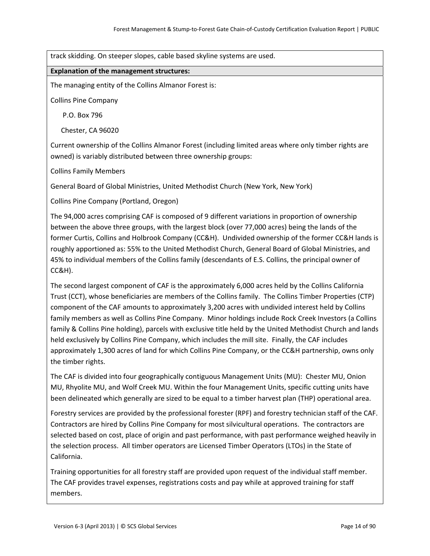track skidding. On steeper slopes, cable based skyline systems are used.

#### **Explanation of the management structures:**

The managing entity of the Collins Almanor Forest is:

Collins Pine Company

P.O. Box 796

Chester, CA 96020

Current ownership of the Collins Almanor Forest (including limited areas where only timber rights are owned) is variably distributed between three ownership groups:

Collins Family Members

General Board of Global Ministries, United Methodist Church (New York, New York)

Collins Pine Company (Portland, Oregon)

The 94,000 acres comprising CAF is composed of 9 different variations in proportion of ownership between the above three groups, with the largest block (over 77,000 acres) being the lands of the former Curtis, Collins and Holbrook Company (CC&H). Undivided ownership of the former CC&H lands is roughly apportioned as: 55% to the United Methodist Church, General Board of Global Ministries, and 45% to individual members of the Collins family (descendants of E.S. Collins, the principal owner of CC&H).

The second largest component of CAF is the approximately 6,000 acres held by the Collins California Trust (CCT), whose beneficiaries are members of the Collins family. The Collins Timber Properties (CTP) component of the CAF amounts to approximately 3,200 acres with undivided interest held by Collins family members as well as Collins Pine Company. Minor holdings include Rock Creek Investors (a Collins family & Collins Pine holding), parcels with exclusive title held by the United Methodist Church and lands held exclusively by Collins Pine Company, which includes the mill site. Finally, the CAF includes approximately 1,300 acres of land for which Collins Pine Company, or the CC&H partnership, owns only the timber rights.

The CAF is divided into four geographically contiguous Management Units (MU): Chester MU, Onion MU, Rhyolite MU, and Wolf Creek MU. Within the four Management Units, specific cutting units have been delineated which generally are sized to be equal to a timber harvest plan (THP) operational area.

Forestry services are provided by the professional forester (RPF) and forestry technician staff of the CAF. Contractors are hired by Collins Pine Company for most silvicultural operations. The contractors are selected based on cost, place of origin and past performance, with past performance weighed heavily in the selection process. All timber operators are Licensed Timber Operators (LTOs) in the State of California.

Training opportunities for all forestry staff are provided upon request of the individual staff member. The CAF provides travel expenses, registrations costs and pay while at approved training for staff members.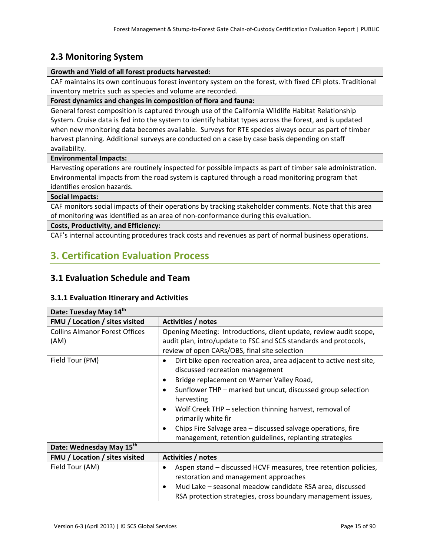# **2.3 Monitoring System**

#### **Growth and Yield of all forest products harvested:**

CAF maintains its own continuous forest inventory system on the forest, with fixed CFI plots. Traditional inventory metrics such as species and volume are recorded.

**Forest dynamics and changes in composition of flora and fauna:**

General forest composition is captured through use of the California Wildlife Habitat Relationship System. Cruise data is fed into the system to identify habitat types across the forest, and is updated when new monitoring data becomes available. Surveys for RTE species always occur as part of timber harvest planning. Additional surveys are conducted on a case by case basis depending on staff availability.

#### **Environmental Impacts:**

Harvesting operations are routinely inspected for possible impacts as part of timber sale administration. Environmental impacts from the road system is captured through a road monitoring program that identifies erosion hazards.

#### **Social Impacts:**

CAF monitors social impacts of their operations by tracking stakeholder comments. Note that this area of monitoring was identified as an area of non‐conformance during this evaluation.

#### **Costs, Productivity, and Efficiency:**

CAF's internal accounting procedures track costs and revenues as part of normal business operations.

# **3. Certification Evaluation Process**

### **3.1 Evaluation Schedule and Team**

#### **3.1.1 Evaluation Itinerary and Activities**

| Date: Tuesday May 14th                |                                                                                                                    |  |
|---------------------------------------|--------------------------------------------------------------------------------------------------------------------|--|
| <b>FMU</b> / Location / sites visited | Activities / notes                                                                                                 |  |
| <b>Collins Almanor Forest Offices</b> | Opening Meeting: Introductions, client update, review audit scope,                                                 |  |
| (AM)                                  | audit plan, intro/update to FSC and SCS standards and protocols,<br>review of open CARs/OBS, final site selection  |  |
| Field Tour (PM)                       | Dirt bike open recreation area, area adjacent to active nest site,<br>$\bullet$<br>discussed recreation management |  |
|                                       | Bridge replacement on Warner Valley Road,<br>$\bullet$                                                             |  |
|                                       | Sunflower THP - marked but uncut, discussed group selection<br>$\bullet$<br>harvesting                             |  |
|                                       | Wolf Creek THP – selection thinning harvest, removal of<br>$\bullet$<br>primarily white fir                        |  |
|                                       | Chips Fire Salvage area - discussed salvage operations, fire<br>$\bullet$                                          |  |
|                                       | management, retention guidelines, replanting strategies                                                            |  |
| Date: Wednesday May 15th              |                                                                                                                    |  |
| FMU / Location / sites visited        | Activities / notes                                                                                                 |  |
| Field Tour (AM)                       | Aspen stand – discussed HCVF measures, tree retention policies,                                                    |  |
|                                       | restoration and management approaches                                                                              |  |
|                                       | Mud Lake - seasonal meadow candidate RSA area, discussed<br>$\bullet$                                              |  |
|                                       | RSA protection strategies, cross boundary management issues,                                                       |  |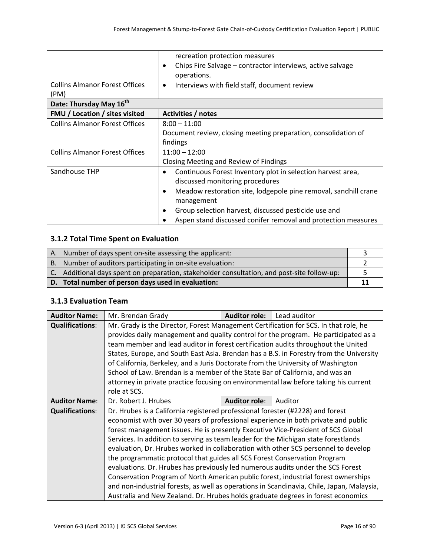|                                               | recreation protection measures                                       |  |
|-----------------------------------------------|----------------------------------------------------------------------|--|
|                                               | Chips Fire Salvage - contractor interviews, active salvage           |  |
|                                               | operations.                                                          |  |
| <b>Collins Almanor Forest Offices</b><br>(PM) | Interviews with field staff, document review<br>$\bullet$            |  |
| Date: Thursday May 16 <sup>th</sup>           |                                                                      |  |
| <b>FMU</b> / Location / sites visited         | Activities / notes                                                   |  |
| <b>Collins Almanor Forest Offices</b>         | $8:00 - 11:00$                                                       |  |
|                                               | Document review, closing meeting preparation, consolidation of       |  |
|                                               | findings                                                             |  |
| <b>Collins Almanor Forest Offices</b>         | $11:00 - 12:00$                                                      |  |
|                                               | Closing Meeting and Review of Findings                               |  |
| Sandhouse THP                                 | Continuous Forest Inventory plot in selection harvest area,<br>٠     |  |
|                                               | discussed monitoring procedures                                      |  |
|                                               | Meadow restoration site, lodgepole pine removal, sandhill crane<br>٠ |  |
|                                               | management                                                           |  |
|                                               | Group selection harvest, discussed pesticide use and                 |  |
|                                               | Aspen stand discussed conifer removal and protection measures        |  |

#### **3.1.2 Total Time Spent on Evaluation**

| Number of days spent on-site assessing the applicant:                                       |  |
|---------------------------------------------------------------------------------------------|--|
| B. Number of auditors participating in on-site evaluation:                                  |  |
| C. Additional days spent on preparation, stakeholder consultation, and post-site follow-up: |  |
| D. Total number of person days used in evaluation:                                          |  |

#### **3.1.3 Evaluation Team**

| <b>Auditor Name:</b>   | Mr. Brendan Grady                                                                         | <b>Auditor role:</b> | Lead auditor |  |
|------------------------|-------------------------------------------------------------------------------------------|----------------------|--------------|--|
| <b>Qualifications:</b> | Mr. Grady is the Director, Forest Management Certification for SCS. In that role, he      |                      |              |  |
|                        | provides daily management and quality control for the program. He participated as a       |                      |              |  |
|                        | team member and lead auditor in forest certification audits throughout the United         |                      |              |  |
|                        | States, Europe, and South East Asia. Brendan has a B.S. in Forestry from the University   |                      |              |  |
|                        | of California, Berkeley, and a Juris Doctorate from the University of Washington          |                      |              |  |
|                        | School of Law. Brendan is a member of the State Bar of California, and was an             |                      |              |  |
|                        | attorney in private practice focusing on environmental law before taking his current      |                      |              |  |
|                        | role at SCS.                                                                              |                      |              |  |
| <b>Auditor Name:</b>   | Dr. Robert J. Hrubes<br><b>Auditor role:</b><br>Auditor                                   |                      |              |  |
| <b>Qualifications:</b> | Dr. Hrubes is a California registered professional forester (#2228) and forest            |                      |              |  |
|                        | economist with over 30 years of professional experience in both private and public        |                      |              |  |
|                        | forest management issues. He is presently Executive Vice-President of SCS Global          |                      |              |  |
|                        | Services. In addition to serving as team leader for the Michigan state forestlands        |                      |              |  |
|                        | evaluation, Dr. Hrubes worked in collaboration with other SCS personnel to develop        |                      |              |  |
|                        | the programmatic protocol that guides all SCS Forest Conservation Program                 |                      |              |  |
|                        | evaluations. Dr. Hrubes has previously led numerous audits under the SCS Forest           |                      |              |  |
|                        | Conservation Program of North American public forest, industrial forest ownerships        |                      |              |  |
|                        | and non-industrial forests, as well as operations in Scandinavia, Chile, Japan, Malaysia, |                      |              |  |
|                        | Australia and New Zealand. Dr. Hrubes holds graduate degrees in forest economics          |                      |              |  |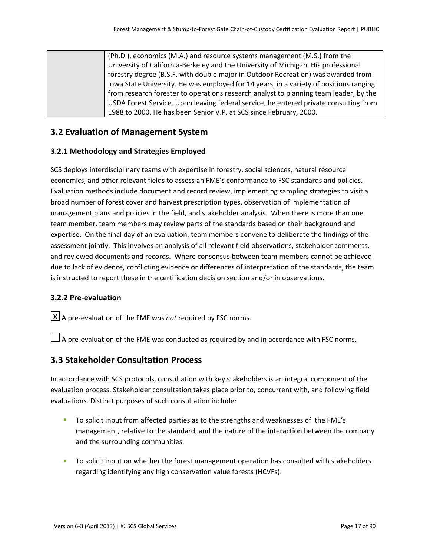(Ph.D.), economics (M.A.) and resource systems management (M.S.) from the University of California‐Berkeley and the University of Michigan. His professional forestry degree (B.S.F. with double major in Outdoor Recreation) was awarded from Iowa State University. He was employed for 14 years, in a variety of positions ranging from research forester to operations research analyst to planning team leader, by the USDA Forest Service. Upon leaving federal service, he entered private consulting from 1988 to 2000. He has been Senior V.P. at SCS since February, 2000.

### **3.2 Evaluation of Management System**

#### **3.2.1 Methodology and Strategies Employed**

SCS deploys interdisciplinary teams with expertise in forestry, social sciences, natural resource economics, and other relevant fields to assess an FME's conformance to FSC standards and policies. Evaluation methods include document and record review, implementing sampling strategies to visit a broad number of forest cover and harvest prescription types, observation of implementation of management plans and policies in the field, and stakeholder analysis. When there is more than one team member, team members may review parts of the standards based on their background and expertise. On the final day of an evaluation, team members convene to deliberate the findings of the assessment jointly. This involves an analysis of all relevant field observations, stakeholder comments, and reviewed documents and records. Where consensus between team members cannot be achieved due to lack of evidence, conflicting evidence or differences of interpretation of the standards, the team is instructed to report these in the certification decision section and/or in observations.

#### **3.2.2 Pre‐evaluation**

A pre‐evaluation of the FME *was not* required by FSC norms. **X**

 $\Box$  A pre-evaluation of the FME was conducted as required by and in accordance with FSC norms.

### **3.3 Stakeholder Consultation Process**

In accordance with SCS protocols, consultation with key stakeholders is an integral component of the evaluation process. Stakeholder consultation takes place prior to, concurrent with, and following field evaluations. Distinct purposes of such consultation include:

- To solicit input from affected parties as to the strengths and weaknesses of the FME's management, relative to the standard, and the nature of the interaction between the company and the surrounding communities.
- **The Solicit input on whether the forest management operation has consulted with stakeholders** regarding identifying any high conservation value forests (HCVFs).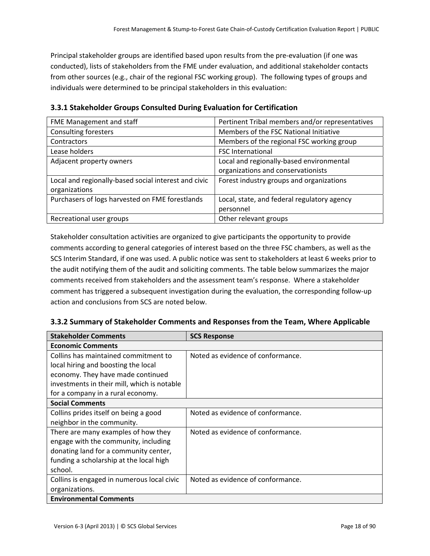Principal stakeholder groups are identified based upon results from the pre‐evaluation (if one was conducted), lists of stakeholders from the FME under evaluation, and additional stakeholder contacts from other sources (e.g., chair of the regional FSC working group). The following types of groups and individuals were determined to be principal stakeholders in this evaluation:

| FME Management and staff                             | Pertinent Tribal members and/or representatives |
|------------------------------------------------------|-------------------------------------------------|
| <b>Consulting foresters</b>                          | Members of the FSC National Initiative          |
| Contractors                                          | Members of the regional FSC working group       |
| Lease holders                                        | <b>FSC International</b>                        |
| Adjacent property owners                             | Local and regionally-based environmental        |
|                                                      | organizations and conservationists              |
| Local and regionally-based social interest and civic | Forest industry groups and organizations        |
| organizations                                        |                                                 |
| Purchasers of logs harvested on FME forestlands      | Local, state, and federal regulatory agency     |
|                                                      | personnel                                       |
| Recreational user groups                             | Other relevant groups                           |

**3.3.1 Stakeholder Groups Consulted During Evaluation for Certification**

Stakeholder consultation activities are organized to give participants the opportunity to provide comments according to general categories of interest based on the three FSC chambers, as well as the SCS Interim Standard, if one was used. A public notice was sent to stakeholders at least 6 weeks prior to the audit notifying them of the audit and soliciting comments. The table below summarizes the major comments received from stakeholders and the assessment team's response. Where a stakeholder comment has triggered a subsequent investigation during the evaluation, the corresponding follow‐up action and conclusions from SCS are noted below.

#### **3.3.2 Summary of Stakeholder Comments and Responses from the Team, Where Applicable**

| <b>Stakeholder Comments</b>                 | <b>SCS Response</b>               |  |
|---------------------------------------------|-----------------------------------|--|
| <b>Economic Comments</b>                    |                                   |  |
| Collins has maintained commitment to        | Noted as evidence of conformance. |  |
| local hiring and boosting the local         |                                   |  |
| economy. They have made continued           |                                   |  |
| investments in their mill, which is notable |                                   |  |
| for a company in a rural economy.           |                                   |  |
| <b>Social Comments</b>                      |                                   |  |
| Collins prides itself on being a good       | Noted as evidence of conformance. |  |
| neighbor in the community.                  |                                   |  |
| There are many examples of how they         | Noted as evidence of conformance. |  |
| engage with the community, including        |                                   |  |
| donating land for a community center,       |                                   |  |
| funding a scholarship at the local high     |                                   |  |
| school.                                     |                                   |  |
| Collins is engaged in numerous local civic  | Noted as evidence of conformance. |  |
| organizations.                              |                                   |  |
| <b>Environmental Comments</b>               |                                   |  |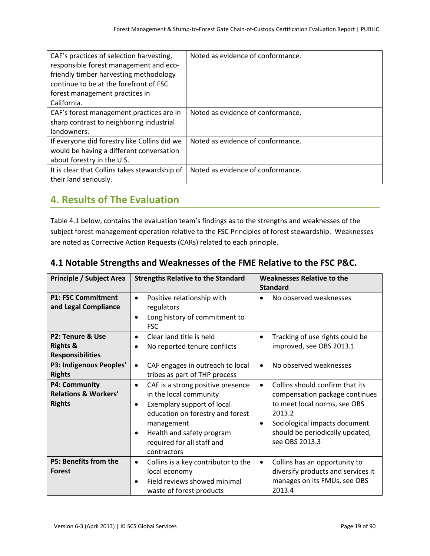| CAF's practices of selection harvesting,      | Noted as evidence of conformance. |
|-----------------------------------------------|-----------------------------------|
| responsible forest management and eco-        |                                   |
| friendly timber harvesting methodology        |                                   |
| continue to be at the forefront of FSC        |                                   |
| forest management practices in                |                                   |
| California.                                   |                                   |
| CAF's forest management practices are in      | Noted as evidence of conformance. |
| sharp contrast to neighboring industrial      |                                   |
| landowners.                                   |                                   |
| If everyone did forestry like Collins did we  | Noted as evidence of conformance. |
| would be having a different conversation      |                                   |
| about forestry in the U.S.                    |                                   |
| It is clear that Collins takes stewardship of | Noted as evidence of conformance. |
| their land seriously.                         |                                   |

# **4. Results of The Evaluation**

Table 4.1 below, contains the evaluation team's findings as to the strengths and weaknesses of the subject forest management operation relative to the FSC Principles of forest stewardship. Weaknesses are noted as Corrective Action Requests (CARs) related to each principle.

| <b>Principle / Subject Area</b><br><b>Strengths Relative to the Standard</b> |                                                                                                                                                                                                                                                              | <b>Weaknesses Relative to the</b><br><b>Standard</b>                                                                                                                                                                |  |
|------------------------------------------------------------------------------|--------------------------------------------------------------------------------------------------------------------------------------------------------------------------------------------------------------------------------------------------------------|---------------------------------------------------------------------------------------------------------------------------------------------------------------------------------------------------------------------|--|
| <b>P1: FSC Commitment</b><br>and Legal Compliance                            | Positive relationship with<br>$\bullet$<br>regulators<br>Long history of commitment to<br>$\bullet$<br><b>FSC</b>                                                                                                                                            | No observed weaknesses<br>$\bullet$                                                                                                                                                                                 |  |
| P2: Tenure & Use<br><b>Rights &amp;</b><br><b>Responsibilities</b>           | Clear land title is held<br>$\bullet$<br>No reported tenure conflicts                                                                                                                                                                                        | Tracking of use rights could be<br>$\bullet$<br>improved, see OBS 2013.1                                                                                                                                            |  |
| P3: Indigenous Peoples'<br><b>Rights</b>                                     | CAF engages in outreach to local<br>$\bullet$<br>tribes as part of THP process                                                                                                                                                                               | No observed weaknesses<br>$\bullet$                                                                                                                                                                                 |  |
| <b>P4: Community</b><br><b>Relations &amp; Workers'</b><br><b>Rights</b>     | CAF is a strong positive presence<br>$\bullet$<br>in the local community<br>Exemplary support of local<br>$\bullet$<br>education on forestry and forest<br>management<br>Health and safety program<br>$\bullet$<br>required for all staff and<br>contractors | Collins should confirm that its<br>$\bullet$<br>compensation package continues<br>to meet local norms, see OBS<br>2013.2<br>Sociological impacts document<br>٠<br>should be periodically updated,<br>see OBS 2013.3 |  |
| <b>P5: Benefits from the</b><br>Forest                                       | Collins is a key contributor to the<br>$\bullet$<br>local economy<br>Field reviews showed minimal<br>waste of forest products                                                                                                                                | Collins has an opportunity to<br>$\bullet$<br>diversify products and services it<br>manages on its FMUs, see OBS<br>2013.4                                                                                          |  |

# **4.1 Notable Strengths and Weaknesses of the FME Relative to the FSC P&C.**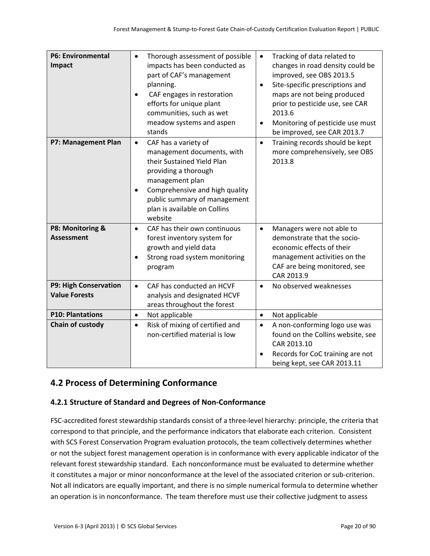| <b>P6: Environmental</b><br>Impact            | Thorough assessment of possible<br>$\bullet$<br>impacts has been conducted as<br>part of CAF's management<br>planning.<br>CAF engages in restoration<br>$\bullet$<br>efforts for unique plant<br>communities, such as wet<br>meadow systems and aspen<br>stands    | Tracking of data related to<br>$\bullet$<br>changes in road density could be<br>improved, see OBS 2013.5<br>Site-specific prescriptions and<br>$\bullet$<br>maps are not being produced<br>prior to pesticide use, see CAR<br>2013.6<br>Monitoring of pesticide use must<br>٠<br>be improved, see CAR 2013.7 |
|-----------------------------------------------|--------------------------------------------------------------------------------------------------------------------------------------------------------------------------------------------------------------------------------------------------------------------|--------------------------------------------------------------------------------------------------------------------------------------------------------------------------------------------------------------------------------------------------------------------------------------------------------------|
| P7: Management Plan                           | CAF has a variety of<br>$\bullet$<br>management documents, with<br>their Sustained Yield Plan<br>providing a thorough<br>management plan<br>Comprehensive and high quality<br>$\bullet$<br>public summary of management<br>plan is available on Collins<br>website | Training records should be kept<br>$\bullet$<br>more comprehensively, see OBS<br>2013.8                                                                                                                                                                                                                      |
| P8: Monitoring &<br><b>Assessment</b>         | CAF has their own continuous<br>$\bullet$<br>forest inventory system for<br>growth and yield data<br>Strong road system monitoring<br>program                                                                                                                      | Managers were not able to<br>$\bullet$<br>demonstrate that the socio-<br>economic effects of their<br>management activities on the<br>CAF are being monitored, see<br>CAR 2013.9                                                                                                                             |
| P9: High Conservation<br><b>Value Forests</b> | CAF has conducted an HCVF<br>$\bullet$<br>analysis and designated HCVF<br>areas throughout the forest                                                                                                                                                              | No observed weaknesses<br>$\bullet$                                                                                                                                                                                                                                                                          |
| <b>P10: Plantations</b>                       | Not applicable<br>$\bullet$                                                                                                                                                                                                                                        | Not applicable<br>$\bullet$                                                                                                                                                                                                                                                                                  |
| Chain of custody                              | Risk of mixing of certified and<br>$\bullet$<br>non-certified material is low                                                                                                                                                                                      | A non-conforming logo use was<br>$\bullet$<br>found on the Collins website, see<br>CAR 2013.10<br>Records for CoC training are not<br>being kept, see CAR 2013.11                                                                                                                                            |

# **4.2 Process of Determining Conformance**

### **4.2.1 Structure of Standard and Degrees of Non‐Conformance**

FSC‐accredited forest stewardship standards consist of a three‐level hierarchy: principle, the criteria that correspond to that principle, and the performance indicators that elaborate each criterion. Consistent with SCS Forest Conservation Program evaluation protocols, the team collectively determines whether or not the subject forest management operation is in conformance with every applicable indicator of the relevant forest stewardship standard. Each nonconformance must be evaluated to determine whether it constitutes a major or minor nonconformance at the level of the associated criterion or sub‐criterion. Not all indicators are equally important, and there is no simple numerical formula to determine whether an operation is in nonconformance. The team therefore must use their collective judgment to assess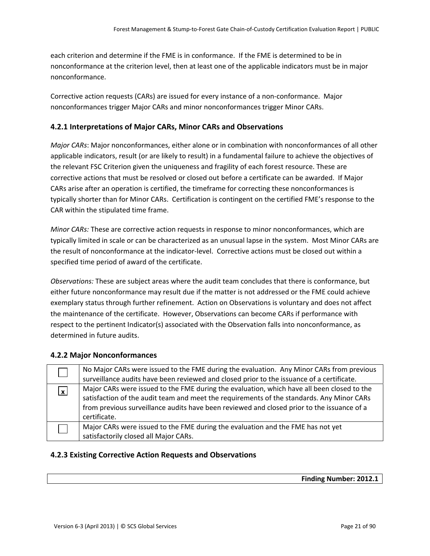each criterion and determine if the FME is in conformance. If the FME is determined to be in nonconformance at the criterion level, then at least one of the applicable indicators must be in major nonconformance.

Corrective action requests (CARs) are issued for every instance of a non‐conformance. Major nonconformances trigger Major CARs and minor nonconformances trigger Minor CARs.

#### **4.2.1 Interpretations of Major CARs, Minor CARs and Observations**

*Major CARs*: Major nonconformances, either alone or in combination with nonconformances of all other applicable indicators, result (or are likely to result) in a fundamental failure to achieve the objectives of the relevant FSC Criterion given the uniqueness and fragility of each forest resource. These are corrective actions that must be resolved or closed out before a certificate can be awarded. If Major CARs arise after an operation is certified, the timeframe for correcting these nonconformances is typically shorter than for Minor CARs. Certification is contingent on the certified FME's response to the CAR within the stipulated time frame.

*Minor CARs:* These are corrective action requests in response to minor nonconformances, which are typically limited in scale or can be characterized as an unusual lapse in the system. Most Minor CARs are the result of nonconformance at the indicator-level. Corrective actions must be closed out within a specified time period of award of the certificate.

*Observations:* These are subject areas where the audit team concludes that there is conformance, but either future nonconformance may result due if the matter is not addressed or the FME could achieve exemplary status through further refinement. Action on Observations is voluntary and does not affect the maintenance of the certificate. However, Observations can become CARs if performance with respect to the pertinent Indicator(s) associated with the Observation falls into nonconformance, as determined in future audits.

#### **4.2.2 Major Nonconformances**

|            | No Major CARs were issued to the FME during the evaluation. Any Minor CARs from previous   |
|------------|--------------------------------------------------------------------------------------------|
|            | surveillance audits have been reviewed and closed prior to the issuance of a certificate.  |
| <u>ן א</u> | Major CARs were issued to the FME during the evaluation, which have all been closed to the |
|            | satisfaction of the audit team and meet the requirements of the standards. Any Minor CARs  |
|            | from previous surveillance audits have been reviewed and closed prior to the issuance of a |
|            | certificate.                                                                               |
|            | Major CARs were issued to the FME during the evaluation and the FME has not yet            |
|            | satisfactorily closed all Major CARs.                                                      |

#### **4.2.3 Existing Corrective Action Requests and Observations**

**Finding Number: 2012.1**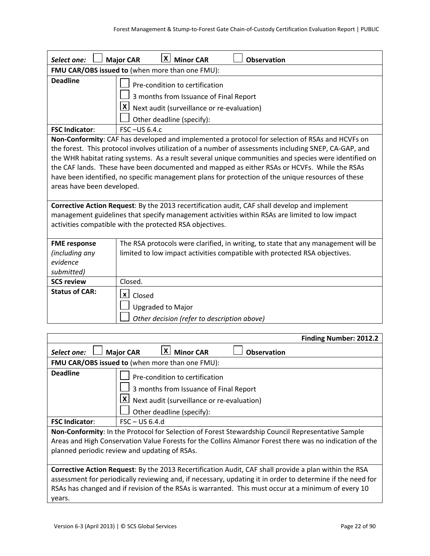| Select one:                                                                                                                                                                                                                                                                                                                                                                                                                                                                                                                                           | $ \mathsf{X} $<br><b>Minor CAR</b><br><b>Major CAR</b><br><b>Observation</b>                                                                                     |  |  |
|-------------------------------------------------------------------------------------------------------------------------------------------------------------------------------------------------------------------------------------------------------------------------------------------------------------------------------------------------------------------------------------------------------------------------------------------------------------------------------------------------------------------------------------------------------|------------------------------------------------------------------------------------------------------------------------------------------------------------------|--|--|
|                                                                                                                                                                                                                                                                                                                                                                                                                                                                                                                                                       | FMU CAR/OBS issued to (when more than one FMU):                                                                                                                  |  |  |
| <b>Deadline</b>                                                                                                                                                                                                                                                                                                                                                                                                                                                                                                                                       | Pre-condition to certification<br>3 months from Issuance of Final Report<br>$ X $ Next audit (surveillance or re-evaluation)<br>Other deadline (specify):        |  |  |
| <b>FSC Indicator:</b>                                                                                                                                                                                                                                                                                                                                                                                                                                                                                                                                 | FSC-US 6.4.c                                                                                                                                                     |  |  |
| Non-Conformity: CAF has developed and implemented a protocol for selection of RSAs and HCVFs on<br>the forest. This protocol involves utilization of a number of assessments including SNEP, CA-GAP, and<br>the WHR habitat rating systems. As a result several unique communities and species were identified on<br>the CAF lands. These have been documented and mapped as either RSAs or HCVFs. While the RSAs<br>have been identified, no specific management plans for protection of the unique resources of these<br>areas have been developed. |                                                                                                                                                                  |  |  |
| Corrective Action Request: By the 2013 recertification audit, CAF shall develop and implement<br>management guidelines that specify management activities within RSAs are limited to low impact<br>activities compatible with the protected RSA objectives.                                                                                                                                                                                                                                                                                           |                                                                                                                                                                  |  |  |
| <b>FME</b> response<br>(including any<br>evidence<br>submitted)                                                                                                                                                                                                                                                                                                                                                                                                                                                                                       | The RSA protocols were clarified, in writing, to state that any management will be<br>limited to low impact activities compatible with protected RSA objectives. |  |  |
| <b>SCS review</b>                                                                                                                                                                                                                                                                                                                                                                                                                                                                                                                                     | Closed.                                                                                                                                                          |  |  |
| <b>Status of CAR:</b>                                                                                                                                                                                                                                                                                                                                                                                                                                                                                                                                 | $\mathbf{x}$ Closed<br><b>Upgraded to Major</b><br>Other decision (refer to description above)                                                                   |  |  |

|                                                                                                                                                                                                                                                               |                  |                                                                                                                                                                         |                    | <b>Finding Number: 2012.2</b> |
|---------------------------------------------------------------------------------------------------------------------------------------------------------------------------------------------------------------------------------------------------------------|------------------|-------------------------------------------------------------------------------------------------------------------------------------------------------------------------|--------------------|-------------------------------|
| Select one:                                                                                                                                                                                                                                                   | <b>Major CAR</b> | <b>X</b> Minor CAR                                                                                                                                                      | <b>Observation</b> |                               |
| FMU CAR/OBS issued to (when more than one FMU):                                                                                                                                                                                                               |                  |                                                                                                                                                                         |                    |                               |
| <b>Deadline</b>                                                                                                                                                                                                                                               |                  | Pre-condition to certification<br>3 months from Issuance of Final Report<br>$\lfloor x \rfloor$ Next audit (surveillance or re-evaluation)<br>Other deadline (specify): |                    |                               |
| <b>FSC Indicator:</b>                                                                                                                                                                                                                                         | $FSC - US 6.4.d$ |                                                                                                                                                                         |                    |                               |
| Non-Conformity: In the Protocol for Selection of Forest Stewardship Council Representative Sample<br>Areas and High Conservation Value Forests for the Collins Almanor Forest there was no indication of the<br>planned periodic review and updating of RSAs. |                  |                                                                                                                                                                         |                    |                               |
| <b>Corrective Action Request:</b> By the 2013 Recertification Audit, CAF shall provide a plan within the RSA                                                                                                                                                  |                  |                                                                                                                                                                         |                    |                               |

assessment for periodically reviewing and, if necessary, updating it in order to determine if the need for RSAs has changed and if revision of the RSAs is warranted. This must occur at a minimum of every 10 years.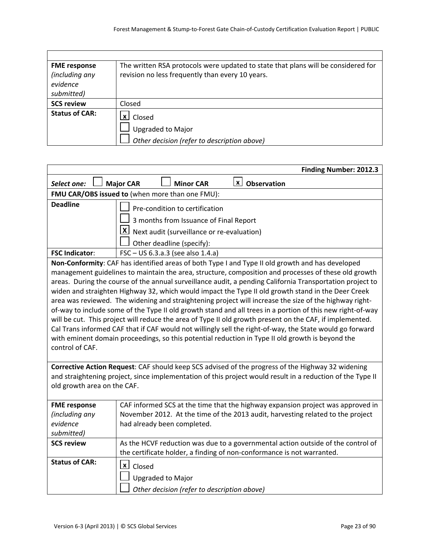| <b>FME</b> response   | The written RSA protocols were updated to state that plans will be considered for |
|-----------------------|-----------------------------------------------------------------------------------|
| (including any        | revision no less frequently than every 10 years.                                  |
| evidence              |                                                                                   |
| submitted)            |                                                                                   |
| <b>SCS review</b>     | Closed                                                                            |
| <b>Status of CAR:</b> | $\mathbf{X}$ Closed                                                               |
|                       | <b>Upgraded to Major</b>                                                          |
|                       | Other decision (refer to description above)                                       |

|                             | Finding Number: 2012.3                                                                                     |  |  |
|-----------------------------|------------------------------------------------------------------------------------------------------------|--|--|
| Select one:                 | $\lfloor x \rfloor$ Observation<br><b>Minor CAR</b><br><b>Major CAR</b>                                    |  |  |
|                             | FMU CAR/OBS issued to (when more than one FMU):                                                            |  |  |
| <b>Deadline</b>             | Pre-condition to certification                                                                             |  |  |
|                             | 3 months from Issuance of Final Report                                                                     |  |  |
|                             | $\lfloor x \rfloor$ Next audit (surveillance or re-evaluation)                                             |  |  |
|                             | Other deadline (specify):                                                                                  |  |  |
| <b>FSC Indicator:</b>       | FSC - US 6.3.a.3 (see also 1.4.a)                                                                          |  |  |
|                             | Non-Conformity: CAF has identified areas of both Type I and Type II old growth and has developed           |  |  |
|                             | management guidelines to maintain the area, structure, composition and processes of these old growth       |  |  |
|                             | areas. During the course of the annual surveillance audit, a pending California Transportation project to  |  |  |
|                             | widen and straighten Highway 32, which would impact the Type II old growth stand in the Deer Creek         |  |  |
|                             | area was reviewed. The widening and straightening project will increase the size of the highway right-     |  |  |
|                             | of-way to include some of the Type II old growth stand and all trees in a portion of this new right-of-way |  |  |
|                             | will be cut. This project will reduce the area of Type II old growth present on the CAF, if implemented.   |  |  |
|                             | Cal Trans informed CAF that if CAF would not willingly sell the right-of-way, the State would go forward   |  |  |
|                             | with eminent domain proceedings, so this potential reduction in Type II old growth is beyond the           |  |  |
| control of CAF.             |                                                                                                            |  |  |
|                             |                                                                                                            |  |  |
|                             | Corrective Action Request: CAF should keep SCS advised of the progress of the Highway 32 widening          |  |  |
|                             | and straightening project, since implementation of this project would result in a reduction of the Type II |  |  |
| old growth area on the CAF. |                                                                                                            |  |  |
|                             |                                                                                                            |  |  |
| <b>FME response</b>         | CAF informed SCS at the time that the highway expansion project was approved in                            |  |  |
| (including any              | November 2012. At the time of the 2013 audit, harvesting related to the project                            |  |  |
| evidence                    | had already been completed.                                                                                |  |  |
| submitted)                  |                                                                                                            |  |  |
| <b>SCS review</b>           | As the HCVF reduction was due to a governmental action outside of the control of                           |  |  |
|                             | the certificate holder, a finding of non-conformance is not warranted.                                     |  |  |
| <b>Status of CAR:</b>       | $\lfloor x \rfloor$ Closed                                                                                 |  |  |
|                             | <b>Upgraded to Major</b>                                                                                   |  |  |
|                             | Other decision (refer to description above)                                                                |  |  |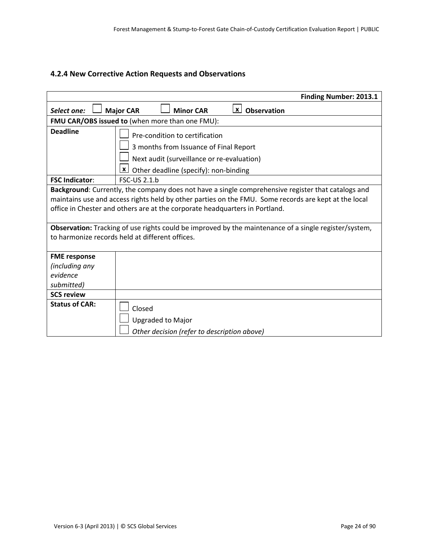#### **4.2.4 New Corrective Action Requests and Observations**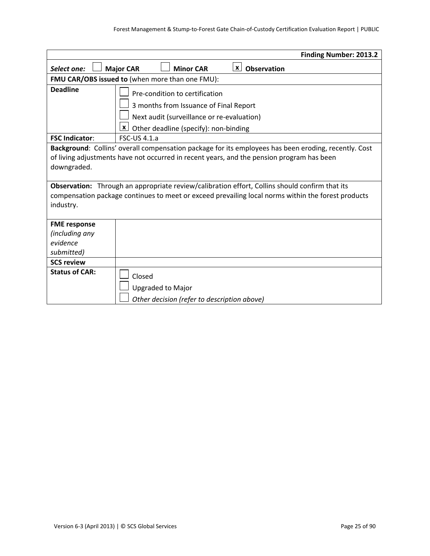|                       | <b>Finding Number: 2013.2</b>                                                                        |  |  |
|-----------------------|------------------------------------------------------------------------------------------------------|--|--|
| Select one:           | <b>Minor CAR</b><br>$x \mid$<br><b>Observation</b><br><b>Major CAR</b>                               |  |  |
|                       | FMU CAR/OBS issued to (when more than one FMU):                                                      |  |  |
| <b>Deadline</b>       | Pre-condition to certification                                                                       |  |  |
|                       | 3 months from Issuance of Final Report                                                               |  |  |
|                       | Next audit (surveillance or re-evaluation)                                                           |  |  |
|                       | $\mathbf{x}$<br>Other deadline (specify): non-binding                                                |  |  |
| <b>FSC Indicator:</b> | <b>FSC-US 4.1.a</b>                                                                                  |  |  |
|                       | Background: Collins' overall compensation package for its employees has been eroding, recently. Cost |  |  |
|                       | of living adjustments have not occurred in recent years, and the pension program has been            |  |  |
| downgraded.           |                                                                                                      |  |  |
|                       |                                                                                                      |  |  |
|                       | Observation: Through an appropriate review/calibration effort, Collins should confirm that its       |  |  |
| industry.             | compensation package continues to meet or exceed prevailing local norms within the forest products   |  |  |
|                       |                                                                                                      |  |  |
| <b>FME response</b>   |                                                                                                      |  |  |
| (including any        |                                                                                                      |  |  |
| evidence              |                                                                                                      |  |  |
| submitted)            |                                                                                                      |  |  |
| <b>SCS review</b>     |                                                                                                      |  |  |
| <b>Status of CAR:</b> | Closed                                                                                               |  |  |
|                       | <b>Upgraded to Major</b>                                                                             |  |  |
|                       | Other decision (refer to description above)                                                          |  |  |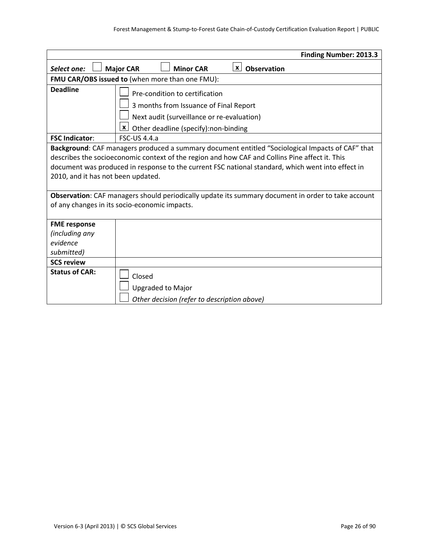|                                               | Finding Number: 2013.3                                                                             |  |  |
|-----------------------------------------------|----------------------------------------------------------------------------------------------------|--|--|
| Select one:                                   | <b>Minor CAR</b><br>$x \mid$<br>Observation<br><b>Major CAR</b>                                    |  |  |
|                                               | FMU CAR/OBS issued to (when more than one FMU):                                                    |  |  |
| <b>Deadline</b>                               | Pre-condition to certification                                                                     |  |  |
|                                               | 3 months from Issuance of Final Report                                                             |  |  |
|                                               | Next audit (surveillance or re-evaluation)                                                         |  |  |
|                                               | $\mathbf{x}$<br>Other deadline (specify):non-binding                                               |  |  |
| <b>FSC Indicator:</b>                         | $FSC$ -US 4.4.a                                                                                    |  |  |
|                                               | Background: CAF managers produced a summary document entitled "Sociological Impacts of CAF" that   |  |  |
|                                               | describes the socioeconomic context of the region and how CAF and Collins Pine affect it. This     |  |  |
|                                               | document was produced in response to the current FSC national standard, which went into effect in  |  |  |
| 2010, and it has not been updated.            |                                                                                                    |  |  |
|                                               |                                                                                                    |  |  |
|                                               | Observation: CAF managers should periodically update its summary document in order to take account |  |  |
| of any changes in its socio-economic impacts. |                                                                                                    |  |  |
| <b>FME response</b>                           |                                                                                                    |  |  |
| (including any                                |                                                                                                    |  |  |
| evidence                                      |                                                                                                    |  |  |
| submitted)                                    |                                                                                                    |  |  |
| <b>SCS review</b>                             |                                                                                                    |  |  |
| <b>Status of CAR:</b>                         | Closed                                                                                             |  |  |
|                                               | <b>Upgraded to Major</b>                                                                           |  |  |
|                                               | Other decision (refer to description above)                                                        |  |  |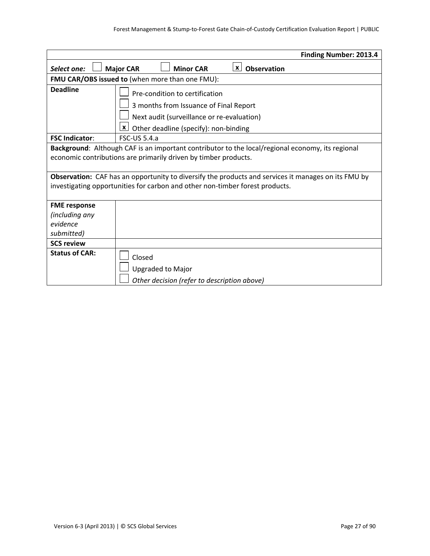|                                                                                                                                                                                                                                                                                                                                                                   |                                                                                                                                                                                 | <b>Finding Number: 2013.4</b> |
|-------------------------------------------------------------------------------------------------------------------------------------------------------------------------------------------------------------------------------------------------------------------------------------------------------------------------------------------------------------------|---------------------------------------------------------------------------------------------------------------------------------------------------------------------------------|-------------------------------|
| Select one:                                                                                                                                                                                                                                                                                                                                                       | <b>Minor CAR</b><br><b>Major CAR</b>                                                                                                                                            | $X$ Observation               |
|                                                                                                                                                                                                                                                                                                                                                                   | FMU CAR/OBS issued to (when more than one FMU):                                                                                                                                 |                               |
| <b>Deadline</b>                                                                                                                                                                                                                                                                                                                                                   | Pre-condition to certification<br>3 months from Issuance of Final Report<br>Next audit (surveillance or re-evaluation)<br>$\mathbf{x}$<br>Other deadline (specify): non-binding |                               |
| <b>FSC Indicator:</b>                                                                                                                                                                                                                                                                                                                                             | <b>FSC-US 5.4.a</b>                                                                                                                                                             |                               |
| Background: Although CAF is an important contributor to the local/regional economy, its regional<br>economic contributions are primarily driven by timber products.<br><b>Observation:</b> CAF has an opportunity to diversify the products and services it manages on its FMU by<br>investigating opportunities for carbon and other non-timber forest products. |                                                                                                                                                                                 |                               |
| <b>FME response</b><br>(including any<br>evidence<br>submitted)                                                                                                                                                                                                                                                                                                   |                                                                                                                                                                                 |                               |
| <b>SCS review</b>                                                                                                                                                                                                                                                                                                                                                 |                                                                                                                                                                                 |                               |
| <b>Status of CAR:</b>                                                                                                                                                                                                                                                                                                                                             | Closed<br><b>Upgraded to Major</b><br>Other decision (refer to description above)                                                                                               |                               |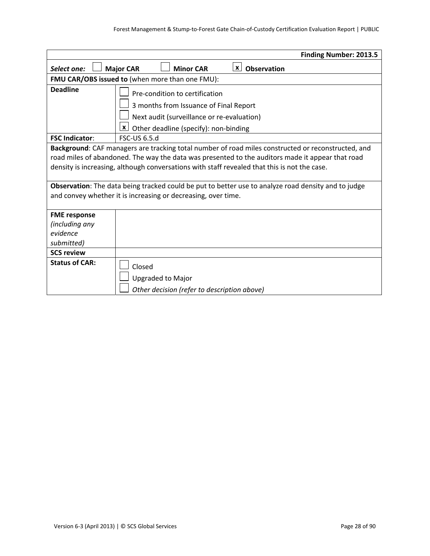|                                                                                                                                                                                                                                                                                                        | <b>Finding Number: 2013.5</b>                                                                                                                                                   |  |  |
|--------------------------------------------------------------------------------------------------------------------------------------------------------------------------------------------------------------------------------------------------------------------------------------------------------|---------------------------------------------------------------------------------------------------------------------------------------------------------------------------------|--|--|
| Select one:                                                                                                                                                                                                                                                                                            | <u><b>x</b></u> Observation<br><b>Major CAR</b><br><b>Minor CAR</b>                                                                                                             |  |  |
|                                                                                                                                                                                                                                                                                                        | FMU CAR/OBS issued to (when more than one FMU):                                                                                                                                 |  |  |
| <b>Deadline</b>                                                                                                                                                                                                                                                                                        | Pre-condition to certification<br>3 months from Issuance of Final Report<br>Next audit (surveillance or re-evaluation)<br>$\mathbf{x}$<br>Other deadline (specify): non-binding |  |  |
| <b>FSC Indicator:</b>                                                                                                                                                                                                                                                                                  | FSC-US 6.5.d                                                                                                                                                                    |  |  |
| Background: CAF managers are tracking total number of road miles constructed or reconstructed, and<br>road miles of abandoned. The way the data was presented to the auditors made it appear that road<br>density is increasing, although conversations with staff revealed that this is not the case. |                                                                                                                                                                                 |  |  |
| Observation: The data being tracked could be put to better use to analyze road density and to judge<br>and convey whether it is increasing or decreasing, over time.                                                                                                                                   |                                                                                                                                                                                 |  |  |
| <b>FME response</b>                                                                                                                                                                                                                                                                                    |                                                                                                                                                                                 |  |  |
| (including any                                                                                                                                                                                                                                                                                         |                                                                                                                                                                                 |  |  |
| evidence                                                                                                                                                                                                                                                                                               |                                                                                                                                                                                 |  |  |
| submitted)                                                                                                                                                                                                                                                                                             |                                                                                                                                                                                 |  |  |
| <b>SCS review</b><br><b>Status of CAR:</b>                                                                                                                                                                                                                                                             |                                                                                                                                                                                 |  |  |
|                                                                                                                                                                                                                                                                                                        | Closed                                                                                                                                                                          |  |  |
|                                                                                                                                                                                                                                                                                                        | <b>Upgraded to Major</b>                                                                                                                                                        |  |  |
|                                                                                                                                                                                                                                                                                                        | Other decision (refer to description above)                                                                                                                                     |  |  |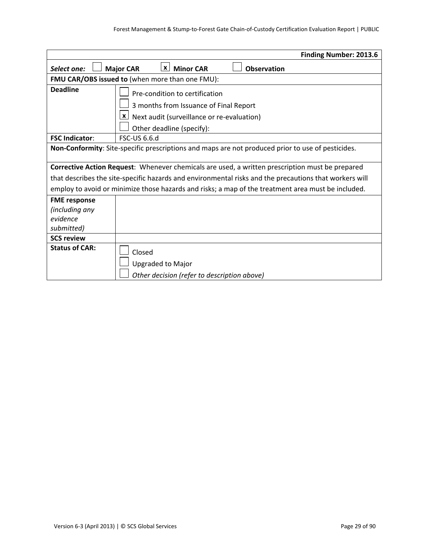|                                                                 |                                                                                                                                                                         | <b>Finding Number: 2013.6</b>                                                                          |
|-----------------------------------------------------------------|-------------------------------------------------------------------------------------------------------------------------------------------------------------------------|--------------------------------------------------------------------------------------------------------|
| Select one:                                                     | <b>Minor CAR</b><br><b>Major CAR</b><br>$\lfloor x \rfloor$                                                                                                             | <b>Observation</b>                                                                                     |
|                                                                 | FMU CAR/OBS issued to (when more than one FMU):                                                                                                                         |                                                                                                        |
| <b>Deadline</b>                                                 | Pre-condition to certification<br>3 months from Issuance of Final Report<br>$\lfloor x \rfloor$ Next audit (surveillance or re-evaluation)<br>Other deadline (specify): |                                                                                                        |
| <b>FSC Indicator:</b>                                           | <b>FSC-US 6.6.d</b>                                                                                                                                                     |                                                                                                        |
|                                                                 |                                                                                                                                                                         | Non-Conformity: Site-specific prescriptions and maps are not produced prior to use of pesticides.      |
|                                                                 |                                                                                                                                                                         |                                                                                                        |
|                                                                 |                                                                                                                                                                         | Corrective Action Request: Whenever chemicals are used, a written prescription must be prepared        |
|                                                                 |                                                                                                                                                                         | that describes the site-specific hazards and environmental risks and the precautions that workers will |
|                                                                 |                                                                                                                                                                         | employ to avoid or minimize those hazards and risks; a map of the treatment area must be included.     |
| <b>FME response</b><br>(including any<br>evidence<br>submitted) |                                                                                                                                                                         |                                                                                                        |
| <b>SCS review</b>                                               |                                                                                                                                                                         |                                                                                                        |
| <b>Status of CAR:</b>                                           | Closed<br><b>Upgraded to Major</b><br>Other decision (refer to description above)                                                                                       |                                                                                                        |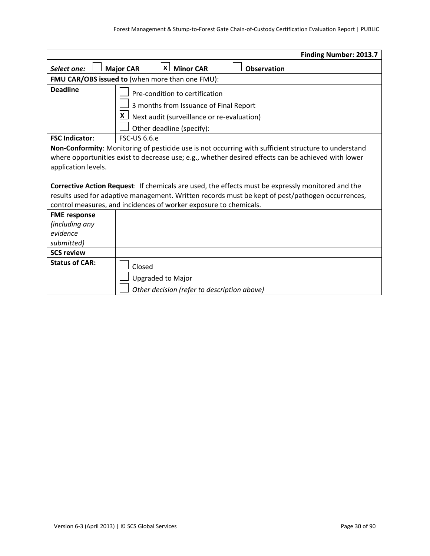|                                                                 | <b>Finding Number: 2013.7</b>                                                                                                                                                                                                                                              |  |  |  |
|-----------------------------------------------------------------|----------------------------------------------------------------------------------------------------------------------------------------------------------------------------------------------------------------------------------------------------------------------------|--|--|--|
| Select one:                                                     | $\lfloor x \rfloor$ Minor CAR<br><b>Major CAR</b><br><b>Observation</b>                                                                                                                                                                                                    |  |  |  |
|                                                                 | FMU CAR/OBS issued to (when more than one FMU):                                                                                                                                                                                                                            |  |  |  |
| <b>Deadline</b>                                                 | Pre-condition to certification<br>3 months from Issuance of Final Report<br>$\mathbf{X}$ Next audit (surveillance or re-evaluation)<br>Other deadline (specify):                                                                                                           |  |  |  |
| <b>FSC Indicator:</b>                                           | <b>FSC-US 6.6.e</b>                                                                                                                                                                                                                                                        |  |  |  |
| application levels.                                             | Non-Conformity: Monitoring of pesticide use is not occurring with sufficient structure to understand<br>where opportunities exist to decrease use; e.g., whether desired effects can be achieved with lower                                                                |  |  |  |
|                                                                 | Corrective Action Request: If chemicals are used, the effects must be expressly monitored and the<br>results used for adaptive management. Written records must be kept of pest/pathogen occurrences,<br>control measures, and incidences of worker exposure to chemicals. |  |  |  |
| <b>FME response</b><br>(including any<br>evidence<br>submitted) |                                                                                                                                                                                                                                                                            |  |  |  |
| <b>SCS review</b>                                               |                                                                                                                                                                                                                                                                            |  |  |  |
| <b>Status of CAR:</b>                                           | Closed<br><b>Upgraded to Major</b><br>Other decision (refer to description above)                                                                                                                                                                                          |  |  |  |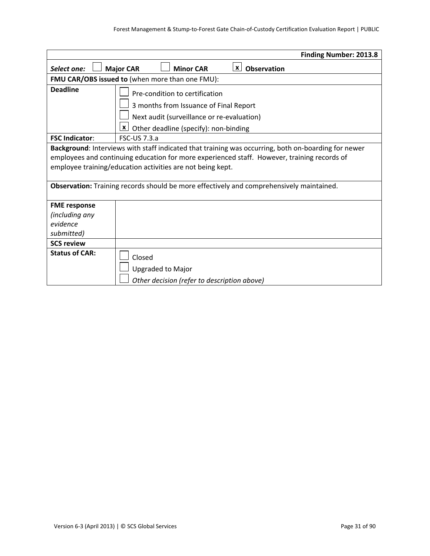|                                                                                                                                                                                                                                                                                                                                                              |                                                                                                                                                                                 | <b>Finding Number: 2013.8</b> |  |
|--------------------------------------------------------------------------------------------------------------------------------------------------------------------------------------------------------------------------------------------------------------------------------------------------------------------------------------------------------------|---------------------------------------------------------------------------------------------------------------------------------------------------------------------------------|-------------------------------|--|
| Select one:                                                                                                                                                                                                                                                                                                                                                  | <b>Minor CAR</b><br><b>Major CAR</b>                                                                                                                                            | $\mathbf{x}$<br>Observation   |  |
|                                                                                                                                                                                                                                                                                                                                                              | FMU CAR/OBS issued to (when more than one FMU):                                                                                                                                 |                               |  |
| <b>Deadline</b>                                                                                                                                                                                                                                                                                                                                              | Pre-condition to certification<br>3 months from Issuance of Final Report<br>Next audit (surveillance or re-evaluation)<br>$\mathbf{x}$<br>Other deadline (specify): non-binding |                               |  |
| <b>FSC Indicator:</b>                                                                                                                                                                                                                                                                                                                                        | <b>FSC-US 7.3.a</b>                                                                                                                                                             |                               |  |
| Background: Interviews with staff indicated that training was occurring, both on-boarding for newer<br>employees and continuing education for more experienced staff. However, training records of<br>employee training/education activities are not being kept.<br>Observation: Training records should be more effectively and comprehensively maintained. |                                                                                                                                                                                 |                               |  |
| <b>FME response</b><br>(including any<br>evidence<br>submitted)                                                                                                                                                                                                                                                                                              |                                                                                                                                                                                 |                               |  |
| <b>SCS review</b>                                                                                                                                                                                                                                                                                                                                            |                                                                                                                                                                                 |                               |  |
| <b>Status of CAR:</b>                                                                                                                                                                                                                                                                                                                                        | Closed<br><b>Upgraded to Major</b><br>Other decision (refer to description above)                                                                                               |                               |  |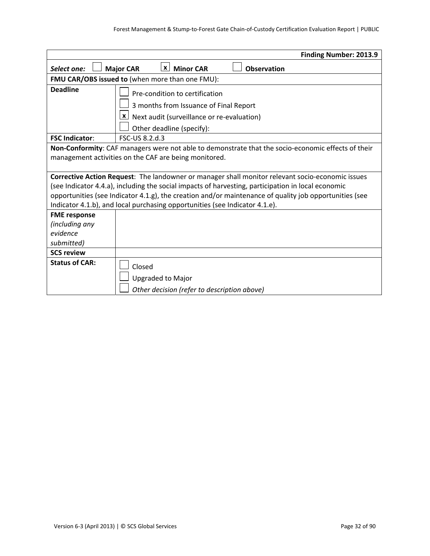|                                                                                                                                                                                   |                  |                                                                                                                                                                         |                    | <b>Finding Number: 2013.9</b>                                                                                                                                                                              |
|-----------------------------------------------------------------------------------------------------------------------------------------------------------------------------------|------------------|-------------------------------------------------------------------------------------------------------------------------------------------------------------------------|--------------------|------------------------------------------------------------------------------------------------------------------------------------------------------------------------------------------------------------|
| Select one:                                                                                                                                                                       | <b>Major CAR</b> | <b>X</b> Minor CAR                                                                                                                                                      | <b>Observation</b> |                                                                                                                                                                                                            |
| FMU CAR/OBS issued to (when more than one FMU):                                                                                                                                   |                  |                                                                                                                                                                         |                    |                                                                                                                                                                                                            |
| <b>Deadline</b>                                                                                                                                                                   |                  | Pre-condition to certification<br>3 months from Issuance of Final Report<br>$\lfloor x \rfloor$ Next audit (surveillance or re-evaluation)<br>Other deadline (specify): |                    |                                                                                                                                                                                                            |
| <b>FSC Indicator:</b>                                                                                                                                                             | FSC-US 8.2.d.3   |                                                                                                                                                                         |                    |                                                                                                                                                                                                            |
| management activities on the CAF are being monitored.                                                                                                                             |                  |                                                                                                                                                                         |                    | Non-Conformity: CAF managers were not able to demonstrate that the socio-economic effects of their                                                                                                         |
| (see Indicator 4.4.a), including the social impacts of harvesting, participation in local economic<br>Indicator 4.1.b), and local purchasing opportunities (see Indicator 4.1.e). |                  |                                                                                                                                                                         |                    | Corrective Action Request: The landowner or manager shall monitor relevant socio-economic issues<br>opportunities (see Indicator 4.1.g), the creation and/or maintenance of quality job opportunities (see |
| <b>FME response</b><br>(including any<br>evidence<br>submitted)                                                                                                                   |                  |                                                                                                                                                                         |                    |                                                                                                                                                                                                            |
| <b>SCS review</b>                                                                                                                                                                 |                  |                                                                                                                                                                         |                    |                                                                                                                                                                                                            |
| <b>Status of CAR:</b>                                                                                                                                                             | Closed           | <b>Upgraded to Major</b><br>Other decision (refer to description above)                                                                                                 |                    |                                                                                                                                                                                                            |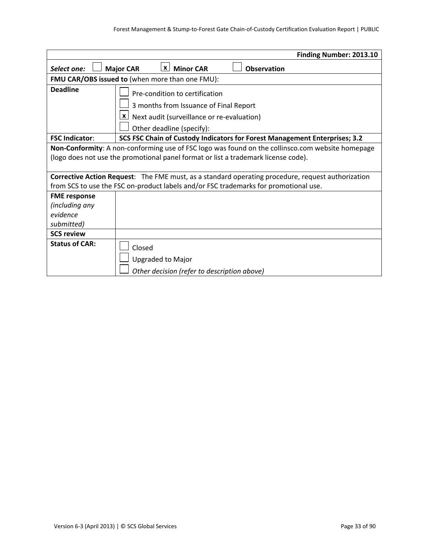|                       | Finding Number: 2013.10                                                                                                                                                 |
|-----------------------|-------------------------------------------------------------------------------------------------------------------------------------------------------------------------|
| Select one:           | $\mathbf{x}$<br><b>Minor CAR</b><br><b>Major CAR</b><br><b>Observation</b>                                                                                              |
|                       | FMU CAR/OBS issued to (when more than one FMU):                                                                                                                         |
| <b>Deadline</b>       | Pre-condition to certification<br>3 months from Issuance of Final Report<br>$\lfloor x \rfloor$ Next audit (surveillance or re-evaluation)<br>Other deadline (specify): |
| <b>FSC Indicator:</b> | SCS FSC Chain of Custody Indicators for Forest Management Enterprises; 3.2                                                                                              |
|                       | Non-Conformity: A non-conforming use of FSC logo was found on the collinsco.com website homepage                                                                        |
|                       | (logo does not use the promotional panel format or list a trademark license code).                                                                                      |
|                       | <b>Corrective Action Request:</b> The FME must, as a standard operating procedure, request authorization                                                                |
|                       | from SCS to use the FSC on-product labels and/or FSC trademarks for promotional use.                                                                                    |
| <b>FME</b> response   |                                                                                                                                                                         |
| (including any        |                                                                                                                                                                         |
| evidence              |                                                                                                                                                                         |
| submitted)            |                                                                                                                                                                         |
| <b>SCS review</b>     |                                                                                                                                                                         |
| <b>Status of CAR:</b> | Closed                                                                                                                                                                  |
|                       | <b>Upgraded to Major</b>                                                                                                                                                |
|                       | Other decision (refer to description above)                                                                                                                             |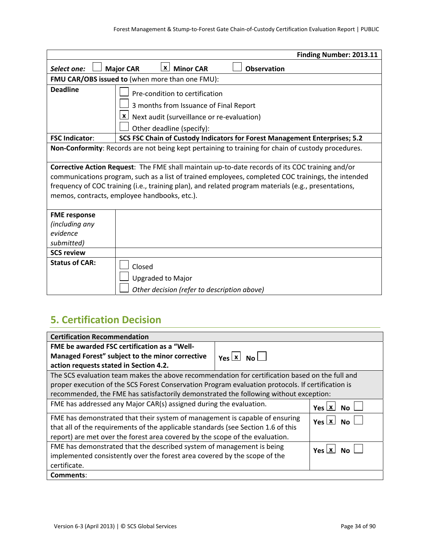|                                                                                                                                                                                                                                                                                                                                                               |                                    |                                                                                                                                                                         |                    | Finding Number: 2013.11                                                                            |
|---------------------------------------------------------------------------------------------------------------------------------------------------------------------------------------------------------------------------------------------------------------------------------------------------------------------------------------------------------------|------------------------------------|-------------------------------------------------------------------------------------------------------------------------------------------------------------------------|--------------------|----------------------------------------------------------------------------------------------------|
| Select one:                                                                                                                                                                                                                                                                                                                                                   | <b>Major CAR</b>                   | <b>X</b> Minor CAR                                                                                                                                                      | <b>Observation</b> |                                                                                                    |
| FMU CAR/OBS issued to (when more than one FMU):                                                                                                                                                                                                                                                                                                               |                                    |                                                                                                                                                                         |                    |                                                                                                    |
| <b>Deadline</b>                                                                                                                                                                                                                                                                                                                                               |                                    | Pre-condition to certification<br>3 months from Issuance of Final Report<br>$\lfloor x \rfloor$ Next audit (surveillance or re-evaluation)<br>Other deadline (specify): |                    |                                                                                                    |
| <b>FSC Indicator:</b>                                                                                                                                                                                                                                                                                                                                         |                                    |                                                                                                                                                                         |                    | SCS FSC Chain of Custody Indicators for Forest Management Enterprises; 5.2                         |
|                                                                                                                                                                                                                                                                                                                                                               |                                    |                                                                                                                                                                         |                    | Non-Conformity: Records are not being kept pertaining to training for chain of custody procedures. |
| Corrective Action Request: The FME shall maintain up-to-date records of its COC training and/or<br>communications program, such as a list of trained employees, completed COC trainings, the intended<br>frequency of COC training (i.e., training plan), and related program materials (e.g., presentations,<br>memos, contracts, employee handbooks, etc.). |                                    |                                                                                                                                                                         |                    |                                                                                                    |
| <b>FME response</b><br>(including any<br>evidence<br>submitted)                                                                                                                                                                                                                                                                                               |                                    |                                                                                                                                                                         |                    |                                                                                                    |
| <b>SCS review</b>                                                                                                                                                                                                                                                                                                                                             |                                    |                                                                                                                                                                         |                    |                                                                                                    |
| <b>Status of CAR:</b>                                                                                                                                                                                                                                                                                                                                         | Closed<br><b>Upgraded to Major</b> | Other decision (refer to description above)                                                                                                                             |                    |                                                                                                    |

# **5. Certification Decision**

| <b>Certification Recommendation</b>                                                               |                                                                                       |                    |  |  |
|---------------------------------------------------------------------------------------------------|---------------------------------------------------------------------------------------|--------------------|--|--|
| FME be awarded FSC certification as a "Well-                                                      |                                                                                       |                    |  |  |
| Managed Forest" subject to the minor corrective                                                   | $Yes \mid X \mid No \mid$                                                             |                    |  |  |
| action requests stated in Section 4.2.                                                            |                                                                                       |                    |  |  |
| The SCS evaluation team makes the above recommendation for certification based on the full and    |                                                                                       |                    |  |  |
| proper execution of the SCS Forest Conservation Program evaluation protocols. If certification is |                                                                                       |                    |  |  |
|                                                                                                   | recommended, the FME has satisfactorily demonstrated the following without exception: |                    |  |  |
| FME has addressed any Major CAR(s) assigned during the evaluation.                                | Yes $\lfloor x \rfloor$<br><b>No</b>                                                  |                    |  |  |
| FME has demonstrated that their system of management is capable of ensuring                       |                                                                                       | Yes X<br><b>No</b> |  |  |
| that all of the requirements of the applicable standards (see Section 1.6 of this                 |                                                                                       |                    |  |  |
| report) are met over the forest area covered by the scope of the evaluation.                      |                                                                                       |                    |  |  |
| FME has demonstrated that the described system of management is being                             | $Yes \mid X \mid No$                                                                  |                    |  |  |
| implemented consistently over the forest area covered by the scope of the                         |                                                                                       |                    |  |  |
| certificate.                                                                                      |                                                                                       |                    |  |  |
| Comments:                                                                                         |                                                                                       |                    |  |  |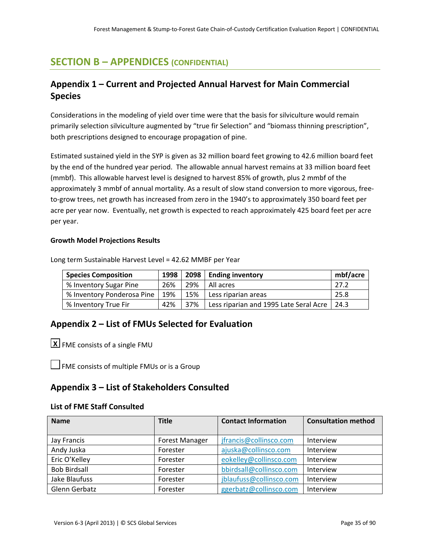# **SECTION B – APPENDICES (CONFIDENTIAL)**

# **Appendix 1 – Current and Projected Annual Harvest for Main Commercial Species**

Considerations in the modeling of yield over time were that the basis for silviculture would remain primarily selection silviculture augmented by "true fir Selection" and "biomass thinning prescription", both prescriptions designed to encourage propagation of pine.

Estimated sustained yield in the SYP is given as 32 million board feet growing to 42.6 million board feet by the end of the hundred year period. The allowable annual harvest remains at 33 million board feet (mmbf). This allowable harvest level is designed to harvest 85% of growth, plus 2 mmbf of the approximately 3 mmbf of annual mortality. As a result of slow stand conversion to more vigorous, free‐ to-grow trees, net growth has increased from zero in the 1940's to approximately 350 board feet per acre per year now. Eventually, net growth is expected to reach approximately 425 board feet per acre per year.

#### **Growth Model Projections Results**

| <b>Species Composition</b> | 1998 |     | 2098   Ending inventory                | mbf/acre |
|----------------------------|------|-----|----------------------------------------|----------|
| % Inventory Sugar Pine     | 26%  | 29% | l All acres                            | 27.2     |
| % Inventory Ponderosa Pine | 19%  | 15% | Less riparian areas                    | 25.8     |
| % Inventory True Fir       | 42%  | 37% | Less riparian and 1995 Late Seral Acre | 24.3     |

Long term Sustainable Harvest Level = 42.62 MMBF per Year

# **Appendix 2 – List of FMUs Selected for Evaluation**

FME consists of a single FMU **X**

 $\Box$  FME consists of multiple FMUs or is a Group

### **Appendix 3 – List of Stakeholders Consulted**

#### **List of FME Staff Consulted**

| <b>Name</b>         | <b>Title</b>          | <b>Contact Information</b> | <b>Consultation method</b> |
|---------------------|-----------------------|----------------------------|----------------------------|
|                     |                       |                            |                            |
| Jay Francis         | <b>Forest Manager</b> | jfrancis@collinsco.com     | Interview                  |
| Andy Juska          | Forester              | ajuska@collinsco.com       | Interview                  |
| Eric O'Kelley       | Forester              | eokelley@collinsco.com     | Interview                  |
| <b>Bob Birdsall</b> | Forester              | bbirdsall@collinsco.com    | Interview                  |
| Jake Blaufuss       | Forester              | jblaufuss@collinsco.com    | Interview                  |
| Glenn Gerbatz       | Forester              | ggerbatz@collinsco.com     | Interview                  |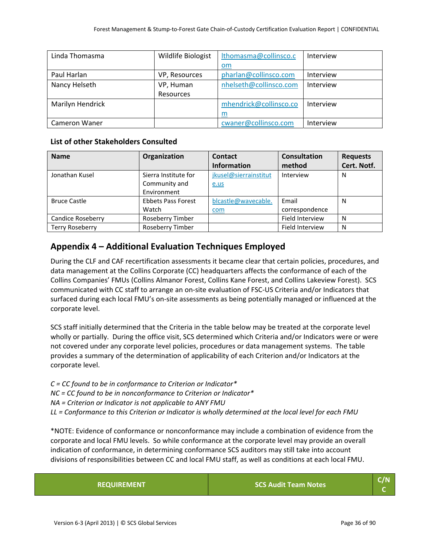| Linda Thomasma       | Wildlife Biologist | Ithomasma@collinsco.c  | Interview |
|----------------------|--------------------|------------------------|-----------|
|                      |                    | om                     |           |
| Paul Harlan          | VP, Resources      | pharlan@collinsco.com  | Interview |
| Nancy Helseth        | VP, Human          | nhelseth@collinsco.com | Interview |
|                      | Resources          |                        |           |
| Marilyn Hendrick     |                    | mhendrick@collinsco.co | Interview |
|                      |                    | m                      |           |
| <b>Cameron Waner</b> |                    | cwaner@collinsco.com   | Interview |

#### **List of other Stakeholders Consulted**

| <b>Name</b>              | Organization              | Contact               | <b>Consultation</b>    | <b>Requests</b> |
|--------------------------|---------------------------|-----------------------|------------------------|-----------------|
|                          |                           | <b>Information</b>    | method                 | Cert. Notf.     |
| Jonathan Kusel           | Sierra Institute for      | jkusel@sierrainstitut | Interview              | N               |
|                          | Community and             | e.us                  |                        |                 |
|                          | Environment               |                       |                        |                 |
| <b>Bruce Castle</b>      | <b>Ebbets Pass Forest</b> | blcastle@wavecable.   | Email                  | N               |
|                          | Watch                     | com                   | correspondence         |                 |
| <b>Candice Roseberry</b> | Roseberry Timber          |                       | <b>Field Interview</b> | N               |
| <b>Terry Roseberry</b>   | Roseberry Timber          |                       | <b>Field Interview</b> | N               |

### **Appendix 4 – Additional Evaluation Techniques Employed**

During the CLF and CAF recertification assessments it became clear that certain policies, procedures, and data management at the Collins Corporate (CC) headquarters affects the conformance of each of the Collins Companies' FMUs (Collins Almanor Forest, Collins Kane Forest, and Collins Lakeview Forest). SCS communicated with CC staff to arrange an on‐site evaluation of FSC‐US Criteria and/or Indicators that surfaced during each local FMU's on‐site assessments as being potentially managed or influenced at the corporate level.

SCS staff initially determined that the Criteria in the table below may be treated at the corporate level wholly or partially. During the office visit, SCS determined which Criteria and/or Indicators were or were not covered under any corporate level policies, procedures or data management systems. The table provides a summary of the determination of applicability of each Criterion and/or Indicators at the corporate level.

*C = CC found to be in conformance to Criterion or Indicator\* NC = CC found to be in nonconformance to Criterion or Indicator\* NA = Criterion or Indicator is not applicable to ANY FMU* LL = Conformance to this Criterion or Indicator is wholly determined at the local level for each FMU

\*NOTE: Evidence of conformance or nonconformance may include a combination of evidence from the corporate and local FMU levels. So while conformance at the corporate level may provide an overall indication of conformance, in determining conformance SCS auditors may still take into account divisions of responsibilities between CC and local FMU staff, as well as conditions at each local FMU.

| <b>REQUIREMENT</b> | SCS Audit Team Notes | C/N |
|--------------------|----------------------|-----|
|--------------------|----------------------|-----|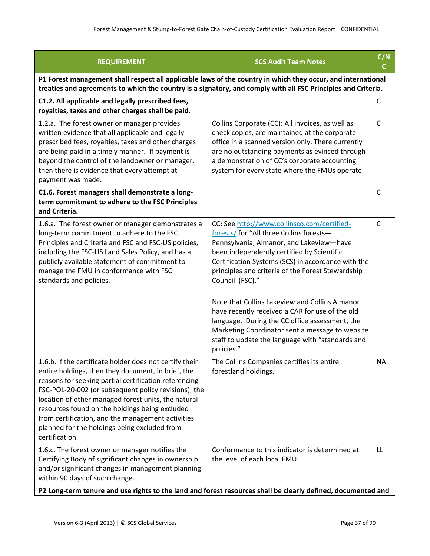| <b>REQUIREMENT</b>                                                                                                                                                                                                                                                                                                                                                                                                                                             | <b>SCS Audit Team Notes</b>                                                                                                                                                                                                                                                                                                                                                                                                                                                                                                                                                                 | C/N<br>C     |
|----------------------------------------------------------------------------------------------------------------------------------------------------------------------------------------------------------------------------------------------------------------------------------------------------------------------------------------------------------------------------------------------------------------------------------------------------------------|---------------------------------------------------------------------------------------------------------------------------------------------------------------------------------------------------------------------------------------------------------------------------------------------------------------------------------------------------------------------------------------------------------------------------------------------------------------------------------------------------------------------------------------------------------------------------------------------|--------------|
| P1 Forest management shall respect all applicable laws of the country in which they occur, and international<br>treaties and agreements to which the country is a signatory, and comply with all FSC Principles and Criteria.                                                                                                                                                                                                                                  |                                                                                                                                                                                                                                                                                                                                                                                                                                                                                                                                                                                             |              |
| C1.2. All applicable and legally prescribed fees,<br>royalties, taxes and other charges shall be paid.                                                                                                                                                                                                                                                                                                                                                         |                                                                                                                                                                                                                                                                                                                                                                                                                                                                                                                                                                                             | $\mathsf C$  |
| 1.2.a. The forest owner or manager provides<br>written evidence that all applicable and legally<br>prescribed fees, royalties, taxes and other charges<br>are being paid in a timely manner. If payment is<br>beyond the control of the landowner or manager,<br>then there is evidence that every attempt at<br>payment was made.                                                                                                                             | Collins Corporate (CC): All invoices, as well as<br>check copies, are maintained at the corporate<br>office in a scanned version only. There currently<br>are no outstanding payments as evinced through<br>a demonstration of CC's corporate accounting<br>system for every state where the FMUs operate.                                                                                                                                                                                                                                                                                  | C            |
| C1.6. Forest managers shall demonstrate a long-<br>term commitment to adhere to the FSC Principles<br>and Criteria.                                                                                                                                                                                                                                                                                                                                            |                                                                                                                                                                                                                                                                                                                                                                                                                                                                                                                                                                                             | $\mathsf{C}$ |
| 1.6.a. The forest owner or manager demonstrates a<br>long-term commitment to adhere to the FSC<br>Principles and Criteria and FSC and FSC-US policies,<br>including the FSC-US Land Sales Policy, and has a<br>publicly available statement of commitment to<br>manage the FMU in conformance with FSC<br>standards and policies.                                                                                                                              | CC: See http://www.collinsco.com/certified-<br>forests/ for "All three Collins forests-<br>Pennsylvania, Almanor, and Lakeview-have<br>been independently certified by Scientific<br>Certification Systems (SCS) in accordance with the<br>principles and criteria of the Forest Stewardship<br>Council (FSC)."<br>Note that Collins Lakeview and Collins Almanor<br>have recently received a CAR for use of the old<br>language. During the CC office assessment, the<br>Marketing Coordinator sent a message to website<br>staff to update the language with "standards and<br>policies." | $\mathsf{C}$ |
| 1.6.b. If the certificate holder does not certify their<br>entire holdings, then they document, in brief, the<br>reasons for seeking partial certification referencing<br>FSC-POL-20-002 (or subsequent policy revisions), the<br>location of other managed forest units, the natural<br>resources found on the holdings being excluded<br>from certification, and the management activities<br>planned for the holdings being excluded from<br>certification. | The Collins Companies certifies its entire<br>forestland holdings.                                                                                                                                                                                                                                                                                                                                                                                                                                                                                                                          | <b>NA</b>    |
| 1.6.c. The forest owner or manager notifies the<br>Certifying Body of significant changes in ownership<br>and/or significant changes in management planning<br>within 90 days of such change.                                                                                                                                                                                                                                                                  | Conformance to this indicator is determined at<br>the level of each local FMU.                                                                                                                                                                                                                                                                                                                                                                                                                                                                                                              | LL           |

| P2 Long-term tenure and use rights to the land and forest resources shall be clearly defined, documented and  $\,$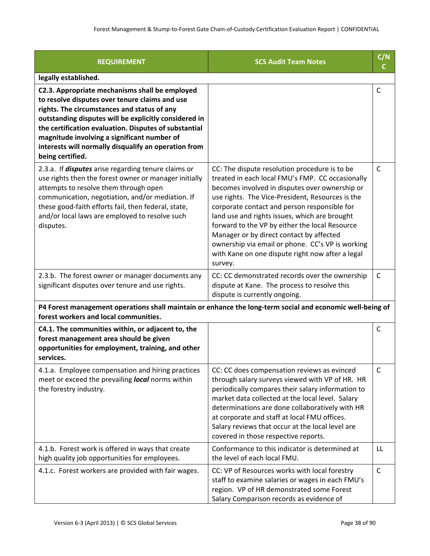| <b>REQUIREMENT</b>                                                                                                                                                                                                                                                                                                                                                                           | <b>SCS Audit Team Notes</b>                                                                                                                                                                                                                                                                                                                                                                                                                                                                                               | C/N<br>C     |
|----------------------------------------------------------------------------------------------------------------------------------------------------------------------------------------------------------------------------------------------------------------------------------------------------------------------------------------------------------------------------------------------|---------------------------------------------------------------------------------------------------------------------------------------------------------------------------------------------------------------------------------------------------------------------------------------------------------------------------------------------------------------------------------------------------------------------------------------------------------------------------------------------------------------------------|--------------|
| legally established.                                                                                                                                                                                                                                                                                                                                                                         |                                                                                                                                                                                                                                                                                                                                                                                                                                                                                                                           |              |
| C2.3. Appropriate mechanisms shall be employed<br>to resolve disputes over tenure claims and use<br>rights. The circumstances and status of any<br>outstanding disputes will be explicitly considered in<br>the certification evaluation. Disputes of substantial<br>magnitude involving a significant number of<br>interests will normally disqualify an operation from<br>being certified. |                                                                                                                                                                                                                                                                                                                                                                                                                                                                                                                           | C            |
| 2.3.a. If <i>disputes</i> arise regarding tenure claims or<br>use rights then the forest owner or manager initially<br>attempts to resolve them through open<br>communication, negotiation, and/or mediation. If<br>these good-faith efforts fail, then federal, state,<br>and/or local laws are employed to resolve such<br>disputes.                                                       | CC: The dispute resolution procedure is to be<br>treated in each local FMU's FMP. CC occasionally<br>becomes involved in disputes over ownership or<br>use rights. The Vice-President, Resources is the<br>corporate contact and person responsible for<br>land use and rights issues, which are brought<br>forward to the VP by either the local Resource<br>Manager or by direct contact by affected<br>ownership via email or phone. CC's VP is working<br>with Kane on one dispute right now after a legal<br>survey. | C            |
| 2.3.b. The forest owner or manager documents any<br>significant disputes over tenure and use rights.                                                                                                                                                                                                                                                                                         | CC: CC demonstrated records over the ownership<br>dispute at Kane. The process to resolve this<br>dispute is currently ongoing.                                                                                                                                                                                                                                                                                                                                                                                           | C            |
| P4 Forest management operations shall maintain or enhance the long-term social and economic well-being of<br>forest workers and local communities.                                                                                                                                                                                                                                           |                                                                                                                                                                                                                                                                                                                                                                                                                                                                                                                           |              |
| C4.1. The communities within, or adjacent to, the<br>forest management area should be given<br>opportunities for employment, training, and other<br>services.                                                                                                                                                                                                                                |                                                                                                                                                                                                                                                                                                                                                                                                                                                                                                                           | C            |
| 4.1.a. Employee compensation and hiring practices<br>meet or exceed the prevailing local norms within<br>the forestry industry.                                                                                                                                                                                                                                                              | CC: CC does compensation reviews as evinced<br>through salary surveys viewed with VP of HR. HR<br>periodically compares their salary information to<br>market data collected at the local level. Salary<br>determinations are done collaboratively with HR<br>at corporate and staff at local FMU offices.<br>Salary reviews that occur at the local level are<br>covered in those respective reports.                                                                                                                    | C            |
| 4.1.b. Forest work is offered in ways that create<br>high quality job opportunities for employees.                                                                                                                                                                                                                                                                                           | Conformance to this indicator is determined at<br>the level of each local FMU.                                                                                                                                                                                                                                                                                                                                                                                                                                            | LL           |
| 4.1.c. Forest workers are provided with fair wages.                                                                                                                                                                                                                                                                                                                                          | CC: VP of Resources works with local forestry<br>staff to examine salaries or wages in each FMU's<br>region. VP of HR demonstrated some Forest<br>Salary Comparison records as evidence of                                                                                                                                                                                                                                                                                                                                | $\mathsf{C}$ |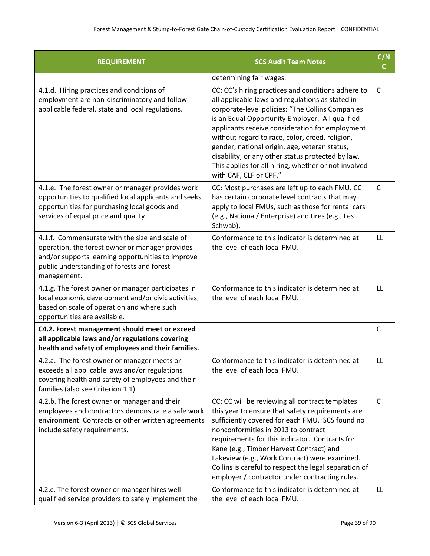| <b>REQUIREMENT</b>                                                                                                                                                                                                  | <b>SCS Audit Team Notes</b>                                                                                                                                                                                                                                                                                                                                                                                                                                                                                 |              |
|---------------------------------------------------------------------------------------------------------------------------------------------------------------------------------------------------------------------|-------------------------------------------------------------------------------------------------------------------------------------------------------------------------------------------------------------------------------------------------------------------------------------------------------------------------------------------------------------------------------------------------------------------------------------------------------------------------------------------------------------|--------------|
|                                                                                                                                                                                                                     | determining fair wages.                                                                                                                                                                                                                                                                                                                                                                                                                                                                                     |              |
| 4.1.d. Hiring practices and conditions of<br>employment are non-discriminatory and follow<br>applicable federal, state and local regulations.                                                                       | CC: CC's hiring practices and conditions adhere to<br>all applicable laws and regulations as stated in<br>corporate-level policies: "The Collins Companies<br>is an Equal Opportunity Employer. All qualified<br>applicants receive consideration for employment<br>without regard to race, color, creed, religion,<br>gender, national origin, age, veteran status,<br>disability, or any other status protected by law.<br>This applies for all hiring, whether or not involved<br>with CAF, CLF or CPF." | $\mathsf{C}$ |
| 4.1.e. The forest owner or manager provides work<br>opportunities to qualified local applicants and seeks<br>opportunities for purchasing local goods and<br>services of equal price and quality.                   | CC: Most purchases are left up to each FMU. CC<br>has certain corporate level contracts that may<br>apply to local FMUs, such as those for rental cars<br>(e.g., National/ Enterprise) and tires (e.g., Les<br>Schwab).                                                                                                                                                                                                                                                                                     | $\mathsf{C}$ |
| 4.1.f. Commensurate with the size and scale of<br>operation, the forest owner or manager provides<br>and/or supports learning opportunities to improve<br>public understanding of forests and forest<br>management. | Conformance to this indicator is determined at<br>the level of each local FMU.                                                                                                                                                                                                                                                                                                                                                                                                                              | LL           |
| 4.1.g. The forest owner or manager participates in<br>local economic development and/or civic activities,<br>based on scale of operation and where such<br>opportunities are available.                             | Conformance to this indicator is determined at<br>the level of each local FMU.                                                                                                                                                                                                                                                                                                                                                                                                                              | LL           |
| C4.2. Forest management should meet or exceed<br>all applicable laws and/or regulations covering<br>health and safety of employees and their families.                                                              |                                                                                                                                                                                                                                                                                                                                                                                                                                                                                                             | $\mathsf{C}$ |
| 4.2.a. The forest owner or manager meets or<br>exceeds all applicable laws and/or regulations<br>covering health and safety of employees and their<br>families (also see Criterion 1.1).                            | Conformance to this indicator is determined at<br>the level of each local FMU.                                                                                                                                                                                                                                                                                                                                                                                                                              | LL           |
| 4.2.b. The forest owner or manager and their<br>employees and contractors demonstrate a safe work<br>environment. Contracts or other written agreements<br>include safety requirements.                             | CC: CC will be reviewing all contract templates<br>this year to ensure that safety requirements are<br>sufficiently covered for each FMU. SCS found no<br>nonconformities in 2013 to contract<br>requirements for this indicator. Contracts for<br>Kane (e.g., Timber Harvest Contract) and<br>Lakeview (e.g., Work Contract) were examined.<br>Collins is careful to respect the legal separation of<br>employer / contractor under contracting rules.                                                     | C            |
| 4.2.c. The forest owner or manager hires well-<br>qualified service providers to safely implement the                                                                                                               | Conformance to this indicator is determined at<br>the level of each local FMU.                                                                                                                                                                                                                                                                                                                                                                                                                              | LL           |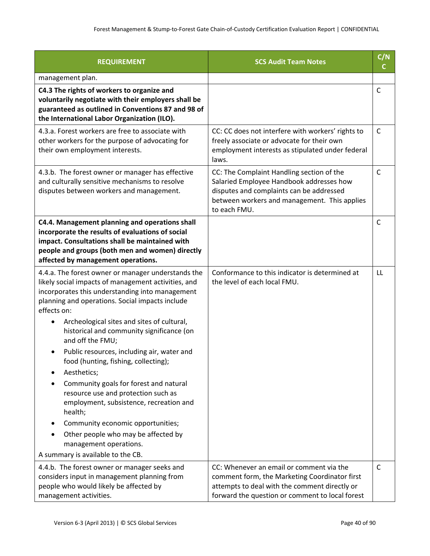| <b>REQUIREMENT</b>                                                                                                                                                                                                                            | <b>SCS Audit Team Notes</b>                                                                                                                                                                       | C/N<br>C.    |
|-----------------------------------------------------------------------------------------------------------------------------------------------------------------------------------------------------------------------------------------------|---------------------------------------------------------------------------------------------------------------------------------------------------------------------------------------------------|--------------|
| management plan.                                                                                                                                                                                                                              |                                                                                                                                                                                                   |              |
| C4.3 The rights of workers to organize and<br>voluntarily negotiate with their employers shall be<br>guaranteed as outlined in Conventions 87 and 98 of<br>the International Labor Organization (ILO).                                        |                                                                                                                                                                                                   | $\mathsf{C}$ |
| 4.3.a. Forest workers are free to associate with<br>other workers for the purpose of advocating for<br>their own employment interests.                                                                                                        | CC: CC does not interfere with workers' rights to<br>freely associate or advocate for their own<br>employment interests as stipulated under federal<br>laws.                                      | $\mathsf{C}$ |
| 4.3.b. The forest owner or manager has effective<br>and culturally sensitive mechanisms to resolve<br>disputes between workers and management.                                                                                                | CC: The Complaint Handling section of the<br>Salaried Employee Handbook addresses how<br>disputes and complaints can be addressed<br>between workers and management. This applies<br>to each FMU. | $\mathsf{C}$ |
| C4.4. Management planning and operations shall<br>incorporate the results of evaluations of social<br>impact. Consultations shall be maintained with<br>people and groups (both men and women) directly<br>affected by management operations. |                                                                                                                                                                                                   | C            |
| 4.4.a. The forest owner or manager understands the<br>likely social impacts of management activities, and<br>incorporates this understanding into management<br>planning and operations. Social impacts include<br>effects on:                | Conformance to this indicator is determined at<br>the level of each local FMU.                                                                                                                    | LL           |
| Archeological sites and sites of cultural,<br>historical and community significance (on<br>and off the FMU;                                                                                                                                   |                                                                                                                                                                                                   |              |
| Public resources, including air, water and<br>food (hunting, fishing, collecting);<br>Aesthetics;                                                                                                                                             |                                                                                                                                                                                                   |              |
| Community goals for forest and natural<br>resource use and protection such as<br>employment, subsistence, recreation and<br>health;                                                                                                           |                                                                                                                                                                                                   |              |
| Community economic opportunities;                                                                                                                                                                                                             |                                                                                                                                                                                                   |              |
| Other people who may be affected by<br>management operations.                                                                                                                                                                                 |                                                                                                                                                                                                   |              |
| A summary is available to the CB.                                                                                                                                                                                                             |                                                                                                                                                                                                   |              |
| 4.4.b. The forest owner or manager seeks and<br>considers input in management planning from<br>people who would likely be affected by<br>management activities.                                                                               | CC: Whenever an email or comment via the<br>comment form, the Marketing Coordinator first<br>attempts to deal with the comment directly or<br>forward the question or comment to local forest     | $\mathsf{C}$ |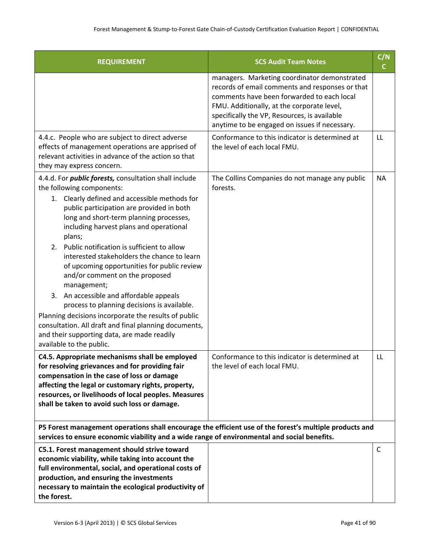| <b>REQUIREMENT</b>                                                                                                                                                                                                                                                                                                                                                                                                                                                                                                                                                                                                                                                                                                                                                                   | <b>SCS Audit Team Notes</b>                                                                                                                                                                                                                                                                  | C/N<br>C. |
|--------------------------------------------------------------------------------------------------------------------------------------------------------------------------------------------------------------------------------------------------------------------------------------------------------------------------------------------------------------------------------------------------------------------------------------------------------------------------------------------------------------------------------------------------------------------------------------------------------------------------------------------------------------------------------------------------------------------------------------------------------------------------------------|----------------------------------------------------------------------------------------------------------------------------------------------------------------------------------------------------------------------------------------------------------------------------------------------|-----------|
|                                                                                                                                                                                                                                                                                                                                                                                                                                                                                                                                                                                                                                                                                                                                                                                      | managers. Marketing coordinator demonstrated<br>records of email comments and responses or that<br>comments have been forwarded to each local<br>FMU. Additionally, at the corporate level,<br>specifically the VP, Resources, is available<br>anytime to be engaged on issues if necessary. |           |
| 4.4.c. People who are subject to direct adverse<br>effects of management operations are apprised of<br>relevant activities in advance of the action so that<br>they may express concern.                                                                                                                                                                                                                                                                                                                                                                                                                                                                                                                                                                                             | Conformance to this indicator is determined at<br>the level of each local FMU.                                                                                                                                                                                                               | LL        |
| 4.4.d. For <i>public forests</i> , consultation shall include<br>the following components:<br>1. Clearly defined and accessible methods for<br>public participation are provided in both<br>long and short-term planning processes,<br>including harvest plans and operational<br>plans;<br>Public notification is sufficient to allow<br>2.<br>interested stakeholders the chance to learn<br>of upcoming opportunities for public review<br>and/or comment on the proposed<br>management;<br>An accessible and affordable appeals<br>3.<br>process to planning decisions is available.<br>Planning decisions incorporate the results of public<br>consultation. All draft and final planning documents,<br>and their supporting data, are made readily<br>available to the public. | The Collins Companies do not manage any public<br>forests.                                                                                                                                                                                                                                   | <b>NA</b> |
| C4.5. Appropriate mechanisms shall be employed<br>for resolving grievances and for providing fair<br>compensation in the case of loss or damage<br>affecting the legal or customary rights, property,<br>resources, or livelihoods of local peoples. Measures<br>shall be taken to avoid such loss or damage.                                                                                                                                                                                                                                                                                                                                                                                                                                                                        | Conformance to this indicator is determined at<br>the level of each local FMU.                                                                                                                                                                                                               | LL        |
| P5 Forest management operations shall encourage the efficient use of the forest's multiple products and<br>services to ensure economic viability and a wide range of environmental and social benefits.                                                                                                                                                                                                                                                                                                                                                                                                                                                                                                                                                                              |                                                                                                                                                                                                                                                                                              |           |
| C5.1. Forest management should strive toward<br>economic viability, while taking into account the<br>full environmental, social, and operational costs of<br>production, and ensuring the investments<br>necessary to maintain the ecological productivity of<br>the forest.                                                                                                                                                                                                                                                                                                                                                                                                                                                                                                         |                                                                                                                                                                                                                                                                                              | C         |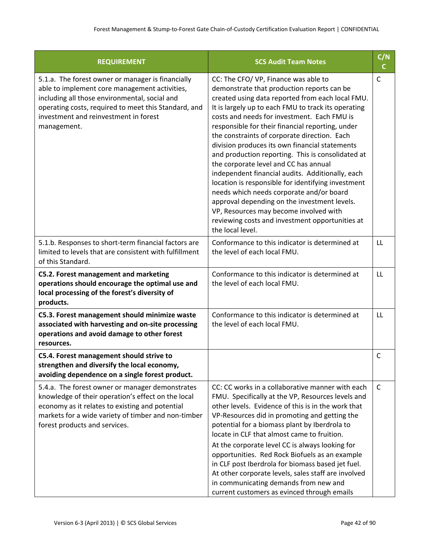| <b>REQUIREMENT</b>                                                                                                                                                                                                                                                  | <b>SCS Audit Team Notes</b>                                                                                                                                                                                                                                                                                                                                                                                                                                                                                                                                                                                                                                                                                                                                                                                             | C/N<br>C     |
|---------------------------------------------------------------------------------------------------------------------------------------------------------------------------------------------------------------------------------------------------------------------|-------------------------------------------------------------------------------------------------------------------------------------------------------------------------------------------------------------------------------------------------------------------------------------------------------------------------------------------------------------------------------------------------------------------------------------------------------------------------------------------------------------------------------------------------------------------------------------------------------------------------------------------------------------------------------------------------------------------------------------------------------------------------------------------------------------------------|--------------|
| 5.1.a. The forest owner or manager is financially<br>able to implement core management activities,<br>including all those environmental, social and<br>operating costs, required to meet this Standard, and<br>investment and reinvestment in forest<br>management. | CC: The CFO/ VP, Finance was able to<br>demonstrate that production reports can be<br>created using data reported from each local FMU.<br>It is largely up to each FMU to track its operating<br>costs and needs for investment. Each FMU is<br>responsible for their financial reporting, under<br>the constraints of corporate direction. Each<br>division produces its own financial statements<br>and production reporting. This is consolidated at<br>the corporate level and CC has annual<br>independent financial audits. Additionally, each<br>location is responsible for identifying investment<br>needs which needs corporate and/or board<br>approval depending on the investment levels.<br>VP, Resources may become involved with<br>reviewing costs and investment opportunities at<br>the local level. | $\mathsf{C}$ |
| 5.1.b. Responses to short-term financial factors are<br>limited to levels that are consistent with fulfillment<br>of this Standard.                                                                                                                                 | Conformance to this indicator is determined at<br>the level of each local FMU.                                                                                                                                                                                                                                                                                                                                                                                                                                                                                                                                                                                                                                                                                                                                          | LL           |
| C5.2. Forest management and marketing<br>operations should encourage the optimal use and<br>local processing of the forest's diversity of<br>products.                                                                                                              | Conformance to this indicator is determined at<br>the level of each local FMU.                                                                                                                                                                                                                                                                                                                                                                                                                                                                                                                                                                                                                                                                                                                                          | LL           |
| C5.3. Forest management should minimize waste<br>associated with harvesting and on-site processing<br>operations and avoid damage to other forest<br>resources.                                                                                                     | Conformance to this indicator is determined at<br>the level of each local FMU.                                                                                                                                                                                                                                                                                                                                                                                                                                                                                                                                                                                                                                                                                                                                          | LL           |
| C5.4. Forest management should strive to<br>strengthen and diversify the local economy,<br>avoiding dependence on a single forest product.                                                                                                                          |                                                                                                                                                                                                                                                                                                                                                                                                                                                                                                                                                                                                                                                                                                                                                                                                                         | $\mathsf{C}$ |
| 5.4.a. The forest owner or manager demonstrates<br>knowledge of their operation's effect on the local<br>economy as it relates to existing and potential<br>markets for a wide variety of timber and non-timber<br>forest products and services.                    | CC: CC works in a collaborative manner with each<br>FMU. Specifically at the VP, Resources levels and<br>other levels. Evidence of this is in the work that<br>VP-Resources did in promoting and getting the<br>potential for a biomass plant by Iberdrola to<br>locate in CLF that almost came to fruition.<br>At the corporate level CC is always looking for<br>opportunities. Red Rock Biofuels as an example<br>in CLF post Iberdrola for biomass based jet fuel.<br>At other corporate levels, sales staff are involved<br>in communicating demands from new and<br>current customers as evinced through emails                                                                                                                                                                                                   | C            |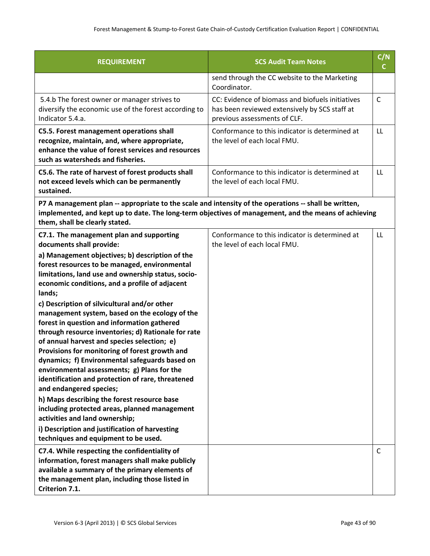| <b>REQUIREMENT</b>                                                                                                                                                                                                                                                                                                                                                                                                                                                                     | <b>SCS Audit Team Notes</b>                                                                                                       | C/N<br>C.    |
|----------------------------------------------------------------------------------------------------------------------------------------------------------------------------------------------------------------------------------------------------------------------------------------------------------------------------------------------------------------------------------------------------------------------------------------------------------------------------------------|-----------------------------------------------------------------------------------------------------------------------------------|--------------|
|                                                                                                                                                                                                                                                                                                                                                                                                                                                                                        | send through the CC website to the Marketing<br>Coordinator.                                                                      |              |
| 5.4.b The forest owner or manager strives to<br>diversify the economic use of the forest according to<br>Indicator 5.4.a.                                                                                                                                                                                                                                                                                                                                                              | CC: Evidence of biomass and biofuels initiatives<br>has been reviewed extensively by SCS staff at<br>previous assessments of CLF. | $\mathsf{C}$ |
| C5.5. Forest management operations shall<br>recognize, maintain, and, where appropriate,<br>enhance the value of forest services and resources<br>such as watersheds and fisheries.                                                                                                                                                                                                                                                                                                    | Conformance to this indicator is determined at<br>the level of each local FMU.                                                    | LL           |
| C5.6. The rate of harvest of forest products shall<br>not exceed levels which can be permanently<br>sustained.                                                                                                                                                                                                                                                                                                                                                                         | Conformance to this indicator is determined at<br>the level of each local FMU.                                                    | LL           |
| P7 A management plan -- appropriate to the scale and intensity of the operations -- shall be written,<br>implemented, and kept up to date. The long-term objectives of management, and the means of achieving<br>them, shall be clearly stated.                                                                                                                                                                                                                                        |                                                                                                                                   |              |
| C7.1. The management plan and supporting<br>documents shall provide:                                                                                                                                                                                                                                                                                                                                                                                                                   | Conformance to this indicator is determined at<br>the level of each local FMU.                                                    | LL           |
| a) Management objectives; b) description of the<br>forest resources to be managed, environmental<br>limitations, land use and ownership status, socio-<br>economic conditions, and a profile of adjacent<br>lands;                                                                                                                                                                                                                                                                     |                                                                                                                                   |              |
| c) Description of silvicultural and/or other<br>management system, based on the ecology of the<br>forest in question and information gathered<br>through resource inventories; d) Rationale for rate<br>of annual harvest and species selection; e)<br>Provisions for monitoring of forest growth and<br>dynamics; f) Environmental safeguards based on<br>environmental assessments; g) Plans for the<br>identification and protection of rare, threatened<br>and endangered species; |                                                                                                                                   |              |
| h) Maps describing the forest resource base<br>including protected areas, planned management<br>activities and land ownership;                                                                                                                                                                                                                                                                                                                                                         |                                                                                                                                   |              |
| i) Description and justification of harvesting<br>techniques and equipment to be used.                                                                                                                                                                                                                                                                                                                                                                                                 |                                                                                                                                   |              |
| C7.4. While respecting the confidentiality of<br>information, forest managers shall make publicly<br>available a summary of the primary elements of<br>the management plan, including those listed in<br>Criterion 7.1.                                                                                                                                                                                                                                                                |                                                                                                                                   | C            |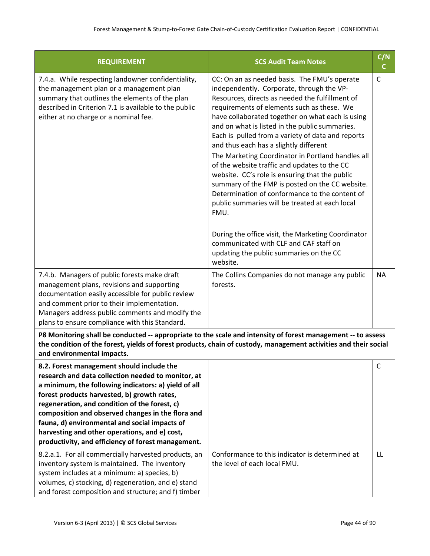| <b>REQUIREMENT</b>                                                                                                                                                                                                                                                                                                                                                                                                                                                   | <b>SCS Audit Team Notes</b>                                                                                                                                                                                                                                                                                                                                                                                                                                                                                                                                                                                                                                                                                                                                                                                                                                                  | C/N<br>C. |
|----------------------------------------------------------------------------------------------------------------------------------------------------------------------------------------------------------------------------------------------------------------------------------------------------------------------------------------------------------------------------------------------------------------------------------------------------------------------|------------------------------------------------------------------------------------------------------------------------------------------------------------------------------------------------------------------------------------------------------------------------------------------------------------------------------------------------------------------------------------------------------------------------------------------------------------------------------------------------------------------------------------------------------------------------------------------------------------------------------------------------------------------------------------------------------------------------------------------------------------------------------------------------------------------------------------------------------------------------------|-----------|
| 7.4.a. While respecting landowner confidentiality,<br>the management plan or a management plan<br>summary that outlines the elements of the plan<br>described in Criterion 7.1 is available to the public<br>either at no charge or a nominal fee.                                                                                                                                                                                                                   | CC: On an as needed basis. The FMU's operate<br>independently. Corporate, through the VP-<br>Resources, directs as needed the fulfillment of<br>requirements of elements such as these. We<br>have collaborated together on what each is using<br>and on what is listed in the public summaries.<br>Each is pulled from a variety of data and reports<br>and thus each has a slightly different<br>The Marketing Coordinator in Portland handles all<br>of the website traffic and updates to the CC<br>website. CC's role is ensuring that the public<br>summary of the FMP is posted on the CC website.<br>Determination of conformance to the content of<br>public summaries will be treated at each local<br>FMU.<br>During the office visit, the Marketing Coordinator<br>communicated with CLF and CAF staff on<br>updating the public summaries on the CC<br>website. | C         |
| 7.4.b. Managers of public forests make draft<br>management plans, revisions and supporting<br>documentation easily accessible for public review<br>and comment prior to their implementation.<br>Managers address public comments and modify the<br>plans to ensure compliance with this Standard.                                                                                                                                                                   | The Collins Companies do not manage any public<br>forests.                                                                                                                                                                                                                                                                                                                                                                                                                                                                                                                                                                                                                                                                                                                                                                                                                   | <b>NA</b> |
| P8 Monitoring shall be conducted -- appropriate to the scale and intensity of forest management -- to assess<br>the condition of the forest, yields of forest products, chain of custody, management activities and their social<br>and environmental impacts.                                                                                                                                                                                                       |                                                                                                                                                                                                                                                                                                                                                                                                                                                                                                                                                                                                                                                                                                                                                                                                                                                                              |           |
| 8.2. Forest management should include the<br>research and data collection needed to monitor, at<br>a minimum, the following indicators: a) yield of all<br>forest products harvested, b) growth rates,<br>regeneration, and condition of the forest, c)<br>composition and observed changes in the flora and<br>fauna, d) environmental and social impacts of<br>harvesting and other operations, and e) cost,<br>productivity, and efficiency of forest management. |                                                                                                                                                                                                                                                                                                                                                                                                                                                                                                                                                                                                                                                                                                                                                                                                                                                                              | C         |
| 8.2.a.1. For all commercially harvested products, an<br>inventory system is maintained. The inventory<br>system includes at a minimum: a) species, b)<br>volumes, c) stocking, d) regeneration, and e) stand                                                                                                                                                                                                                                                         | Conformance to this indicator is determined at<br>the level of each local FMU.                                                                                                                                                                                                                                                                                                                                                                                                                                                                                                                                                                                                                                                                                                                                                                                               | LL        |

and forest composition and structure; and f) timber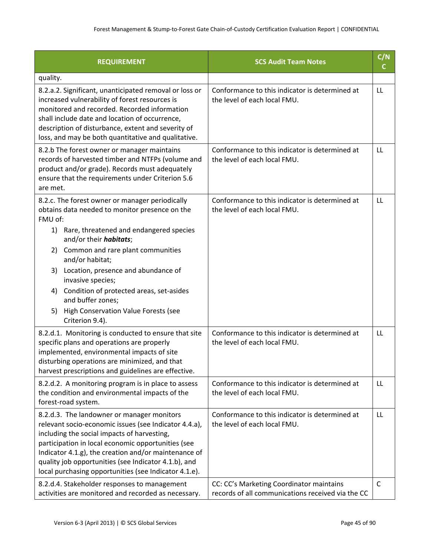| <b>REQUIREMENT</b>                                                                                                                                                                                                                                                                                                                                                                                                                                                | <b>SCS Audit Team Notes</b>                                                                   | C/N<br>C |
|-------------------------------------------------------------------------------------------------------------------------------------------------------------------------------------------------------------------------------------------------------------------------------------------------------------------------------------------------------------------------------------------------------------------------------------------------------------------|-----------------------------------------------------------------------------------------------|----------|
| quality.                                                                                                                                                                                                                                                                                                                                                                                                                                                          |                                                                                               |          |
| 8.2.a.2. Significant, unanticipated removal or loss or<br>increased vulnerability of forest resources is<br>monitored and recorded. Recorded information<br>shall include date and location of occurrence,<br>description of disturbance, extent and severity of<br>loss, and may be both quantitative and qualitative.                                                                                                                                           | Conformance to this indicator is determined at<br>the level of each local FMU.                | LL       |
| 8.2.b The forest owner or manager maintains<br>records of harvested timber and NTFPs (volume and<br>product and/or grade). Records must adequately<br>ensure that the requirements under Criterion 5.6<br>are met.                                                                                                                                                                                                                                                | Conformance to this indicator is determined at<br>the level of each local FMU.                | LL       |
| 8.2.c. The forest owner or manager periodically<br>obtains data needed to monitor presence on the<br>FMU of:<br>1) Rare, threatened and endangered species<br>and/or their <i>habitats</i> ;<br>Common and rare plant communities<br>2)<br>and/or habitat;<br>Location, presence and abundance of<br>3)<br>invasive species;<br>Condition of protected areas, set-asides<br>4)<br>and buffer zones;<br>5) High Conservation Value Forests (see<br>Criterion 9.4). | Conformance to this indicator is determined at<br>the level of each local FMU.                | LL       |
| 8.2.d.1. Monitoring is conducted to ensure that site<br>specific plans and operations are properly<br>implemented, environmental impacts of site<br>disturbing operations are minimized, and that<br>harvest prescriptions and guidelines are effective.                                                                                                                                                                                                          | Conformance to this indicator is determined at<br>the level of each local FMU.                | LL       |
| 8.2.d.2. A monitoring program is in place to assess<br>the condition and environmental impacts of the<br>forest-road system.                                                                                                                                                                                                                                                                                                                                      | Conformance to this indicator is determined at<br>the level of each local FMU.                | LL       |
| 8.2.d.3. The landowner or manager monitors<br>relevant socio-economic issues (see Indicator 4.4.a),<br>including the social impacts of harvesting,<br>participation in local economic opportunities (see<br>Indicator 4.1.g), the creation and/or maintenance of<br>quality job opportunities (see Indicator 4.1.b), and<br>local purchasing opportunities (see Indicator 4.1.e).                                                                                 | Conformance to this indicator is determined at<br>the level of each local FMU.                | LL       |
| 8.2.d.4. Stakeholder responses to management<br>activities are monitored and recorded as necessary.                                                                                                                                                                                                                                                                                                                                                               | CC: CC's Marketing Coordinator maintains<br>records of all communications received via the CC | C        |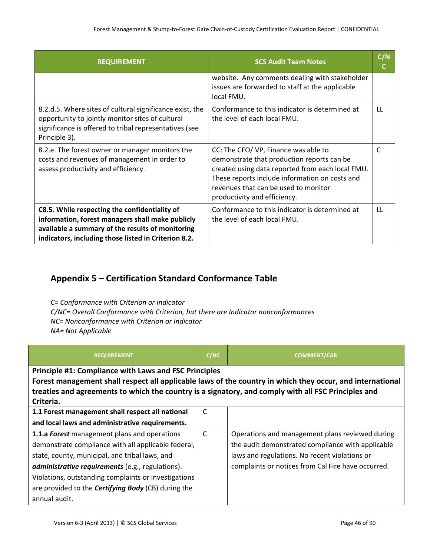| <b>REQUIREMENT</b>                                                                                                                                                                                            | <b>SCS Audit Team Notes</b>                                                                                                                                                                                                                                      | C/N<br>C  |
|---------------------------------------------------------------------------------------------------------------------------------------------------------------------------------------------------------------|------------------------------------------------------------------------------------------------------------------------------------------------------------------------------------------------------------------------------------------------------------------|-----------|
|                                                                                                                                                                                                               | website. Any comments dealing with stakeholder<br>issues are forwarded to staff at the applicable<br>local FMU.                                                                                                                                                  |           |
| 8.2.d.5. Where sites of cultural significance exist, the<br>opportunity to jointly monitor sites of cultural<br>significance is offered to tribal representatives (see<br>Principle 3).                       | Conformance to this indicator is determined at<br>the level of each local FMU.                                                                                                                                                                                   | <b>LL</b> |
| 8.2.e. The forest owner or manager monitors the<br>costs and revenues of management in order to<br>assess productivity and efficiency.                                                                        | CC: The CFO/ VP, Finance was able to<br>demonstrate that production reports can be<br>created using data reported from each local FMU.<br>These reports include information on costs and<br>revenues that can be used to monitor<br>productivity and efficiency. | C         |
| C8.5. While respecting the confidentiality of<br>information, forest managers shall make publicly<br>available a summary of the results of monitoring<br>indicators, including those listed in Criterion 8.2. | Conformance to this indicator is determined at<br>the level of each local FMU.                                                                                                                                                                                   | LL        |

## **Appendix 5 – Certification Standard Conformance Table**

*C= Conformance with Criterion or Indicator C/NC= Overall Conformance with Criterion, but there are Indicator nonconformances NC= Nonconformance with Criterion or Indicator NA= Not Applicable*

| <b>REQUIREMENT</b>                                                                                        | C/NC         | <b>COMMENT/CAR</b>                                 |  |
|-----------------------------------------------------------------------------------------------------------|--------------|----------------------------------------------------|--|
| <b>Principle #1: Compliance with Laws and FSC Principles</b>                                              |              |                                                    |  |
| Forest management shall respect all applicable laws of the country in which they occur, and international |              |                                                    |  |
| treaties and agreements to which the country is a signatory, and comply with all FSC Principles and       |              |                                                    |  |
| Criteria.                                                                                                 |              |                                                    |  |
| 1.1 Forest management shall respect all national                                                          | С            |                                                    |  |
| and local laws and administrative requirements.                                                           |              |                                                    |  |
| 1.1.a Forest management plans and operations                                                              | $\mathsf{C}$ | Operations and management plans reviewed during    |  |
| demonstrate compliance with all applicable federal,                                                       |              | the audit demonstrated compliance with applicable  |  |
| state, county, municipal, and tribal laws, and                                                            |              | laws and regulations. No recent violations or      |  |
| <b>administrative requirements</b> (e.g., regulations).                                                   |              | complaints or notices from Cal Fire have occurred. |  |
| Violations, outstanding complaints or investigations                                                      |              |                                                    |  |
| are provided to the <b>Certifying Body</b> (CB) during the                                                |              |                                                    |  |
| annual audit.                                                                                             |              |                                                    |  |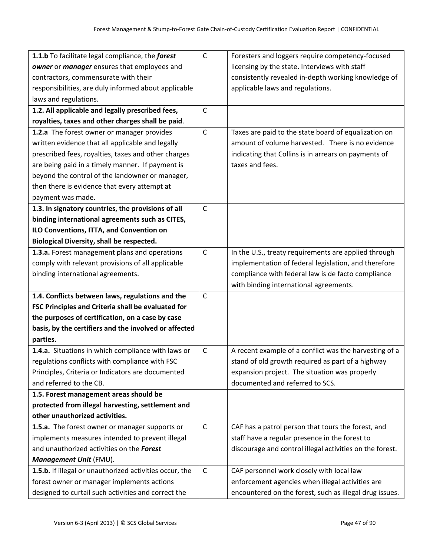| 1.1.b To facilitate legal compliance, the forest        | $\mathsf C$  | Foresters and loggers require competency-focused         |
|---------------------------------------------------------|--------------|----------------------------------------------------------|
| owner or manager ensures that employees and             |              | licensing by the state. Interviews with staff            |
| contractors, commensurate with their                    |              | consistently revealed in-depth working knowledge of      |
| responsibilities, are duly informed about applicable    |              | applicable laws and regulations.                         |
| laws and regulations.                                   |              |                                                          |
| 1.2. All applicable and legally prescribed fees,        | $\mathsf C$  |                                                          |
| royalties, taxes and other charges shall be paid.       |              |                                                          |
| 1.2.a The forest owner or manager provides              | $\mathsf C$  | Taxes are paid to the state board of equalization on     |
| written evidence that all applicable and legally        |              | amount of volume harvested. There is no evidence         |
| prescribed fees, royalties, taxes and other charges     |              | indicating that Collins is in arrears on payments of     |
| are being paid in a timely manner. If payment is        |              | taxes and fees.                                          |
| beyond the control of the landowner or manager,         |              |                                                          |
| then there is evidence that every attempt at            |              |                                                          |
| payment was made.                                       |              |                                                          |
| 1.3. In signatory countries, the provisions of all      | $\mathsf{C}$ |                                                          |
| binding international agreements such as CITES,         |              |                                                          |
| ILO Conventions, ITTA, and Convention on                |              |                                                          |
| <b>Biological Diversity, shall be respected.</b>        |              |                                                          |
| 1.3.a. Forest management plans and operations           | $\mathsf C$  | In the U.S., treaty requirements are applied through     |
| comply with relevant provisions of all applicable       |              | implementation of federal legislation, and therefore     |
| binding international agreements.                       |              | compliance with federal law is de facto compliance       |
|                                                         |              | with binding international agreements.                   |
| 1.4. Conflicts between laws, regulations and the        | $\mathsf{C}$ |                                                          |
| FSC Principles and Criteria shall be evaluated for      |              |                                                          |
| the purposes of certification, on a case by case        |              |                                                          |
| basis, by the certifiers and the involved or affected   |              |                                                          |
| parties.                                                |              |                                                          |
| 1.4.a. Situations in which compliance with laws or      | $\mathsf C$  | A recent example of a conflict was the harvesting of a   |
| regulations conflicts with compliance with FSC          |              | stand of old growth required as part of a highway        |
| Principles, Criteria or Indicators are documented       |              | expansion project. The situation was properly            |
| and referred to the CB.                                 |              | documented and referred to SCS.                          |
| 1.5. Forest management areas should be                  |              |                                                          |
| protected from illegal harvesting, settlement and       |              |                                                          |
| other unauthorized activities.                          |              |                                                          |
| 1.5.a. The forest owner or manager supports or          | $\mathsf{C}$ | CAF has a patrol person that tours the forest, and       |
| implements measures intended to prevent illegal         |              | staff have a regular presence in the forest to           |
| and unauthorized activities on the Forest               |              | discourage and control illegal activities on the forest. |
| Management Unit (FMU).                                  |              |                                                          |
| 1.5.b. If illegal or unauthorized activities occur, the | $\mathsf C$  | CAF personnel work closely with local law                |
| forest owner or manager implements actions              |              | enforcement agencies when illegal activities are         |
| designed to curtail such activities and correct the     |              | encountered on the forest, such as illegal drug issues.  |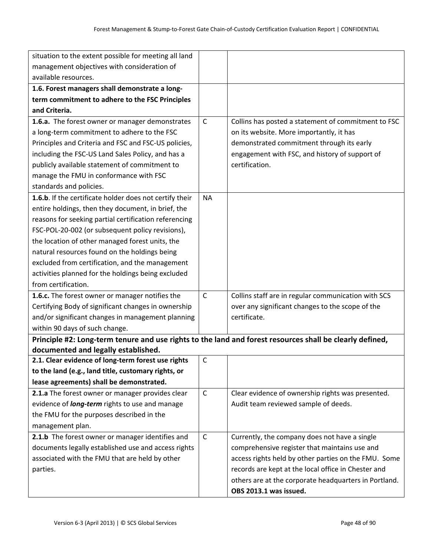| situation to the extent possible for meeting all land                                                    |              |                                                       |
|----------------------------------------------------------------------------------------------------------|--------------|-------------------------------------------------------|
| management objectives with consideration of                                                              |              |                                                       |
| available resources.                                                                                     |              |                                                       |
| 1.6. Forest managers shall demonstrate a long-                                                           |              |                                                       |
| term commitment to adhere to the FSC Principles                                                          |              |                                                       |
| and Criteria.                                                                                            |              |                                                       |
| 1.6.a. The forest owner or manager demonstrates                                                          | $\mathsf{C}$ | Collins has posted a statement of commitment to FSC   |
| a long-term commitment to adhere to the FSC                                                              |              | on its website. More importantly, it has              |
| Principles and Criteria and FSC and FSC-US policies,                                                     |              | demonstrated commitment through its early             |
| including the FSC-US Land Sales Policy, and has a                                                        |              | engagement with FSC, and history of support of        |
| publicly available statement of commitment to                                                            |              | certification.                                        |
| manage the FMU in conformance with FSC                                                                   |              |                                                       |
| standards and policies.                                                                                  |              |                                                       |
| 1.6.b. If the certificate holder does not certify their                                                  | <b>NA</b>    |                                                       |
| entire holdings, then they document, in brief, the                                                       |              |                                                       |
| reasons for seeking partial certification referencing                                                    |              |                                                       |
| FSC-POL-20-002 (or subsequent policy revisions),                                                         |              |                                                       |
| the location of other managed forest units, the                                                          |              |                                                       |
| natural resources found on the holdings being                                                            |              |                                                       |
| excluded from certification, and the management                                                          |              |                                                       |
| activities planned for the holdings being excluded                                                       |              |                                                       |
| from certification.                                                                                      |              |                                                       |
| 1.6.c. The forest owner or manager notifies the                                                          | $\mathsf{C}$ | Collins staff are in regular communication with SCS   |
| Certifying Body of significant changes in ownership                                                      |              | over any significant changes to the scope of the      |
| and/or significant changes in management planning                                                        |              | certificate.                                          |
| within 90 days of such change.                                                                           |              |                                                       |
| Principle #2: Long-term tenure and use rights to the land and forest resources shall be clearly defined, |              |                                                       |
| documented and legally established.                                                                      |              |                                                       |
| 2.1. Clear evidence of long-term forest use rights                                                       | C            |                                                       |
| to the land (e.g., land title, customary rights, or                                                      |              |                                                       |
| lease agreements) shall be demonstrated.                                                                 |              |                                                       |
| 2.1.a The forest owner or manager provides clear                                                         | $\mathsf{C}$ | Clear evidence of ownership rights was presented.     |
| evidence of <i>long-term</i> rights to use and manage                                                    |              | Audit team reviewed sample of deeds.                  |
| the FMU for the purposes described in the                                                                |              |                                                       |
| management plan.                                                                                         |              |                                                       |
| 2.1.b The forest owner or manager identifies and                                                         | $\mathsf{C}$ | Currently, the company does not have a single         |
| documents legally established use and access rights                                                      |              | comprehensive register that maintains use and         |
| associated with the FMU that are held by other                                                           |              | access rights held by other parties on the FMU. Some  |
| parties.                                                                                                 |              | records are kept at the local office in Chester and   |
|                                                                                                          |              | others are at the corporate headquarters in Portland. |
|                                                                                                          |              | OBS 2013.1 was issued.                                |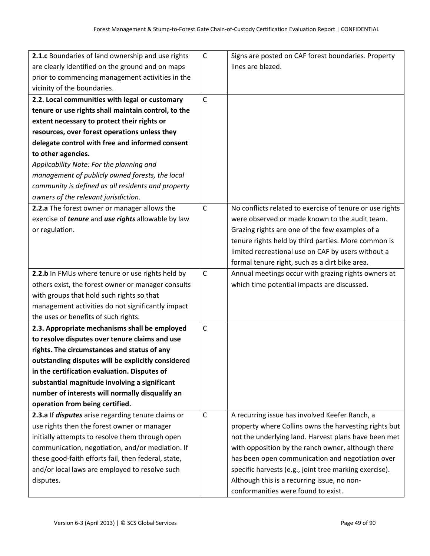| 2.1.c Boundaries of land ownership and use rights                | $\mathsf{C}$ | Signs are posted on CAF forest boundaries. Property      |
|------------------------------------------------------------------|--------------|----------------------------------------------------------|
| are clearly identified on the ground and on maps                 |              | lines are blazed.                                        |
| prior to commencing management activities in the                 |              |                                                          |
| vicinity of the boundaries.                                      |              |                                                          |
| 2.2. Local communities with legal or customary                   | $\mathsf{C}$ |                                                          |
| tenure or use rights shall maintain control, to the              |              |                                                          |
| extent necessary to protect their rights or                      |              |                                                          |
| resources, over forest operations unless they                    |              |                                                          |
| delegate control with free and informed consent                  |              |                                                          |
| to other agencies.                                               |              |                                                          |
| Applicability Note: For the planning and                         |              |                                                          |
| management of publicly owned forests, the local                  |              |                                                          |
| community is defined as all residents and property               |              |                                                          |
| owners of the relevant jurisdiction.                             |              |                                                          |
| 2.2.a The forest owner or manager allows the                     | $\mathsf{C}$ | No conflicts related to exercise of tenure or use rights |
| exercise of <i>tenure</i> and <i>use rights</i> allowable by law |              | were observed or made known to the audit team.           |
| or regulation.                                                   |              | Grazing rights are one of the few examples of a          |
|                                                                  |              | tenure rights held by third parties. More common is      |
|                                                                  |              | limited recreational use on CAF by users without a       |
|                                                                  |              | formal tenure right, such as a dirt bike area.           |
| 2.2.b In FMUs where tenure or use rights held by                 | $\mathsf{C}$ | Annual meetings occur with grazing rights owners at      |
| others exist, the forest owner or manager consults               |              | which time potential impacts are discussed.              |
| with groups that hold such rights so that                        |              |                                                          |
| management activities do not significantly impact                |              |                                                          |
| the uses or benefits of such rights.                             |              |                                                          |
| 2.3. Appropriate mechanisms shall be employed                    | $\mathsf{C}$ |                                                          |
| to resolve disputes over tenure claims and use                   |              |                                                          |
| rights. The circumstances and status of any                      |              |                                                          |
| outstanding disputes will be explicitly considered               |              |                                                          |
| in the certification evaluation. Disputes of                     |              |                                                          |
| substantial magnitude involving a significant                    |              |                                                          |
| number of interests will normally disqualify an                  |              |                                                          |
| operation from being certified.                                  |              |                                                          |
| 2.3.a If disputes arise regarding tenure claims or               | $\mathsf{C}$ | A recurring issue has involved Keefer Ranch, a           |
| use rights then the forest owner or manager                      |              | property where Collins owns the harvesting rights but    |
| initially attempts to resolve them through open                  |              | not the underlying land. Harvest plans have been met     |
| communication, negotiation, and/or mediation. If                 |              | with opposition by the ranch owner, although there       |
| these good-faith efforts fail, then federal, state,              |              | has been open communication and negotiation over         |
| and/or local laws are employed to resolve such                   |              | specific harvests (e.g., joint tree marking exercise).   |
| disputes.                                                        |              | Although this is a recurring issue, no non-              |
|                                                                  |              | conformanities were found to exist.                      |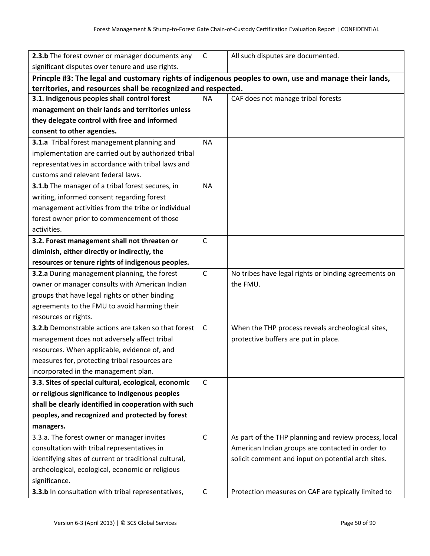| 2.3.b The forest owner or manager documents any                                                       | $\mathsf{C}$ | All such disputes are documented.                     |  |  |
|-------------------------------------------------------------------------------------------------------|--------------|-------------------------------------------------------|--|--|
| significant disputes over tenure and use rights.                                                      |              |                                                       |  |  |
| Princple #3: The legal and customary rights of indigenous peoples to own, use and manage their lands, |              |                                                       |  |  |
| territories, and resources shall be recognized and respected.                                         |              |                                                       |  |  |
| 3.1. Indigenous peoples shall control forest                                                          | <b>NA</b>    | CAF does not manage tribal forests                    |  |  |
| management on their lands and territories unless                                                      |              |                                                       |  |  |
| they delegate control with free and informed                                                          |              |                                                       |  |  |
| consent to other agencies.                                                                            |              |                                                       |  |  |
| 3.1.a Tribal forest management planning and                                                           | <b>NA</b>    |                                                       |  |  |
| implementation are carried out by authorized tribal                                                   |              |                                                       |  |  |
| representatives in accordance with tribal laws and                                                    |              |                                                       |  |  |
| customs and relevant federal laws.                                                                    |              |                                                       |  |  |
| 3.1.b The manager of a tribal forest secures, in                                                      | <b>NA</b>    |                                                       |  |  |
| writing, informed consent regarding forest                                                            |              |                                                       |  |  |
| management activities from the tribe or individual                                                    |              |                                                       |  |  |
| forest owner prior to commencement of those                                                           |              |                                                       |  |  |
| activities.                                                                                           |              |                                                       |  |  |
| 3.2. Forest management shall not threaten or                                                          | $\mathsf C$  |                                                       |  |  |
| diminish, either directly or indirectly, the                                                          |              |                                                       |  |  |
| resources or tenure rights of indigenous peoples.                                                     |              |                                                       |  |  |
| 3.2.a During management planning, the forest                                                          | $\mathsf{C}$ | No tribes have legal rights or binding agreements on  |  |  |
| owner or manager consults with American Indian                                                        |              | the FMU.                                              |  |  |
| groups that have legal rights or other binding                                                        |              |                                                       |  |  |
| agreements to the FMU to avoid harming their                                                          |              |                                                       |  |  |
| resources or rights.                                                                                  |              |                                                       |  |  |
| 3.2.b Demonstrable actions are taken so that forest                                                   | $\mathsf{C}$ | When the THP process reveals archeological sites,     |  |  |
| management does not adversely affect tribal                                                           |              | protective buffers are put in place.                  |  |  |
| resources. When applicable, evidence of, and                                                          |              |                                                       |  |  |
| measures for, protecting tribal resources are                                                         |              |                                                       |  |  |
| incorporated in the management plan.                                                                  |              |                                                       |  |  |
| 3.3. Sites of special cultural, ecological, economic                                                  | $\mathsf{C}$ |                                                       |  |  |
| or religious significance to indigenous peoples                                                       |              |                                                       |  |  |
| shall be clearly identified in cooperation with such                                                  |              |                                                       |  |  |
| peoples, and recognized and protected by forest                                                       |              |                                                       |  |  |
| managers.                                                                                             |              |                                                       |  |  |
| 3.3.a. The forest owner or manager invites                                                            | $\mathsf{C}$ | As part of the THP planning and review process, local |  |  |
| consultation with tribal representatives in                                                           |              | American Indian groups are contacted in order to      |  |  |
| identifying sites of current or traditional cultural,                                                 |              | solicit comment and input on potential arch sites.    |  |  |
| archeological, ecological, economic or religious                                                      |              |                                                       |  |  |
| significance.                                                                                         |              |                                                       |  |  |
| 3.3.b In consultation with tribal representatives,                                                    | $\mathsf C$  | Protection measures on CAF are typically limited to   |  |  |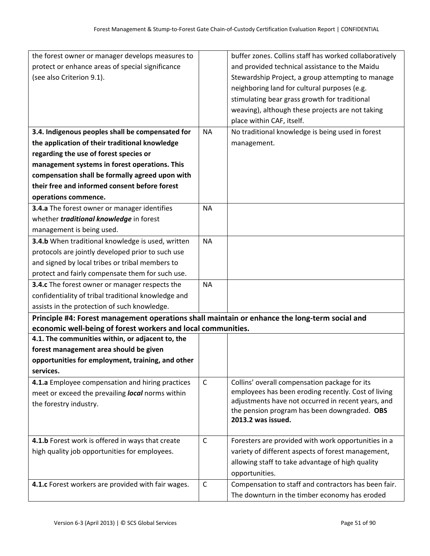| the forest owner or manager develops measures to                                              |              | buffer zones. Collins staff has worked collaboratively                                                    |
|-----------------------------------------------------------------------------------------------|--------------|-----------------------------------------------------------------------------------------------------------|
| protect or enhance areas of special significance                                              |              | and provided technical assistance to the Maidu                                                            |
| (see also Criterion 9.1).                                                                     |              | Stewardship Project, a group attempting to manage                                                         |
|                                                                                               |              | neighboring land for cultural purposes (e.g.                                                              |
|                                                                                               |              | stimulating bear grass growth for traditional                                                             |
|                                                                                               |              | weaving), although these projects are not taking                                                          |
|                                                                                               |              | place within CAF, itself.                                                                                 |
| 3.4. Indigenous peoples shall be compensated for                                              | <b>NA</b>    | No traditional knowledge is being used in forest                                                          |
| the application of their traditional knowledge                                                |              | management.                                                                                               |
| regarding the use of forest species or                                                        |              |                                                                                                           |
| management systems in forest operations. This                                                 |              |                                                                                                           |
| compensation shall be formally agreed upon with                                               |              |                                                                                                           |
| their free and informed consent before forest                                                 |              |                                                                                                           |
| operations commence.                                                                          |              |                                                                                                           |
| 3.4.a The forest owner or manager identifies                                                  | <b>NA</b>    |                                                                                                           |
| whether <i>traditional knowledge</i> in forest                                                |              |                                                                                                           |
| management is being used.                                                                     |              |                                                                                                           |
| 3.4.b When traditional knowledge is used, written                                             | <b>NA</b>    |                                                                                                           |
| protocols are jointly developed prior to such use                                             |              |                                                                                                           |
| and signed by local tribes or tribal members to                                               |              |                                                                                                           |
| protect and fairly compensate them for such use.                                              |              |                                                                                                           |
| 3.4.c The forest owner or manager respects the                                                | <b>NA</b>    |                                                                                                           |
| confidentiality of tribal traditional knowledge and                                           |              |                                                                                                           |
| assists in the protection of such knowledge.                                                  |              |                                                                                                           |
| Principle #4: Forest management operations shall maintain or enhance the long-term social and |              |                                                                                                           |
| economic well-being of forest workers and local communities.                                  |              |                                                                                                           |
| 4.1. The communities within, or adjacent to, the                                              |              |                                                                                                           |
| forest management area should be given                                                        |              |                                                                                                           |
| opportunities for employment, training, and other                                             |              |                                                                                                           |
| services.                                                                                     |              |                                                                                                           |
| 4.1.a Employee compensation and hiring practices                                              | $\mathsf{C}$ | Collins' overall compensation package for its                                                             |
| meet or exceed the prevailing local norms within                                              |              | employees has been eroding recently. Cost of living<br>adjustments have not occurred in recent years, and |
| the forestry industry.                                                                        |              | the pension program has been downgraded. OBS                                                              |
|                                                                                               |              | 2013.2 was issued.                                                                                        |
|                                                                                               |              |                                                                                                           |
| 4.1.b Forest work is offered in ways that create                                              | $\mathsf{C}$ | Foresters are provided with work opportunities in a                                                       |
| high quality job opportunities for employees.                                                 |              | variety of different aspects of forest management,                                                        |
|                                                                                               |              | allowing staff to take advantage of high quality                                                          |
|                                                                                               |              | opportunities.                                                                                            |
| 4.1.c Forest workers are provided with fair wages.                                            | $\mathsf{C}$ | Compensation to staff and contractors has been fair.                                                      |
|                                                                                               |              | The downturn in the timber economy has eroded                                                             |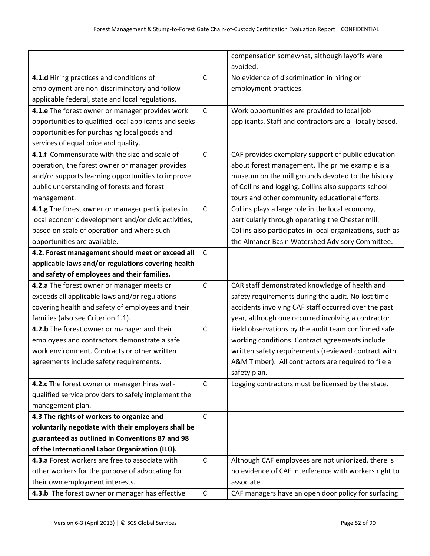|                                                       |              | compensation somewhat, although layoffs were              |
|-------------------------------------------------------|--------------|-----------------------------------------------------------|
|                                                       |              | avoided.                                                  |
| 4.1.d Hiring practices and conditions of              | $\mathsf{C}$ | No evidence of discrimination in hiring or                |
| employment are non-discriminatory and follow          |              | employment practices.                                     |
| applicable federal, state and local regulations.      |              |                                                           |
| 4.1.e The forest owner or manager provides work       | $\mathsf{C}$ | Work opportunities are provided to local job              |
| opportunities to qualified local applicants and seeks |              | applicants. Staff and contractors are all locally based.  |
| opportunities for purchasing local goods and          |              |                                                           |
| services of equal price and quality.                  |              |                                                           |
| 4.1.f Commensurate with the size and scale of         | $\mathsf{C}$ | CAF provides exemplary support of public education        |
| operation, the forest owner or manager provides       |              | about forest management. The prime example is a           |
| and/or supports learning opportunities to improve     |              | museum on the mill grounds devoted to the history         |
| public understanding of forests and forest            |              | of Collins and logging. Collins also supports school      |
| management.                                           |              | tours and other community educational efforts.            |
| 4.1.g The forest owner or manager participates in     | $\mathsf{C}$ | Collins plays a large role in the local economy,          |
| local economic development and/or civic activities,   |              | particularly through operating the Chester mill.          |
| based on scale of operation and where such            |              | Collins also participates in local organizations, such as |
| opportunities are available.                          |              | the Almanor Basin Watershed Advisory Committee.           |
| 4.2. Forest management should meet or exceed all      | $\mathsf{C}$ |                                                           |
| applicable laws and/or regulations covering health    |              |                                                           |
| and safety of employees and their families.           |              |                                                           |
| 4.2.a The forest owner or manager meets or            | $\mathsf C$  | CAR staff demonstrated knowledge of health and            |
| exceeds all applicable laws and/or regulations        |              | safety requirements during the audit. No lost time        |
| covering health and safety of employees and their     |              | accidents involving CAF staff occurred over the past      |
| families (also see Criterion 1.1).                    |              | year, although one occurred involving a contractor.       |
| 4.2.b The forest owner or manager and their           | $\mathsf{C}$ | Field observations by the audit team confirmed safe       |
| employees and contractors demonstrate a safe          |              | working conditions. Contract agreements include           |
| work environment. Contracts or other written          |              | written safety requirements (reviewed contract with       |
| agreements include safety requirements.               |              | A&M Timber). All contractors are required to file a       |
|                                                       |              | safety plan.                                              |
| 4.2.c The forest owner or manager hires well-         | $\mathsf{C}$ | Logging contractors must be licensed by the state.        |
| qualified service providers to safely implement the   |              |                                                           |
| management plan.                                      |              |                                                           |
| 4.3 The rights of workers to organize and             | $\mathsf{C}$ |                                                           |
| voluntarily negotiate with their employers shall be   |              |                                                           |
| guaranteed as outlined in Conventions 87 and 98       |              |                                                           |
| of the International Labor Organization (ILO).        |              |                                                           |
| 4.3.a Forest workers are free to associate with       | $\mathsf{C}$ | Although CAF employees are not unionized, there is        |
| other workers for the purpose of advocating for       |              | no evidence of CAF interference with workers right to     |
| their own employment interests.                       |              | associate.                                                |
| 4.3.b The forest owner or manager has effective       | $\mathsf C$  | CAF managers have an open door policy for surfacing       |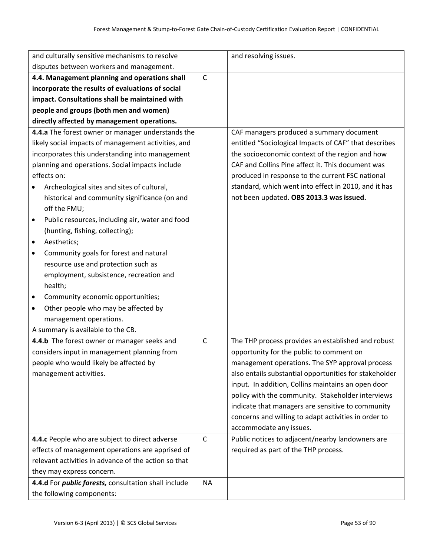| and culturally sensitive mechanisms to resolve                                                                                                                                                                                                                                                                                                                                                                                                                                                                                                                                                                                                                            |              | and resolving issues.                                                                                                                                                                                                                                                                                                                                                                                                                                          |
|---------------------------------------------------------------------------------------------------------------------------------------------------------------------------------------------------------------------------------------------------------------------------------------------------------------------------------------------------------------------------------------------------------------------------------------------------------------------------------------------------------------------------------------------------------------------------------------------------------------------------------------------------------------------------|--------------|----------------------------------------------------------------------------------------------------------------------------------------------------------------------------------------------------------------------------------------------------------------------------------------------------------------------------------------------------------------------------------------------------------------------------------------------------------------|
| disputes between workers and management.                                                                                                                                                                                                                                                                                                                                                                                                                                                                                                                                                                                                                                  |              |                                                                                                                                                                                                                                                                                                                                                                                                                                                                |
| 4.4. Management planning and operations shall                                                                                                                                                                                                                                                                                                                                                                                                                                                                                                                                                                                                                             |              |                                                                                                                                                                                                                                                                                                                                                                                                                                                                |
| incorporate the results of evaluations of social                                                                                                                                                                                                                                                                                                                                                                                                                                                                                                                                                                                                                          |              |                                                                                                                                                                                                                                                                                                                                                                                                                                                                |
| impact. Consultations shall be maintained with                                                                                                                                                                                                                                                                                                                                                                                                                                                                                                                                                                                                                            |              |                                                                                                                                                                                                                                                                                                                                                                                                                                                                |
| people and groups (both men and women)                                                                                                                                                                                                                                                                                                                                                                                                                                                                                                                                                                                                                                    |              |                                                                                                                                                                                                                                                                                                                                                                                                                                                                |
| directly affected by management operations.                                                                                                                                                                                                                                                                                                                                                                                                                                                                                                                                                                                                                               |              |                                                                                                                                                                                                                                                                                                                                                                                                                                                                |
| 4.4.a The forest owner or manager understands the<br>likely social impacts of management activities, and<br>incorporates this understanding into management<br>planning and operations. Social impacts include<br>effects on:<br>Archeological sites and sites of cultural,<br>historical and community significance (on and<br>off the FMU;<br>Public resources, including air, water and food<br>$\bullet$<br>(hunting, fishing, collecting);<br>Aesthetics;<br>$\bullet$<br>Community goals for forest and natural<br>٠<br>resource use and protection such as<br>employment, subsistence, recreation and<br>health;<br>Community economic opportunities;<br>$\bullet$ |              | CAF managers produced a summary document<br>entitled "Sociological Impacts of CAF" that describes<br>the socioeconomic context of the region and how<br>CAF and Collins Pine affect it. This document was<br>produced in response to the current FSC national<br>standard, which went into effect in 2010, and it has<br>not been updated. OBS 2013.3 was issued.                                                                                              |
| Other people who may be affected by<br>$\bullet$<br>management operations.<br>A summary is available to the CB.                                                                                                                                                                                                                                                                                                                                                                                                                                                                                                                                                           |              |                                                                                                                                                                                                                                                                                                                                                                                                                                                                |
| 4.4.b The forest owner or manager seeks and<br>considers input in management planning from<br>people who would likely be affected by<br>management activities.                                                                                                                                                                                                                                                                                                                                                                                                                                                                                                            | $\mathsf C$  | The THP process provides an established and robust<br>opportunity for the public to comment on<br>management operations. The SYP approval process<br>also entails substantial opportunities for stakeholder<br>input. In addition, Collins maintains an open door<br>policy with the community. Stakeholder interviews<br>indicate that managers are sensitive to community<br>concerns and willing to adapt activities in order to<br>accommodate any issues. |
| 4.4.c People who are subject to direct adverse                                                                                                                                                                                                                                                                                                                                                                                                                                                                                                                                                                                                                            | $\mathsf{C}$ | Public notices to adjacent/nearby landowners are                                                                                                                                                                                                                                                                                                                                                                                                               |
| effects of management operations are apprised of                                                                                                                                                                                                                                                                                                                                                                                                                                                                                                                                                                                                                          |              | required as part of the THP process.                                                                                                                                                                                                                                                                                                                                                                                                                           |
| relevant activities in advance of the action so that                                                                                                                                                                                                                                                                                                                                                                                                                                                                                                                                                                                                                      |              |                                                                                                                                                                                                                                                                                                                                                                                                                                                                |
| they may express concern.                                                                                                                                                                                                                                                                                                                                                                                                                                                                                                                                                                                                                                                 |              |                                                                                                                                                                                                                                                                                                                                                                                                                                                                |
| 4.4.d For <i>public forests</i> , consultation shall include<br>the following components:                                                                                                                                                                                                                                                                                                                                                                                                                                                                                                                                                                                 | <b>NA</b>    |                                                                                                                                                                                                                                                                                                                                                                                                                                                                |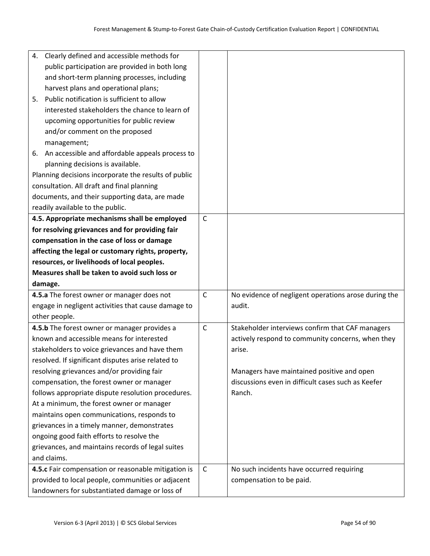|    | 4. Clearly defined and accessible methods for        |              |                                                      |
|----|------------------------------------------------------|--------------|------------------------------------------------------|
|    | public participation are provided in both long       |              |                                                      |
|    | and short-term planning processes, including         |              |                                                      |
|    | harvest plans and operational plans;                 |              |                                                      |
| 5. | Public notification is sufficient to allow           |              |                                                      |
|    | interested stakeholders the chance to learn of       |              |                                                      |
|    | upcoming opportunities for public review             |              |                                                      |
|    | and/or comment on the proposed                       |              |                                                      |
|    | management;                                          |              |                                                      |
| 6. | An accessible and affordable appeals process to      |              |                                                      |
|    | planning decisions is available.                     |              |                                                      |
|    | Planning decisions incorporate the results of public |              |                                                      |
|    | consultation. All draft and final planning           |              |                                                      |
|    | documents, and their supporting data, are made       |              |                                                      |
|    | readily available to the public.                     |              |                                                      |
|    | 4.5. Appropriate mechanisms shall be employed        | $\mathsf{C}$ |                                                      |
|    | for resolving grievances and for providing fair      |              |                                                      |
|    | compensation in the case of loss or damage           |              |                                                      |
|    | affecting the legal or customary rights, property,   |              |                                                      |
|    | resources, or livelihoods of local peoples.          |              |                                                      |
|    | Measures shall be taken to avoid such loss or        |              |                                                      |
|    |                                                      |              |                                                      |
|    | damage.                                              |              |                                                      |
|    | 4.5.a The forest owner or manager does not           | $\mathsf{C}$ | No evidence of negligent operations arose during the |
|    | engage in negligent activities that cause damage to  |              | audit.                                               |
|    | other people.                                        |              |                                                      |
|    | 4.5.b The forest owner or manager provides a         | $\mathsf{C}$ | Stakeholder interviews confirm that CAF managers     |
|    | known and accessible means for interested            |              | actively respond to community concerns, when they    |
|    | stakeholders to voice grievances and have them       |              | arise.                                               |
|    | resolved. If significant disputes arise related to   |              |                                                      |
|    | resolving grievances and/or providing fair           |              | Managers have maintained positive and open           |
|    | compensation, the forest owner or manager            |              | discussions even in difficult cases such as Keefer   |
|    | follows appropriate dispute resolution procedures.   |              | Ranch.                                               |
|    | At a minimum, the forest owner or manager            |              |                                                      |
|    | maintains open communications, responds to           |              |                                                      |
|    | grievances in a timely manner, demonstrates          |              |                                                      |
|    | ongoing good faith efforts to resolve the            |              |                                                      |
|    | grievances, and maintains records of legal suites    |              |                                                      |
|    | and claims.                                          |              |                                                      |
|    | 4.5.c Fair compensation or reasonable mitigation is  | $\mathsf C$  | No such incidents have occurred requiring            |
|    | provided to local people, communities or adjacent    |              | compensation to be paid.                             |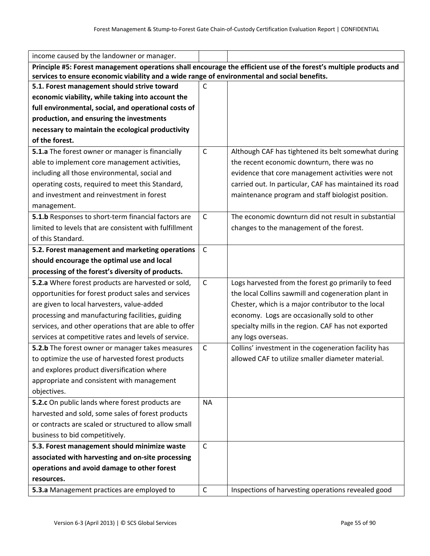| income caused by the landowner or manager.                                                                         |              |                                                         |  |
|--------------------------------------------------------------------------------------------------------------------|--------------|---------------------------------------------------------|--|
| Principle #5: Forest management operations shall encourage the efficient use of the forest's multiple products and |              |                                                         |  |
| services to ensure economic viability and a wide range of environmental and social benefits.                       |              |                                                         |  |
| 5.1. Forest management should strive toward                                                                        | $\mathsf{C}$ |                                                         |  |
| economic viability, while taking into account the                                                                  |              |                                                         |  |
| full environmental, social, and operational costs of                                                               |              |                                                         |  |
| production, and ensuring the investments                                                                           |              |                                                         |  |
| necessary to maintain the ecological productivity                                                                  |              |                                                         |  |
| of the forest.                                                                                                     |              |                                                         |  |
| 5.1.a The forest owner or manager is financially                                                                   | $\mathsf{C}$ | Although CAF has tightened its belt somewhat during     |  |
| able to implement core management activities,                                                                      |              | the recent economic downturn, there was no              |  |
| including all those environmental, social and                                                                      |              | evidence that core management activities were not       |  |
| operating costs, required to meet this Standard,                                                                   |              | carried out. In particular, CAF has maintained its road |  |
| and investment and reinvestment in forest                                                                          |              | maintenance program and staff biologist position.       |  |
| management.                                                                                                        |              |                                                         |  |
| 5.1.b Responses to short-term financial factors are                                                                | $\mathsf{C}$ | The economic downturn did not result in substantial     |  |
| limited to levels that are consistent with fulfillment                                                             |              | changes to the management of the forest.                |  |
| of this Standard.                                                                                                  |              |                                                         |  |
| 5.2. Forest management and marketing operations                                                                    | $\mathsf{C}$ |                                                         |  |
| should encourage the optimal use and local                                                                         |              |                                                         |  |
| processing of the forest's diversity of products.                                                                  |              |                                                         |  |
| 5.2.a Where forest products are harvested or sold,                                                                 | $\mathsf C$  | Logs harvested from the forest go primarily to feed     |  |
| opportunities for forest product sales and services                                                                |              | the local Collins sawmill and cogeneration plant in     |  |
| are given to local harvesters, value-added                                                                         |              | Chester, which is a major contributor to the local      |  |
| processing and manufacturing facilities, guiding                                                                   |              | economy. Logs are occasionally sold to other            |  |
| services, and other operations that are able to offer                                                              |              | specialty mills in the region. CAF has not exported     |  |
| services at competitive rates and levels of service.                                                               |              | any logs overseas.                                      |  |
| 5.2.b The forest owner or manager takes measures                                                                   | $\mathsf C$  | Collins' investment in the cogeneration facility has    |  |
| to optimize the use of harvested forest products                                                                   |              | allowed CAF to utilize smaller diameter material.       |  |
| and explores product diversification where                                                                         |              |                                                         |  |
| appropriate and consistent with management                                                                         |              |                                                         |  |
| objectives.                                                                                                        |              |                                                         |  |
| 5.2.c On public lands where forest products are                                                                    | <b>NA</b>    |                                                         |  |
| harvested and sold, some sales of forest products                                                                  |              |                                                         |  |
| or contracts are scaled or structured to allow small                                                               |              |                                                         |  |
| business to bid competitively.                                                                                     |              |                                                         |  |
| 5.3. Forest management should minimize waste                                                                       | $\mathsf{C}$ |                                                         |  |
| associated with harvesting and on-site processing                                                                  |              |                                                         |  |
| operations and avoid damage to other forest                                                                        |              |                                                         |  |
| resources.                                                                                                         |              |                                                         |  |
| 5.3.a Management practices are employed to                                                                         | $\mathsf{C}$ | Inspections of harvesting operations revealed good      |  |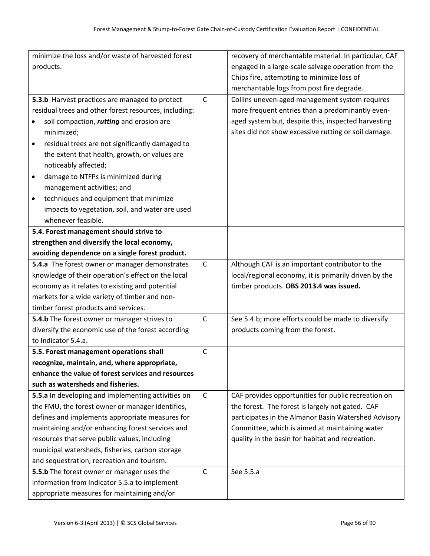| minimize the loss and/or waste of harvested forest           |              | recovery of merchantable material. In particular, CAF |
|--------------------------------------------------------------|--------------|-------------------------------------------------------|
| products.                                                    |              | engaged in a large-scale salvage operation from the   |
|                                                              |              | Chips fire, attempting to minimize loss of            |
|                                                              |              | merchantable logs from post fire degrade.             |
| 5.3.b Harvest practices are managed to protect               | $\mathsf{C}$ | Collins uneven-aged management system requires        |
| residual trees and other forest resources, including:        |              | more frequent entries than a predominantly even-      |
| soil compaction, rutting and erosion are<br>$\bullet$        |              | aged system but, despite this, inspected harvesting   |
| minimized;                                                   |              | sites did not show excessive rutting or soil damage.  |
| residual trees are not significantly damaged to<br>$\bullet$ |              |                                                       |
| the extent that health, growth, or values are                |              |                                                       |
| noticeably affected;                                         |              |                                                       |
| damage to NTFPs is minimized during<br>$\bullet$             |              |                                                       |
| management activities; and                                   |              |                                                       |
| techniques and equipment that minimize<br>$\bullet$          |              |                                                       |
| impacts to vegetation, soil, and water are used              |              |                                                       |
| whenever feasible.                                           |              |                                                       |
| 5.4. Forest management should strive to                      |              |                                                       |
| strengthen and diversify the local economy,                  |              |                                                       |
| avoiding dependence on a single forest product.              |              |                                                       |
| 5.4.a The forest owner or manager demonstrates               | $\mathsf{C}$ | Although CAF is an important contributor to the       |
| knowledge of their operation's effect on the local           |              | local/regional economy, it is primarily driven by the |
| economy as it relates to existing and potential              |              | timber products. OBS 2013.4 was issued.               |
| markets for a wide variety of timber and non-                |              |                                                       |
| timber forest products and services.                         |              |                                                       |
| 5.4.b The forest owner or manager strives to                 | $\mathsf C$  | See 5.4.b; more efforts could be made to diversify    |
| diversify the economic use of the forest according           |              | products coming from the forest.                      |
| to Indicator 5.4.a.                                          |              |                                                       |
| 5.5. Forest management operations shall                      | $\mathsf{C}$ |                                                       |
| recognize, maintain, and, where appropriate,                 |              |                                                       |
| enhance the value of forest services and resources           |              |                                                       |
| such as watersheds and fisheries.                            |              |                                                       |
| 5.5.a In developing and implementing activities on           | $\mathsf{C}$ | CAF provides opportunities for public recreation on   |
| the FMU, the forest owner or manager identifies,             |              | the forest. The forest is largely not gated. CAF      |
| defines and implements appropriate measures for              |              | participates in the Almanor Basin Watershed Advisory  |
| maintaining and/or enhancing forest services and             |              | Committee, which is aimed at maintaining water        |
| resources that serve public values, including                |              | quality in the basin for habitat and recreation.      |
| municipal watersheds, fisheries, carbon storage              |              |                                                       |
| and sequestration, recreation and tourism.                   |              |                                                       |
| 5.5.b The forest owner or manager uses the                   | $\mathsf{C}$ | See 5.5.a                                             |
| information from Indicator 5.5.a to implement                |              |                                                       |
| appropriate measures for maintaining and/or                  |              |                                                       |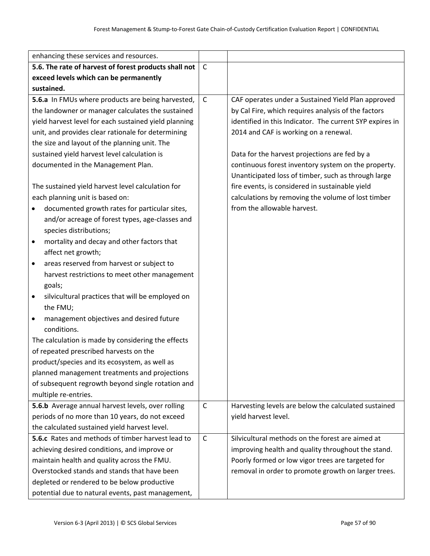| enhancing these services and resources.                 |              |                                                          |
|---------------------------------------------------------|--------------|----------------------------------------------------------|
| 5.6. The rate of harvest of forest products shall not   | $\mathsf{C}$ |                                                          |
| exceed levels which can be permanently                  |              |                                                          |
| sustained.                                              |              |                                                          |
| 5.6.a In FMUs where products are being harvested,       | $\mathsf{C}$ | CAF operates under a Sustained Yield Plan approved       |
| the landowner or manager calculates the sustained       |              | by Cal Fire, which requires analysis of the factors      |
| yield harvest level for each sustained yield planning   |              | identified in this Indicator. The current SYP expires in |
| unit, and provides clear rationale for determining      |              | 2014 and CAF is working on a renewal.                    |
| the size and layout of the planning unit. The           |              |                                                          |
| sustained yield harvest level calculation is            |              | Data for the harvest projections are fed by a            |
| documented in the Management Plan.                      |              | continuous forest inventory system on the property.      |
|                                                         |              | Unanticipated loss of timber, such as through large      |
| The sustained yield harvest level calculation for       |              | fire events, is considered in sustainable yield          |
| each planning unit is based on:                         |              | calculations by removing the volume of lost timber       |
| documented growth rates for particular sites,           |              | from the allowable harvest.                              |
| and/or acreage of forest types, age-classes and         |              |                                                          |
| species distributions;                                  |              |                                                          |
| mortality and decay and other factors that<br>$\bullet$ |              |                                                          |
| affect net growth;                                      |              |                                                          |
| areas reserved from harvest or subject to<br>٠          |              |                                                          |
| harvest restrictions to meet other management           |              |                                                          |
| goals;                                                  |              |                                                          |
| silvicultural practices that will be employed on<br>٠   |              |                                                          |
| the FMU;                                                |              |                                                          |
| management objectives and desired future<br>٠           |              |                                                          |
| conditions.                                             |              |                                                          |
| The calculation is made by considering the effects      |              |                                                          |
| of repeated prescribed harvests on the                  |              |                                                          |
| product/species and its ecosystem, as well as           |              |                                                          |
| planned management treatments and projections           |              |                                                          |
| of subsequent regrowth beyond single rotation and       |              |                                                          |
| multiple re-entries.                                    |              |                                                          |
| 5.6.b Average annual harvest levels, over rolling       | $\mathsf{C}$ | Harvesting levels are below the calculated sustained     |
| periods of no more than 10 years, do not exceed         |              | yield harvest level.                                     |
| the calculated sustained yield harvest level.           |              |                                                          |
| 5.6.c Rates and methods of timber harvest lead to       | $\mathsf{C}$ | Silvicultural methods on the forest are aimed at         |
| achieving desired conditions, and improve or            |              | improving health and quality throughout the stand.       |
| maintain health and quality across the FMU.             |              | Poorly formed or low vigor trees are targeted for        |
| Overstocked stands and stands that have been            |              | removal in order to promote growth on larger trees.      |
| depleted or rendered to be below productive             |              |                                                          |
| potential due to natural events, past management,       |              |                                                          |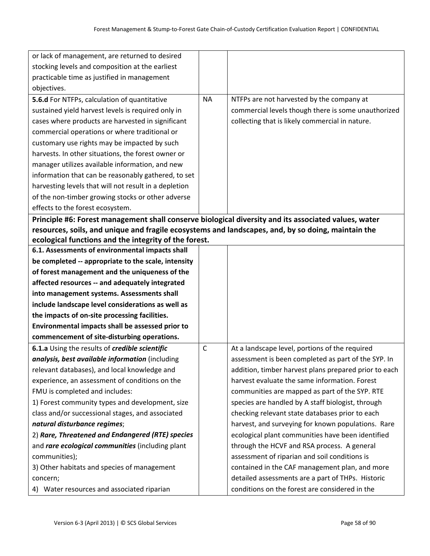| or lack of management, are returned to desired                                                       |              |                                                       |
|------------------------------------------------------------------------------------------------------|--------------|-------------------------------------------------------|
| stocking levels and composition at the earliest                                                      |              |                                                       |
| practicable time as justified in management                                                          |              |                                                       |
| objectives.                                                                                          |              |                                                       |
| 5.6.d For NTFPs, calculation of quantitative                                                         | <b>NA</b>    | NTFPs are not harvested by the company at             |
| sustained yield harvest levels is required only in                                                   |              | commercial levels though there is some unauthorized   |
| cases where products are harvested in significant                                                    |              | collecting that is likely commercial in nature.       |
| commercial operations or where traditional or                                                        |              |                                                       |
| customary use rights may be impacted by such                                                         |              |                                                       |
| harvests. In other situations, the forest owner or                                                   |              |                                                       |
| manager utilizes available information, and new                                                      |              |                                                       |
| information that can be reasonably gathered, to set                                                  |              |                                                       |
| harvesting levels that will not result in a depletion                                                |              |                                                       |
| of the non-timber growing stocks or other adverse                                                    |              |                                                       |
| effects to the forest ecosystem.                                                                     |              |                                                       |
| Principle #6: Forest management shall conserve biological diversity and its associated values, water |              |                                                       |
| resources, soils, and unique and fragile ecosystems and landscapes, and, by so doing, maintain the   |              |                                                       |
| ecological functions and the integrity of the forest.                                                |              |                                                       |
| 6.1. Assessments of environmental impacts shall                                                      |              |                                                       |
| be completed -- appropriate to the scale, intensity                                                  |              |                                                       |
| of forest management and the uniqueness of the                                                       |              |                                                       |
| affected resources -- and adequately integrated                                                      |              |                                                       |
| into management systems. Assessments shall                                                           |              |                                                       |
| include landscape level considerations as well as                                                    |              |                                                       |
| the impacts of on-site processing facilities.                                                        |              |                                                       |
| Environmental impacts shall be assessed prior to                                                     |              |                                                       |
| commencement of site-disturbing operations.                                                          |              |                                                       |
| 6.1.a Using the results of credible scientific                                                       | $\mathsf{C}$ | At a landscape level, portions of the required        |
| analysis, best available information (including                                                      |              | assessment is been completed as part of the SYP. In   |
| relevant databases), and local knowledge and                                                         |              | addition, timber harvest plans prepared prior to each |
| experience, an assessment of conditions on the                                                       |              | harvest evaluate the same information. Forest         |
| FMU is completed and includes:                                                                       |              | communities are mapped as part of the SYP. RTE        |
| 1) Forest community types and development, size                                                      |              | species are handled by A staff biologist, through     |
| class and/or successional stages, and associated                                                     |              | checking relevant state databases prior to each       |
| natural disturbance regimes;                                                                         |              | harvest, and surveying for known populations. Rare    |
| 2) Rare, Threatened and Endangered (RTE) species                                                     |              | ecological plant communities have been identified     |
| and rare ecological communities (including plant                                                     |              | through the HCVF and RSA process. A general           |
| communities);                                                                                        |              | assessment of riparian and soil conditions is         |
| 3) Other habitats and species of management                                                          |              | contained in the CAF management plan, and more        |
| concern;                                                                                             |              | detailed assessments are a part of THPs. Historic     |
| 4) Water resources and associated riparian                                                           |              | conditions on the forest are considered in the        |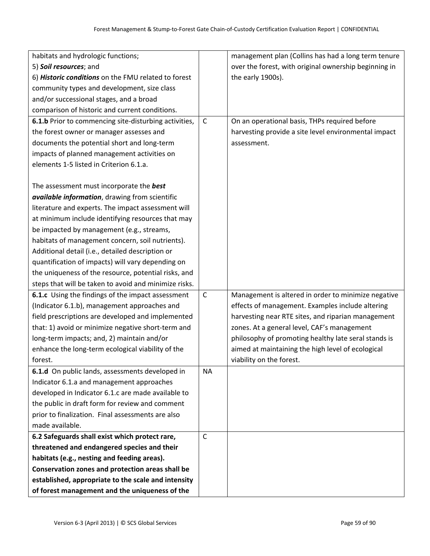| habitats and hydrologic functions;                    |              | management plan (Collins has had a long term tenure   |
|-------------------------------------------------------|--------------|-------------------------------------------------------|
| 5) Soil resources; and                                |              | over the forest, with original ownership beginning in |
| 6) Historic conditions on the FMU related to forest   |              | the early 1900s).                                     |
| community types and development, size class           |              |                                                       |
| and/or successional stages, and a broad               |              |                                                       |
| comparison of historic and current conditions.        |              |                                                       |
| 6.1.b Prior to commencing site-disturbing activities, | $\mathsf C$  | On an operational basis, THPs required before         |
| the forest owner or manager assesses and              |              | harvesting provide a site level environmental impact  |
| documents the potential short and long-term           |              | assessment.                                           |
| impacts of planned management activities on           |              |                                                       |
| elements 1-5 listed in Criterion 6.1.a.               |              |                                                       |
|                                                       |              |                                                       |
| The assessment must incorporate the best              |              |                                                       |
| available information, drawing from scientific        |              |                                                       |
| literature and experts. The impact assessment will    |              |                                                       |
| at minimum include identifying resources that may     |              |                                                       |
| be impacted by management (e.g., streams,             |              |                                                       |
| habitats of management concern, soil nutrients).      |              |                                                       |
| Additional detail (i.e., detailed description or      |              |                                                       |
| quantification of impacts) will vary depending on     |              |                                                       |
| the uniqueness of the resource, potential risks, and  |              |                                                       |
| steps that will be taken to avoid and minimize risks. |              |                                                       |
| 6.1.c Using the findings of the impact assessment     | $\mathsf C$  | Management is altered in order to minimize negative   |
| (Indicator 6.1.b), management approaches and          |              | effects of management. Examples include altering      |
| field prescriptions are developed and implemented     |              | harvesting near RTE sites, and riparian management    |
| that: 1) avoid or minimize negative short-term and    |              | zones. At a general level, CAF's management           |
| long-term impacts; and, 2) maintain and/or            |              | philosophy of promoting healthy late seral stands is  |
| enhance the long-term ecological viability of the     |              | aimed at maintaining the high level of ecological     |
| forest.                                               |              | viability on the forest.                              |
| 6.1.d On public lands, assessments developed in       | <b>NA</b>    |                                                       |
| Indicator 6.1.a and management approaches             |              |                                                       |
| developed in Indicator 6.1.c are made available to    |              |                                                       |
| the public in draft form for review and comment       |              |                                                       |
| prior to finalization. Final assessments are also     |              |                                                       |
| made available.                                       |              |                                                       |
| 6.2 Safeguards shall exist which protect rare,        | $\mathsf{C}$ |                                                       |
| threatened and endangered species and their           |              |                                                       |
| habitats (e.g., nesting and feeding areas).           |              |                                                       |
| Conservation zones and protection areas shall be      |              |                                                       |
| established, appropriate to the scale and intensity   |              |                                                       |
| of forest management and the uniqueness of the        |              |                                                       |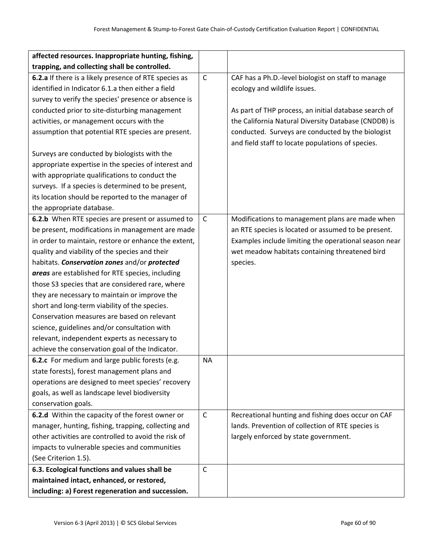| affected resources. Inappropriate hunting, fishing,   |              |                                                       |
|-------------------------------------------------------|--------------|-------------------------------------------------------|
| trapping, and collecting shall be controlled.         |              |                                                       |
| 6.2.a If there is a likely presence of RTE species as | $\mathsf{C}$ | CAF has a Ph.D.-level biologist on staff to manage    |
| identified in Indicator 6.1.a then either a field     |              | ecology and wildlife issues.                          |
| survey to verify the species' presence or absence is  |              |                                                       |
| conducted prior to site-disturbing management         |              | As part of THP process, an initial database search of |
| activities, or management occurs with the             |              | the California Natural Diversity Database (CNDDB) is  |
| assumption that potential RTE species are present.    |              | conducted. Surveys are conducted by the biologist     |
|                                                       |              | and field staff to locate populations of species.     |
| Surveys are conducted by biologists with the          |              |                                                       |
| appropriate expertise in the species of interest and  |              |                                                       |
| with appropriate qualifications to conduct the        |              |                                                       |
| surveys. If a species is determined to be present,    |              |                                                       |
| its location should be reported to the manager of     |              |                                                       |
| the appropriate database.                             |              |                                                       |
| 6.2.b When RTE species are present or assumed to      | $\mathsf C$  | Modifications to management plans are made when       |
| be present, modifications in management are made      |              | an RTE species is located or assumed to be present.   |
| in order to maintain, restore or enhance the extent,  |              | Examples include limiting the operational season near |
| quality and viability of the species and their        |              | wet meadow habitats containing threatened bird        |
| habitats. Conservation zones and/or protected         |              | species.                                              |
| areas are established for RTE species, including      |              |                                                       |
| those S3 species that are considered rare, where      |              |                                                       |
| they are necessary to maintain or improve the         |              |                                                       |
| short and long-term viability of the species.         |              |                                                       |
| Conservation measures are based on relevant           |              |                                                       |
| science, guidelines and/or consultation with          |              |                                                       |
| relevant, independent experts as necessary to         |              |                                                       |
| achieve the conservation goal of the Indicator.       |              |                                                       |
| 6.2.c For medium and large public forests (e.g.       | <b>NA</b>    |                                                       |
| state forests), forest management plans and           |              |                                                       |
| operations are designed to meet species' recovery     |              |                                                       |
| goals, as well as landscape level biodiversity        |              |                                                       |
| conservation goals.                                   |              |                                                       |
| 6.2.d Within the capacity of the forest owner or      | $\mathsf{C}$ | Recreational hunting and fishing does occur on CAF    |
| manager, hunting, fishing, trapping, collecting and   |              | lands. Prevention of collection of RTE species is     |
| other activities are controlled to avoid the risk of  |              | largely enforced by state government.                 |
| impacts to vulnerable species and communities         |              |                                                       |
| (See Criterion 1.5).                                  |              |                                                       |
| 6.3. Ecological functions and values shall be         | $\mathsf{C}$ |                                                       |
| maintained intact, enhanced, or restored,             |              |                                                       |
| including: a) Forest regeneration and succession.     |              |                                                       |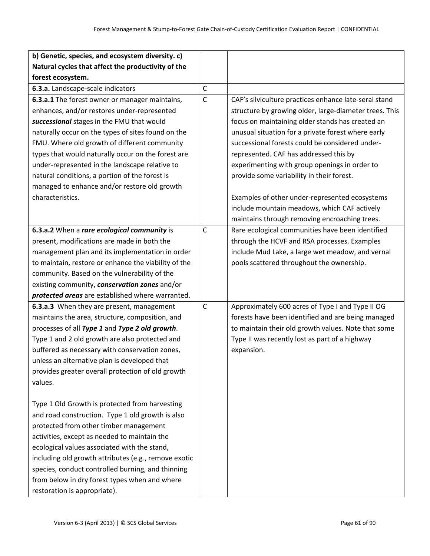| b) Genetic, species, and ecosystem diversity. c)     |              |                                                        |
|------------------------------------------------------|--------------|--------------------------------------------------------|
| Natural cycles that affect the productivity of the   |              |                                                        |
| forest ecosystem.                                    |              |                                                        |
| 6.3.a. Landscape-scale indicators                    | $\mathsf{C}$ |                                                        |
| 6.3.a.1 The forest owner or manager maintains,       | $\mathsf{C}$ | CAF's silviculture practices enhance late-seral stand  |
| enhances, and/or restores under-represented          |              | structure by growing older, large-diameter trees. This |
| successional stages in the FMU that would            |              | focus on maintaining older stands has created an       |
| naturally occur on the types of sites found on the   |              | unusual situation for a private forest where early     |
| FMU. Where old growth of different community         |              | successional forests could be considered under-        |
| types that would naturally occur on the forest are   |              | represented. CAF has addressed this by                 |
| under-represented in the landscape relative to       |              | experimenting with group openings in order to          |
| natural conditions, a portion of the forest is       |              | provide some variability in their forest.              |
| managed to enhance and/or restore old growth         |              |                                                        |
| characteristics.                                     |              | Examples of other under-represented ecosystems         |
|                                                      |              | include mountain meadows, which CAF actively           |
|                                                      |              | maintains through removing encroaching trees.          |
| 6.3.a.2 When a rare ecological community is          | $\mathsf{C}$ | Rare ecological communities have been identified       |
| present, modifications are made in both the          |              | through the HCVF and RSA processes. Examples           |
| management plan and its implementation in order      |              | include Mud Lake, a large wet meadow, and vernal       |
| to maintain, restore or enhance the viability of the |              | pools scattered throughout the ownership.              |
| community. Based on the vulnerability of the         |              |                                                        |
| existing community, conservation zones and/or        |              |                                                        |
| protected areas are established where warranted.     |              |                                                        |
| 6.3.a.3 When they are present, management            | $\mathsf{C}$ | Approximately 600 acres of Type I and Type II OG       |
| maintains the area, structure, composition, and      |              | forests have been identified and are being managed     |
| processes of all Type 1 and Type 2 old growth.       |              | to maintain their old growth values. Note that some    |
| Type 1 and 2 old growth are also protected and       |              | Type II was recently lost as part of a highway         |
| buffered as necessary with conservation zones,       |              | expansion.                                             |
| unless an alternative plan is developed that         |              |                                                        |
| provides greater overall protection of old growth    |              |                                                        |
| values.                                              |              |                                                        |
|                                                      |              |                                                        |
| Type 1 Old Growth is protected from harvesting       |              |                                                        |
| and road construction. Type 1 old growth is also     |              |                                                        |
| protected from other timber management               |              |                                                        |
| activities, except as needed to maintain the         |              |                                                        |
| ecological values associated with the stand,         |              |                                                        |
| including old growth attributes (e.g., remove exotic |              |                                                        |
| species, conduct controlled burning, and thinning    |              |                                                        |
| from below in dry forest types when and where        |              |                                                        |
| restoration is appropriate).                         |              |                                                        |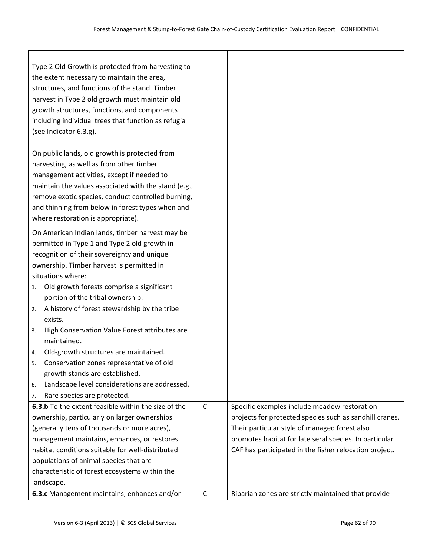| Type 2 Old Growth is protected from harvesting to<br>the extent necessary to maintain the area,<br>structures, and functions of the stand. Timber<br>harvest in Type 2 old growth must maintain old<br>growth structures, functions, and components<br>including individual trees that function as refugia<br>(see Indicator 6.3.g).            |              |                                                         |
|-------------------------------------------------------------------------------------------------------------------------------------------------------------------------------------------------------------------------------------------------------------------------------------------------------------------------------------------------|--------------|---------------------------------------------------------|
| On public lands, old growth is protected from<br>harvesting, as well as from other timber<br>management activities, except if needed to<br>maintain the values associated with the stand (e.g.,<br>remove exotic species, conduct controlled burning,<br>and thinning from below in forest types when and<br>where restoration is appropriate). |              |                                                         |
| On American Indian lands, timber harvest may be<br>permitted in Type 1 and Type 2 old growth in<br>recognition of their sovereignty and unique<br>ownership. Timber harvest is permitted in<br>situations where:                                                                                                                                |              |                                                         |
| Old growth forests comprise a significant<br>1.                                                                                                                                                                                                                                                                                                 |              |                                                         |
| portion of the tribal ownership.<br>A history of forest stewardship by the tribe<br>2.<br>exists.                                                                                                                                                                                                                                               |              |                                                         |
| High Conservation Value Forest attributes are<br>3.<br>maintained.                                                                                                                                                                                                                                                                              |              |                                                         |
| Old-growth structures are maintained.<br>4.                                                                                                                                                                                                                                                                                                     |              |                                                         |
| Conservation zones representative of old<br>5.                                                                                                                                                                                                                                                                                                  |              |                                                         |
| growth stands are established.                                                                                                                                                                                                                                                                                                                  |              |                                                         |
| Landscape level considerations are addressed.<br>6.                                                                                                                                                                                                                                                                                             |              |                                                         |
| Rare species are protected.<br>7.<br>6.3.b To the extent feasible within the size of the                                                                                                                                                                                                                                                        | $\mathsf{C}$ | Specific examples include meadow restoration            |
| ownership, particularly on larger ownerships                                                                                                                                                                                                                                                                                                    |              | projects for protected species such as sandhill cranes. |
| (generally tens of thousands or more acres),                                                                                                                                                                                                                                                                                                    |              | Their particular style of managed forest also           |
| management maintains, enhances, or restores                                                                                                                                                                                                                                                                                                     |              | promotes habitat for late seral species. In particular  |
| habitat conditions suitable for well-distributed                                                                                                                                                                                                                                                                                                |              | CAF has participated in the fisher relocation project.  |
| populations of animal species that are                                                                                                                                                                                                                                                                                                          |              |                                                         |
| characteristic of forest ecosystems within the                                                                                                                                                                                                                                                                                                  |              |                                                         |
| landscape.                                                                                                                                                                                                                                                                                                                                      |              |                                                         |
| 6.3.c Management maintains, enhances and/or                                                                                                                                                                                                                                                                                                     | C            | Riparian zones are strictly maintained that provide     |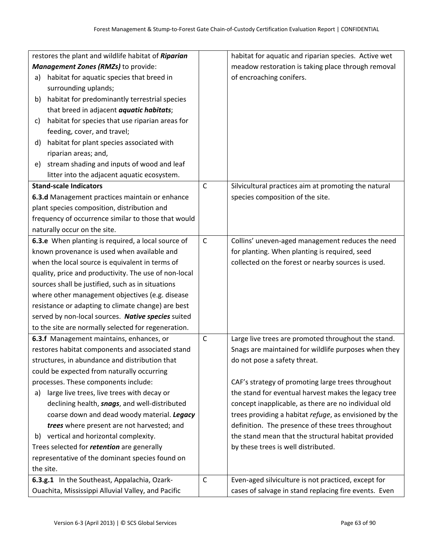|    | restores the plant and wildlife habitat of Riparian   |             | habitat for aquatic and riparian species. Active wet   |
|----|-------------------------------------------------------|-------------|--------------------------------------------------------|
|    | Management Zones (RMZs) to provide:                   |             | meadow restoration is taking place through removal     |
| a) | habitat for aquatic species that breed in             |             | of encroaching conifers.                               |
|    | surrounding uplands;                                  |             |                                                        |
| b) | habitat for predominantly terrestrial species         |             |                                                        |
|    | that breed in adjacent <i>aquatic habitats</i> ;      |             |                                                        |
| c) | habitat for species that use riparian areas for       |             |                                                        |
|    | feeding, cover, and travel;                           |             |                                                        |
| d) | habitat for plant species associated with             |             |                                                        |
|    | riparian areas; and,                                  |             |                                                        |
| e) | stream shading and inputs of wood and leaf            |             |                                                        |
|    | litter into the adjacent aquatic ecosystem.           |             |                                                        |
|    | <b>Stand-scale Indicators</b>                         | $\mathsf C$ | Silvicultural practices aim at promoting the natural   |
|    | 6.3.d Management practices maintain or enhance        |             | species composition of the site.                       |
|    | plant species composition, distribution and           |             |                                                        |
|    | frequency of occurrence similar to those that would   |             |                                                        |
|    | naturally occur on the site.                          |             |                                                        |
|    | 6.3.e When planting is required, a local source of    | $\mathsf C$ | Collins' uneven-aged management reduces the need       |
|    | known provenance is used when available and           |             | for planting. When planting is required, seed          |
|    | when the local source is equivalent in terms of       |             | collected on the forest or nearby sources is used.     |
|    | quality, price and productivity. The use of non-local |             |                                                        |
|    | sources shall be justified, such as in situations     |             |                                                        |
|    | where other management objectives (e.g. disease       |             |                                                        |
|    | resistance or adapting to climate change) are best    |             |                                                        |
|    | served by non-local sources. Native species suited    |             |                                                        |
|    | to the site are normally selected for regeneration.   |             |                                                        |
|    | 6.3.f Management maintains, enhances, or              | $\mathsf C$ | Large live trees are promoted throughout the stand.    |
|    | restores habitat components and associated stand      |             | Snags are maintained for wildlife purposes when they   |
|    | structures, in abundance and distribution that        |             | do not pose a safety threat.                           |
|    | could be expected from naturally occurring            |             |                                                        |
|    | processes. These components include:                  |             | CAF's strategy of promoting large trees throughout     |
| a) | large live trees, live trees with decay or            |             | the stand for eventual harvest makes the legacy tree   |
|    | declining health, snags, and well-distributed         |             | concept inapplicable, as there are no individual old   |
|    | coarse down and dead woody material. Legacy           |             | trees providing a habitat refuge, as envisioned by the |
|    | trees where present are not harvested; and            |             | definition. The presence of these trees throughout     |
|    | b) vertical and horizontal complexity.                |             | the stand mean that the structural habitat provided    |
|    | Trees selected for <i>retention</i> are generally     |             | by these trees is well distributed.                    |
|    | representative of the dominant species found on       |             |                                                        |
|    | the site.                                             |             |                                                        |
|    | 6.3.g.1 In the Southeast, Appalachia, Ozark-          | $\mathsf C$ | Even-aged silviculture is not practiced, except for    |
|    | Ouachita, Mississippi Alluvial Valley, and Pacific    |             | cases of salvage in stand replacing fire events. Even  |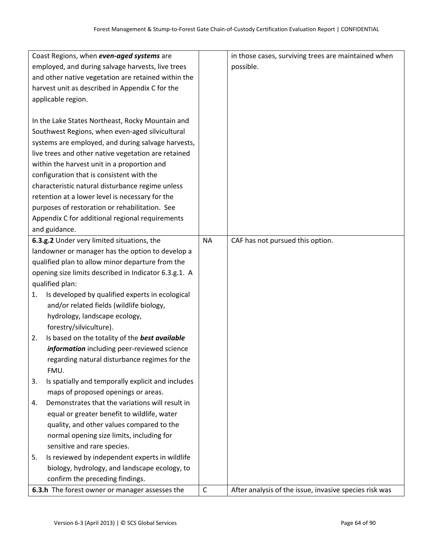|    | 6.3.h The forest owner or manager assesses the        | $\mathsf{C}$ | After analysis of the issue, invasive species risk was |
|----|-------------------------------------------------------|--------------|--------------------------------------------------------|
|    | confirm the preceding findings.                       |              |                                                        |
|    | biology, hydrology, and landscape ecology, to         |              |                                                        |
| 5. | Is reviewed by independent experts in wildlife        |              |                                                        |
|    | sensitive and rare species.                           |              |                                                        |
|    | normal opening size limits, including for             |              |                                                        |
|    | quality, and other values compared to the             |              |                                                        |
|    | equal or greater benefit to wildlife, water           |              |                                                        |
| 4. | Demonstrates that the variations will result in       |              |                                                        |
|    | maps of proposed openings or areas.                   |              |                                                        |
| 3. | Is spatially and temporally explicit and includes     |              |                                                        |
|    | FMU.                                                  |              |                                                        |
|    | regarding natural disturbance regimes for the         |              |                                                        |
|    | information including peer-reviewed science           |              |                                                        |
| 2. | Is based on the totality of the best available        |              |                                                        |
|    | forestry/silviculture).                               |              |                                                        |
|    | hydrology, landscape ecology,                         |              |                                                        |
|    | and/or related fields (wildlife biology,              |              |                                                        |
| 1. | Is developed by qualified experts in ecological       |              |                                                        |
|    | qualified plan:                                       |              |                                                        |
|    | opening size limits described in Indicator 6.3.g.1. A |              |                                                        |
|    | qualified plan to allow minor departure from the      |              |                                                        |
|    | landowner or manager has the option to develop a      |              |                                                        |
|    | 6.3.g.2 Under very limited situations, the            | <b>NA</b>    | CAF has not pursued this option.                       |
|    | and guidance.                                         |              |                                                        |
|    | Appendix C for additional regional requirements       |              |                                                        |
|    | purposes of restoration or rehabilitation. See        |              |                                                        |
|    | retention at a lower level is necessary for the       |              |                                                        |
|    | characteristic natural disturbance regime unless      |              |                                                        |
|    | configuration that is consistent with the             |              |                                                        |
|    | within the harvest unit in a proportion and           |              |                                                        |
|    | live trees and other native vegetation are retained   |              |                                                        |
|    | systems are employed, and during salvage harvests,    |              |                                                        |
|    | Southwest Regions, when even-aged silvicultural       |              |                                                        |
|    | In the Lake States Northeast, Rocky Mountain and      |              |                                                        |
|    |                                                       |              |                                                        |
|    | applicable region.                                    |              |                                                        |
|    | harvest unit as described in Appendix C for the       |              |                                                        |
|    | and other native vegetation are retained within the   |              |                                                        |
|    | employed, and during salvage harvests, live trees     |              | possible.                                              |
|    | Coast Regions, when even-aged systems are             |              | in those cases, surviving trees are maintained when    |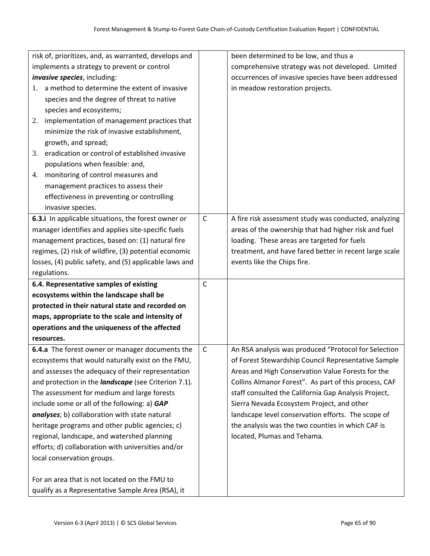|    | risk of, prioritizes, and, as warranted, develops and                                              |              | been determined to be low, and thus a                  |
|----|----------------------------------------------------------------------------------------------------|--------------|--------------------------------------------------------|
|    | implements a strategy to prevent or control                                                        |              | comprehensive strategy was not developed. Limited      |
|    | <i>invasive species, including:</i>                                                                |              | occurrences of invasive species have been addressed    |
| 1. | a method to determine the extent of invasive                                                       |              | in meadow restoration projects.                        |
|    | species and the degree of threat to native                                                         |              |                                                        |
|    | species and ecosystems;                                                                            |              |                                                        |
| 2. | implementation of management practices that                                                        |              |                                                        |
|    | minimize the risk of invasive establishment,                                                       |              |                                                        |
|    | growth, and spread;                                                                                |              |                                                        |
| 3. | eradication or control of established invasive                                                     |              |                                                        |
|    | populations when feasible: and,                                                                    |              |                                                        |
| 4. | monitoring of control measures and                                                                 |              |                                                        |
|    | management practices to assess their                                                               |              |                                                        |
|    | effectiveness in preventing or controlling                                                         |              |                                                        |
|    | invasive species.                                                                                  |              |                                                        |
|    | 6.3.i In applicable situations, the forest owner or                                                | $\mathsf{C}$ | A fire risk assessment study was conducted, analyzing  |
|    | manager identifies and applies site-specific fuels                                                 |              | areas of the ownership that had higher risk and fuel   |
|    | management practices, based on: (1) natural fire                                                   |              | loading. These areas are targeted for fuels            |
|    | regimes, (2) risk of wildfire, (3) potential economic                                              |              | treatment, and have fared better in recent large scale |
|    | losses, (4) public safety, and (5) applicable laws and                                             |              | events like the Chips fire.                            |
|    | regulations.                                                                                       |              |                                                        |
|    | 6.4. Representative samples of existing                                                            | $\mathsf{C}$ |                                                        |
|    | ecosystems within the landscape shall be                                                           |              |                                                        |
|    | protected in their natural state and recorded on                                                   |              |                                                        |
|    | maps, appropriate to the scale and intensity of                                                    |              |                                                        |
|    | operations and the uniqueness of the affected                                                      |              |                                                        |
|    | resources.                                                                                         |              |                                                        |
|    | 6.4.a The forest owner or manager documents the                                                    | $\mathsf{C}$ | An RSA analysis was produced "Protocol for Selection   |
|    | ecosystems that would naturally exist on the FMU,                                                  |              | of Forest Stewardship Council Representative Sample    |
|    |                                                                                                    |              |                                                        |
|    | and assesses the adequacy of their representation                                                  |              | Areas and High Conservation Value Forests for the      |
|    | and protection in the <i>landscape</i> (see Criterion 7.1).                                        |              | Collins Almanor Forest". As part of this process, CAF  |
|    | The assessment for medium and large forests                                                        |              | staff consulted the California Gap Analysis Project,   |
|    | include some or all of the following: a) GAP                                                       |              | Sierra Nevada Ecosystem Project, and other             |
|    | analyses; b) collaboration with state natural                                                      |              | landscape level conservation efforts. The scope of     |
|    | heritage programs and other public agencies; c)                                                    |              | the analysis was the two counties in which CAF is      |
|    | regional, landscape, and watershed planning                                                        |              | located, Plumas and Tehama.                            |
|    | efforts; d) collaboration with universities and/or                                                 |              |                                                        |
|    | local conservation groups.                                                                         |              |                                                        |
|    |                                                                                                    |              |                                                        |
|    | For an area that is not located on the FMU to<br>qualify as a Representative Sample Area (RSA), it |              |                                                        |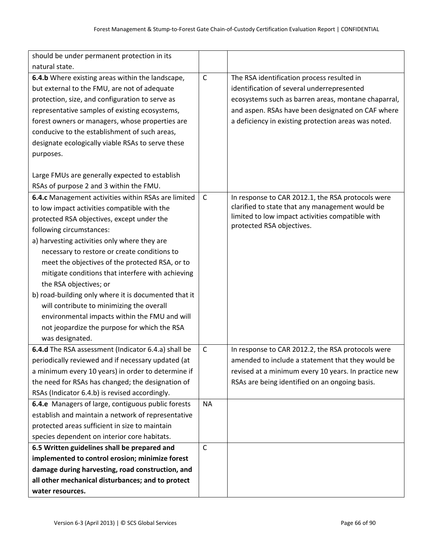| should be under permanent protection in its          |              |                                                                               |
|------------------------------------------------------|--------------|-------------------------------------------------------------------------------|
| natural state.                                       |              |                                                                               |
| 6.4.b Where existing areas within the landscape,     | $\mathsf C$  | The RSA identification process resulted in                                    |
| but external to the FMU, are not of adequate         |              | identification of several underrepresented                                    |
| protection, size, and configuration to serve as      |              | ecosystems such as barren areas, montane chaparral,                           |
| representative samples of existing ecosystems,       |              | and aspen. RSAs have been designated on CAF where                             |
| forest owners or managers, whose properties are      |              | a deficiency in existing protection areas was noted.                          |
| conducive to the establishment of such areas,        |              |                                                                               |
| designate ecologically viable RSAs to serve these    |              |                                                                               |
| purposes.                                            |              |                                                                               |
|                                                      |              |                                                                               |
| Large FMUs are generally expected to establish       |              |                                                                               |
| RSAs of purpose 2 and 3 within the FMU.              |              |                                                                               |
| 6.4.c Management activities within RSAs are limited  | $\mathsf C$  | In response to CAR 2012.1, the RSA protocols were                             |
| to low impact activities compatible with the         |              | clarified to state that any management would be                               |
| protected RSA objectives, except under the           |              | limited to low impact activities compatible with<br>protected RSA objectives. |
| following circumstances:                             |              |                                                                               |
| a) harvesting activities only where they are         |              |                                                                               |
| necessary to restore or create conditions to         |              |                                                                               |
| meet the objectives of the protected RSA, or to      |              |                                                                               |
| mitigate conditions that interfere with achieving    |              |                                                                               |
| the RSA objectives; or                               |              |                                                                               |
| b) road-building only where it is documented that it |              |                                                                               |
| will contribute to minimizing the overall            |              |                                                                               |
| environmental impacts within the FMU and will        |              |                                                                               |
| not jeopardize the purpose for which the RSA         |              |                                                                               |
| was designated.                                      |              |                                                                               |
| 6.4.d The RSA assessment (Indicator 6.4.a) shall be  | $\mathsf{C}$ | In response to CAR 2012.2, the RSA protocols were                             |
| periodically reviewed and if necessary updated (at   |              | amended to include a statement that they would be                             |
| a minimum every 10 years) in order to determine if   |              | revised at a minimum every 10 years. In practice new                          |
| the need for RSAs has changed; the designation of    |              | RSAs are being identified on an ongoing basis.                                |
| RSAs (Indicator 6.4.b) is revised accordingly.       |              |                                                                               |
| 6.4.e Managers of large, contiguous public forests   | <b>NA</b>    |                                                                               |
| establish and maintain a network of representative   |              |                                                                               |
| protected areas sufficient in size to maintain       |              |                                                                               |
| species dependent on interior core habitats.         |              |                                                                               |
| 6.5 Written guidelines shall be prepared and         | C            |                                                                               |
| implemented to control erosion; minimize forest      |              |                                                                               |
| damage during harvesting, road construction, and     |              |                                                                               |
| all other mechanical disturbances; and to protect    |              |                                                                               |
| water resources.                                     |              |                                                                               |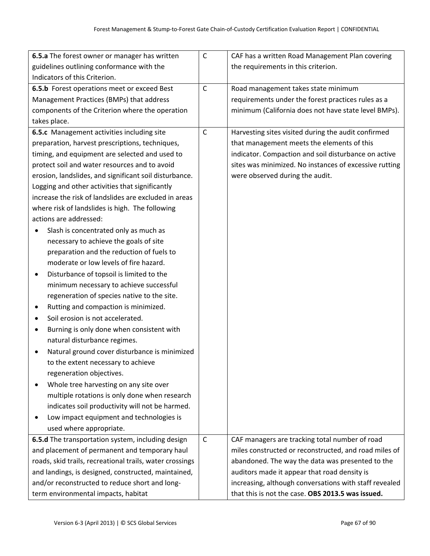| 6.5.a The forest owner or manager has written            | $\mathsf C$  | CAF has a written Road Management Plan covering        |
|----------------------------------------------------------|--------------|--------------------------------------------------------|
| guidelines outlining conformance with the                |              | the requirements in this criterion.                    |
| Indicators of this Criterion.                            |              |                                                        |
| 6.5.b Forest operations meet or exceed Best              | $\mathsf C$  | Road management takes state minimum                    |
| Management Practices (BMPs) that address                 |              | requirements under the forest practices rules as a     |
| components of the Criterion where the operation          |              | minimum (California does not have state level BMPs).   |
| takes place.                                             |              |                                                        |
| 6.5.c Management activities including site               | $\mathsf C$  | Harvesting sites visited during the audit confirmed    |
| preparation, harvest prescriptions, techniques,          |              | that management meets the elements of this             |
| timing, and equipment are selected and used to           |              | indicator. Compaction and soil disturbance on active   |
| protect soil and water resources and to avoid            |              | sites was minimized. No instances of excessive rutting |
| erosion, landslides, and significant soil disturbance.   |              | were observed during the audit.                        |
| Logging and other activities that significantly          |              |                                                        |
| increase the risk of landslides are excluded in areas    |              |                                                        |
| where risk of landslides is high. The following          |              |                                                        |
| actions are addressed:                                   |              |                                                        |
| Slash is concentrated only as much as                    |              |                                                        |
| necessary to achieve the goals of site                   |              |                                                        |
| preparation and the reduction of fuels to                |              |                                                        |
| moderate or low levels of fire hazard.                   |              |                                                        |
| Disturbance of topsoil is limited to the<br>٠            |              |                                                        |
| minimum necessary to achieve successful                  |              |                                                        |
| regeneration of species native to the site.              |              |                                                        |
| Rutting and compaction is minimized.                     |              |                                                        |
| Soil erosion is not accelerated.<br>٠                    |              |                                                        |
| Burning is only done when consistent with<br>$\bullet$   |              |                                                        |
| natural disturbance regimes.                             |              |                                                        |
| Natural ground cover disturbance is minimized            |              |                                                        |
| to the extent necessary to achieve                       |              |                                                        |
| regeneration objectives.                                 |              |                                                        |
| Whole tree harvesting on any site over                   |              |                                                        |
| multiple rotations is only done when research            |              |                                                        |
| indicates soil productivity will not be harmed.          |              |                                                        |
| Low impact equipment and technologies is                 |              |                                                        |
| used where appropriate.                                  |              |                                                        |
| 6.5.d The transportation system, including design        | $\mathsf{C}$ | CAF managers are tracking total number of road         |
| and placement of permanent and temporary haul            |              | miles constructed or reconstructed, and road miles of  |
| roads, skid trails, recreational trails, water crossings |              | abandoned. The way the data was presented to the       |
| and landings, is designed, constructed, maintained,      |              | auditors made it appear that road density is           |
| and/or reconstructed to reduce short and long-           |              | increasing, although conversations with staff revealed |
| term environmental impacts, habitat                      |              | that this is not the case. OBS 2013.5 was issued.      |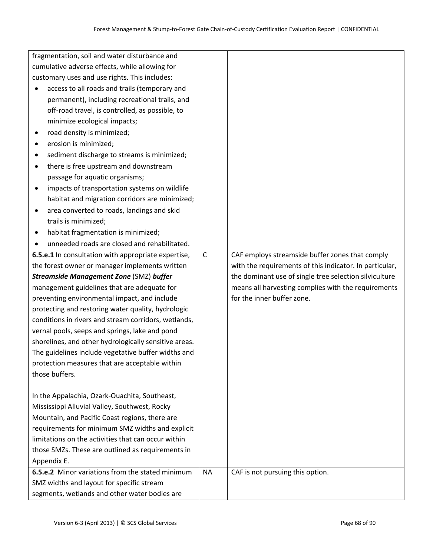|                       | fragmentation, soil and water disturbance and                                                  |              |                                                         |
|-----------------------|------------------------------------------------------------------------------------------------|--------------|---------------------------------------------------------|
|                       | cumulative adverse effects, while allowing for                                                 |              |                                                         |
|                       | customary uses and use rights. This includes:                                                  |              |                                                         |
|                       | access to all roads and trails (temporary and                                                  |              |                                                         |
|                       | permanent), including recreational trails, and                                                 |              |                                                         |
|                       | off-road travel, is controlled, as possible, to                                                |              |                                                         |
|                       | minimize ecological impacts;                                                                   |              |                                                         |
| $\bullet$             | road density is minimized;                                                                     |              |                                                         |
| erosion is minimized; |                                                                                                |              |                                                         |
|                       | sediment discharge to streams is minimized;                                                    |              |                                                         |
|                       | there is free upstream and downstream                                                          |              |                                                         |
|                       | passage for aquatic organisms;                                                                 |              |                                                         |
|                       | impacts of transportation systems on wildlife                                                  |              |                                                         |
|                       | habitat and migration corridors are minimized;                                                 |              |                                                         |
|                       | area converted to roads, landings and skid                                                     |              |                                                         |
| trails is minimized;  |                                                                                                |              |                                                         |
|                       | habitat fragmentation is minimized;                                                            |              |                                                         |
|                       | unneeded roads are closed and rehabilitated.                                                   |              |                                                         |
|                       | 6.5.e.1 In consultation with appropriate expertise,                                            | $\mathsf{C}$ | CAF employs streamside buffer zones that comply         |
|                       | the forest owner or manager implements written                                                 |              | with the requirements of this indicator. In particular, |
|                       | <b>Streamside Management Zone (SMZ) buffer</b>                                                 |              | the dominant use of single tree selection silviculture  |
|                       | management guidelines that are adequate for                                                    |              | means all harvesting complies with the requirements     |
|                       | preventing environmental impact, and include                                                   |              | for the inner buffer zone.                              |
|                       | protecting and restoring water quality, hydrologic                                             |              |                                                         |
|                       | conditions in rivers and stream corridors, wetlands,                                           |              |                                                         |
|                       | vernal pools, seeps and springs, lake and pond                                                 |              |                                                         |
|                       | shorelines, and other hydrologically sensitive areas.                                          |              |                                                         |
|                       | The guidelines include vegetative buffer widths and                                            |              |                                                         |
|                       | protection measures that are acceptable within                                                 |              |                                                         |
| those buffers.        |                                                                                                |              |                                                         |
|                       |                                                                                                |              |                                                         |
|                       | In the Appalachia, Ozark-Ouachita, Southeast,<br>Mississippi Alluvial Valley, Southwest, Rocky |              |                                                         |
|                       | Mountain, and Pacific Coast regions, there are                                                 |              |                                                         |
|                       | requirements for minimum SMZ widths and explicit                                               |              |                                                         |
|                       | limitations on the activities that can occur within                                            |              |                                                         |
|                       | those SMZs. These are outlined as requirements in                                              |              |                                                         |
| Appendix E.           |                                                                                                |              |                                                         |
|                       | 6.5.e.2 Minor variations from the stated minimum                                               | <b>NA</b>    | CAF is not pursuing this option.                        |
|                       | SMZ widths and layout for specific stream                                                      |              |                                                         |
|                       | segments, wetlands and other water bodies are                                                  |              |                                                         |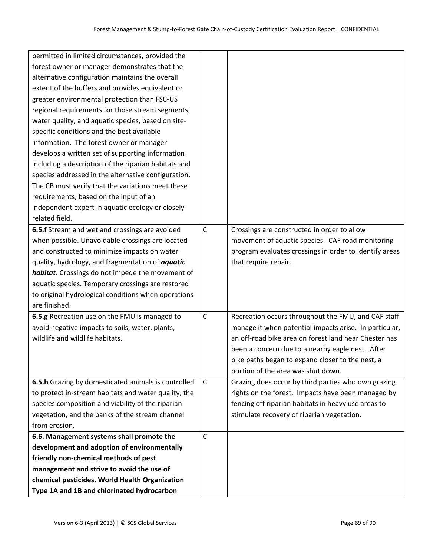| permitted in limited circumstances, provided the        |              |                                                        |
|---------------------------------------------------------|--------------|--------------------------------------------------------|
| forest owner or manager demonstrates that the           |              |                                                        |
| alternative configuration maintains the overall         |              |                                                        |
| extent of the buffers and provides equivalent or        |              |                                                        |
| greater environmental protection than FSC-US            |              |                                                        |
| regional requirements for those stream segments,        |              |                                                        |
| water quality, and aquatic species, based on site-      |              |                                                        |
| specific conditions and the best available              |              |                                                        |
| information. The forest owner or manager                |              |                                                        |
| develops a written set of supporting information        |              |                                                        |
| including a description of the riparian habitats and    |              |                                                        |
| species addressed in the alternative configuration.     |              |                                                        |
| The CB must verify that the variations meet these       |              |                                                        |
| requirements, based on the input of an                  |              |                                                        |
| independent expert in aquatic ecology or closely        |              |                                                        |
| related field.                                          |              |                                                        |
| 6.5.f Stream and wetland crossings are avoided          | $\mathsf{C}$ | Crossings are constructed in order to allow            |
| when possible. Unavoidable crossings are located        |              | movement of aquatic species. CAF road monitoring       |
| and constructed to minimize impacts on water            |              | program evaluates crossings in order to identify areas |
| quality, hydrology, and fragmentation of <i>aquatic</i> |              | that require repair.                                   |
| habitat. Crossings do not impede the movement of        |              |                                                        |
| aquatic species. Temporary crossings are restored       |              |                                                        |
| to original hydrological conditions when operations     |              |                                                        |
| are finished.                                           |              |                                                        |
| 6.5.g Recreation use on the FMU is managed to           | $\mathsf C$  | Recreation occurs throughout the FMU, and CAF staff    |
| avoid negative impacts to soils, water, plants,         |              | manage it when potential impacts arise. In particular, |
| wildlife and wildlife habitats.                         |              | an off-road bike area on forest land near Chester has  |
|                                                         |              | been a concern due to a nearby eagle nest. After       |
|                                                         |              | bike paths began to expand closer to the nest, a       |
|                                                         |              | portion of the area was shut down.                     |
| 6.5.h Grazing by domesticated animals is controlled     | $\mathsf{C}$ | Grazing does occur by third parties who own grazing    |
| to protect in-stream habitats and water quality, the    |              | rights on the forest. Impacts have been managed by     |
| species composition and viability of the riparian       |              | fencing off riparian habitats in heavy use areas to    |
| vegetation, and the banks of the stream channel         |              | stimulate recovery of riparian vegetation.             |
| from erosion.                                           |              |                                                        |
| 6.6. Management systems shall promote the               | $\mathsf C$  |                                                        |
| development and adoption of environmentally             |              |                                                        |
| friendly non-chemical methods of pest                   |              |                                                        |
| management and strive to avoid the use of               |              |                                                        |
| chemical pesticides. World Health Organization          |              |                                                        |
| Type 1A and 1B and chlorinated hydrocarbon              |              |                                                        |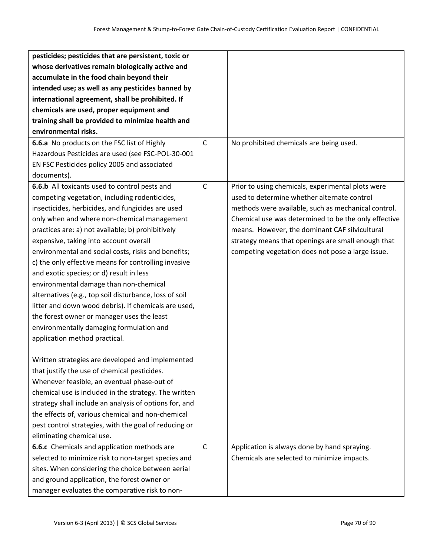| pesticides; pesticides that are persistent, toxic or   |              |                                                      |
|--------------------------------------------------------|--------------|------------------------------------------------------|
| whose derivatives remain biologically active and       |              |                                                      |
| accumulate in the food chain beyond their              |              |                                                      |
| intended use; as well as any pesticides banned by      |              |                                                      |
| international agreement, shall be prohibited. If       |              |                                                      |
| chemicals are used, proper equipment and               |              |                                                      |
| training shall be provided to minimize health and      |              |                                                      |
| environmental risks.                                   |              |                                                      |
| 6.6.a No products on the FSC list of Highly            | $\mathsf{C}$ | No prohibited chemicals are being used.              |
| Hazardous Pesticides are used (see FSC-POL-30-001      |              |                                                      |
| EN FSC Pesticides policy 2005 and associated           |              |                                                      |
| documents).                                            |              |                                                      |
| 6.6.b All toxicants used to control pests and          | $\mathsf{C}$ | Prior to using chemicals, experimental plots were    |
| competing vegetation, including rodenticides,          |              | used to determine whether alternate control          |
| insecticides, herbicides, and fungicides are used      |              | methods were available, such as mechanical control.  |
| only when and where non-chemical management            |              | Chemical use was determined to be the only effective |
| practices are: a) not available; b) prohibitively      |              | means. However, the dominant CAF silvicultural       |
| expensive, taking into account overall                 |              | strategy means that openings are small enough that   |
| environmental and social costs, risks and benefits;    |              | competing vegetation does not pose a large issue.    |
| c) the only effective means for controlling invasive   |              |                                                      |
| and exotic species; or d) result in less               |              |                                                      |
| environmental damage than non-chemical                 |              |                                                      |
| alternatives (e.g., top soil disturbance, loss of soil |              |                                                      |
| litter and down wood debris). If chemicals are used,   |              |                                                      |
| the forest owner or manager uses the least             |              |                                                      |
| environmentally damaging formulation and               |              |                                                      |
| application method practical.                          |              |                                                      |
|                                                        |              |                                                      |
| Written strategies are developed and implemented       |              |                                                      |
| that justify the use of chemical pesticides.           |              |                                                      |
| Whenever feasible, an eventual phase-out of            |              |                                                      |
| chemical use is included in the strategy. The written  |              |                                                      |
| strategy shall include an analysis of options for, and |              |                                                      |
| the effects of, various chemical and non-chemical      |              |                                                      |
| pest control strategies, with the goal of reducing or  |              |                                                      |
| eliminating chemical use.                              |              |                                                      |
| 6.6.c Chemicals and application methods are            | $\mathsf{C}$ | Application is always done by hand spraying.         |
| selected to minimize risk to non-target species and    |              | Chemicals are selected to minimize impacts.          |
| sites. When considering the choice between aerial      |              |                                                      |
| and ground application, the forest owner or            |              |                                                      |
| manager evaluates the comparative risk to non-         |              |                                                      |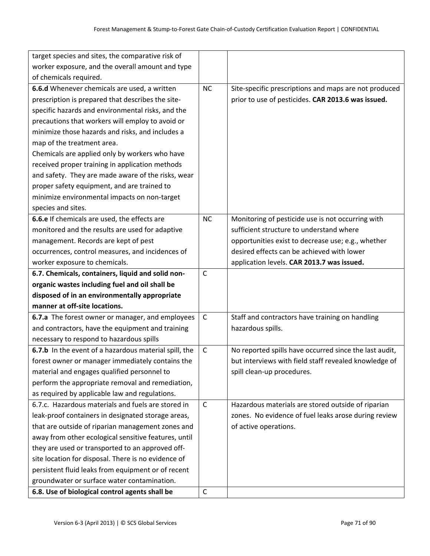| target species and sites, the comparative risk of     |              |                                                        |
|-------------------------------------------------------|--------------|--------------------------------------------------------|
| worker exposure, and the overall amount and type      |              |                                                        |
| of chemicals required.                                |              |                                                        |
| 6.6.d Whenever chemicals are used, a written          | <b>NC</b>    | Site-specific prescriptions and maps are not produced  |
| prescription is prepared that describes the site-     |              | prior to use of pesticides. CAR 2013.6 was issued.     |
| specific hazards and environmental risks, and the     |              |                                                        |
| precautions that workers will employ to avoid or      |              |                                                        |
| minimize those hazards and risks, and includes a      |              |                                                        |
| map of the treatment area.                            |              |                                                        |
| Chemicals are applied only by workers who have        |              |                                                        |
| received proper training in application methods       |              |                                                        |
| and safety. They are made aware of the risks, wear    |              |                                                        |
| proper safety equipment, and are trained to           |              |                                                        |
| minimize environmental impacts on non-target          |              |                                                        |
| species and sites.                                    |              |                                                        |
| 6.6.e If chemicals are used, the effects are          | <b>NC</b>    | Monitoring of pesticide use is not occurring with      |
| monitored and the results are used for adaptive       |              | sufficient structure to understand where               |
| management. Records are kept of pest                  |              | opportunities exist to decrease use; e.g., whether     |
| occurrences, control measures, and incidences of      |              | desired effects can be achieved with lower             |
| worker exposure to chemicals.                         |              | application levels. CAR 2013.7 was issued.             |
| 6.7. Chemicals, containers, liquid and solid non-     | $\mathsf C$  |                                                        |
| organic wastes including fuel and oil shall be        |              |                                                        |
| disposed of in an environmentally appropriate         |              |                                                        |
| manner at off-site locations.                         |              |                                                        |
| 6.7.a The forest owner or manager, and employees      | $\mathsf{C}$ | Staff and contractors have training on handling        |
| and contractors, have the equipment and training      |              | hazardous spills.                                      |
| necessary to respond to hazardous spills              |              |                                                        |
| 6.7.b In the event of a hazardous material spill, the | C            | No reported spills have occurred since the last audit, |
| forest owner or manager immediately contains the      |              | but interviews with field staff revealed knowledge of  |
| material and engages qualified personnel to           |              | spill clean-up procedures.                             |
| perform the appropriate removal and remediation,      |              |                                                        |
| as required by applicable law and regulations.        |              |                                                        |
| 6.7.c. Hazardous materials and fuels are stored in    | $\mathsf{C}$ | Hazardous materials are stored outside of riparian     |
| leak-proof containers in designated storage areas,    |              | zones. No evidence of fuel leaks arose during review   |
| that are outside of riparian management zones and     |              | of active operations.                                  |
| away from other ecological sensitive features, until  |              |                                                        |
| they are used or transported to an approved off-      |              |                                                        |
| site location for disposal. There is no evidence of   |              |                                                        |
| persistent fluid leaks from equipment or of recent    |              |                                                        |
| groundwater or surface water contamination.           |              |                                                        |
|                                                       |              |                                                        |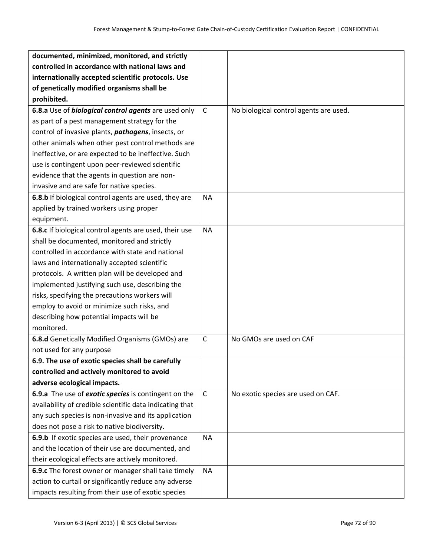| documented, minimized, monitored, and strictly             |              |                                        |
|------------------------------------------------------------|--------------|----------------------------------------|
| controlled in accordance with national laws and            |              |                                        |
| internationally accepted scientific protocols. Use         |              |                                        |
| of genetically modified organisms shall be                 |              |                                        |
| prohibited.                                                |              |                                        |
| 6.8.a Use of biological control agents are used only       | $\mathsf{C}$ | No biological control agents are used. |
| as part of a pest management strategy for the              |              |                                        |
| control of invasive plants, <i>pathogens</i> , insects, or |              |                                        |
| other animals when other pest control methods are          |              |                                        |
| ineffective, or are expected to be ineffective. Such       |              |                                        |
| use is contingent upon peer-reviewed scientific            |              |                                        |
| evidence that the agents in question are non-              |              |                                        |
| invasive and are safe for native species.                  |              |                                        |
| 6.8.b If biological control agents are used, they are      | <b>NA</b>    |                                        |
| applied by trained workers using proper                    |              |                                        |
| equipment.                                                 |              |                                        |
| 6.8.c If biological control agents are used, their use     | <b>NA</b>    |                                        |
| shall be documented, monitored and strictly                |              |                                        |
| controlled in accordance with state and national           |              |                                        |
| laws and internationally accepted scientific               |              |                                        |
| protocols. A written plan will be developed and            |              |                                        |
| implemented justifying such use, describing the            |              |                                        |
| risks, specifying the precautions workers will             |              |                                        |
| employ to avoid or minimize such risks, and                |              |                                        |
| describing how potential impacts will be                   |              |                                        |
| monitored.                                                 |              |                                        |
| 6.8.d Genetically Modified Organisms (GMOs) are            | $\mathsf{C}$ | No GMOs are used on CAF                |
| not used for any purpose                                   |              |                                        |
| 6.9. The use of exotic species shall be carefully          |              |                                        |
| controlled and actively monitored to avoid                 |              |                                        |
| adverse ecological impacts.                                |              |                                        |
| 6.9.a The use of exotic species is contingent on the       | $\mathsf{C}$ | No exotic species are used on CAF.     |
| availability of credible scientific data indicating that   |              |                                        |
| any such species is non-invasive and its application       |              |                                        |
| does not pose a risk to native biodiversity.               |              |                                        |
| 6.9.b If exotic species are used, their provenance         | <b>NA</b>    |                                        |
| and the location of their use are documented, and          |              |                                        |
| their ecological effects are actively monitored.           |              |                                        |
| 6.9.c The forest owner or manager shall take timely        | <b>NA</b>    |                                        |
| action to curtail or significantly reduce any adverse      |              |                                        |
| impacts resulting from their use of exotic species         |              |                                        |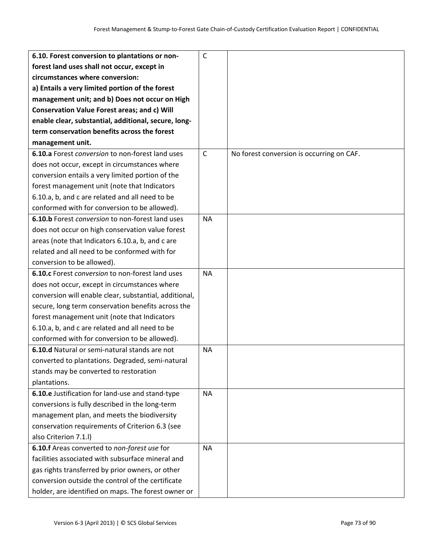| 6.10. Forest conversion to plantations or non-         | $\mathsf{C}$ |                                           |
|--------------------------------------------------------|--------------|-------------------------------------------|
| forest land uses shall not occur, except in            |              |                                           |
| circumstances where conversion:                        |              |                                           |
| a) Entails a very limited portion of the forest        |              |                                           |
| management unit; and b) Does not occur on High         |              |                                           |
| Conservation Value Forest areas; and c) Will           |              |                                           |
| enable clear, substantial, additional, secure, long-   |              |                                           |
| term conservation benefits across the forest           |              |                                           |
| management unit.                                       |              |                                           |
| 6.10.a Forest conversion to non-forest land uses       | $\mathsf{C}$ | No forest conversion is occurring on CAF. |
| does not occur, except in circumstances where          |              |                                           |
| conversion entails a very limited portion of the       |              |                                           |
| forest management unit (note that Indicators           |              |                                           |
| 6.10.a, b, and c are related and all need to be        |              |                                           |
| conformed with for conversion to be allowed).          |              |                                           |
| 6.10.b Forest conversion to non-forest land uses       | <b>NA</b>    |                                           |
| does not occur on high conservation value forest       |              |                                           |
| areas (note that Indicators 6.10.a, b, and c are       |              |                                           |
| related and all need to be conformed with for          |              |                                           |
| conversion to be allowed).                             |              |                                           |
| 6.10.c Forest conversion to non-forest land uses       | <b>NA</b>    |                                           |
| does not occur, except in circumstances where          |              |                                           |
| conversion will enable clear, substantial, additional, |              |                                           |
| secure, long term conservation benefits across the     |              |                                           |
| forest management unit (note that Indicators           |              |                                           |
| 6.10.a, b, and c are related and all need to be        |              |                                           |
| conformed with for conversion to be allowed).          |              |                                           |
| 6.10.d Natural or semi-natural stands are not          | <b>NA</b>    |                                           |
| converted to plantations. Degraded, semi-natural       |              |                                           |
| stands may be converted to restoration                 |              |                                           |
| plantations.                                           |              |                                           |
| 6.10.e Justification for land-use and stand-type       | <b>NA</b>    |                                           |
| conversions is fully described in the long-term        |              |                                           |
| management plan, and meets the biodiversity            |              |                                           |
| conservation requirements of Criterion 6.3 (see        |              |                                           |
| also Criterion 7.1.l)                                  |              |                                           |
| 6.10.f Areas converted to non-forest use for           | <b>NA</b>    |                                           |
| facilities associated with subsurface mineral and      |              |                                           |
| gas rights transferred by prior owners, or other       |              |                                           |
| conversion outside the control of the certificate      |              |                                           |
| holder, are identified on maps. The forest owner or    |              |                                           |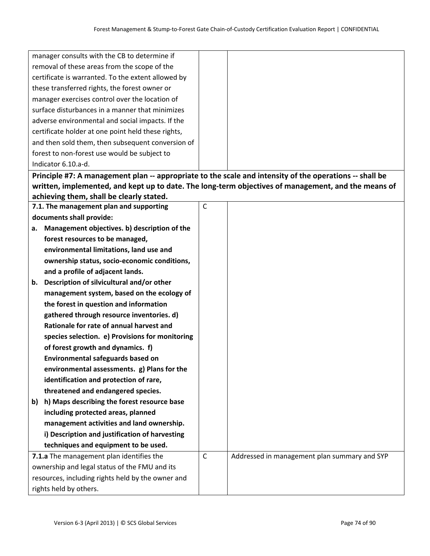| manager consults with the CB to determine if                                                            |              |                                                                                                     |
|---------------------------------------------------------------------------------------------------------|--------------|-----------------------------------------------------------------------------------------------------|
| removal of these areas from the scope of the                                                            |              |                                                                                                     |
| certificate is warranted. To the extent allowed by                                                      |              |                                                                                                     |
| these transferred rights, the forest owner or                                                           |              |                                                                                                     |
| manager exercises control over the location of                                                          |              |                                                                                                     |
| surface disturbances in a manner that minimizes                                                         |              |                                                                                                     |
| adverse environmental and social impacts. If the                                                        |              |                                                                                                     |
| certificate holder at one point held these rights,                                                      |              |                                                                                                     |
| and then sold them, then subsequent conversion of                                                       |              |                                                                                                     |
| forest to non-forest use would be subject to                                                            |              |                                                                                                     |
| Indicator 6.10.a-d.                                                                                     |              |                                                                                                     |
| Principle #7: A management plan -- appropriate to the scale and intensity of the operations -- shall be |              |                                                                                                     |
|                                                                                                         |              | written, implemented, and kept up to date. The long-term objectives of management, and the means of |
| achieving them, shall be clearly stated.                                                                |              |                                                                                                     |
| 7.1. The management plan and supporting                                                                 | $\mathsf C$  |                                                                                                     |
| documents shall provide:                                                                                |              |                                                                                                     |
| a. Management objectives. b) description of the                                                         |              |                                                                                                     |
| forest resources to be managed,                                                                         |              |                                                                                                     |
| environmental limitations, land use and                                                                 |              |                                                                                                     |
| ownership status, socio-economic conditions,                                                            |              |                                                                                                     |
| and a profile of adjacent lands.                                                                        |              |                                                                                                     |
| Description of silvicultural and/or other<br>b.                                                         |              |                                                                                                     |
| management system, based on the ecology of                                                              |              |                                                                                                     |
| the forest in question and information                                                                  |              |                                                                                                     |
| gathered through resource inventories. d)                                                               |              |                                                                                                     |
| Rationale for rate of annual harvest and                                                                |              |                                                                                                     |
| species selection. e) Provisions for monitoring                                                         |              |                                                                                                     |
| of forest growth and dynamics. f)                                                                       |              |                                                                                                     |
| Environmental safeguards based on                                                                       |              |                                                                                                     |
| environmental assessments. g) Plans for the                                                             |              |                                                                                                     |
| identification and protection of rare,                                                                  |              |                                                                                                     |
| threatened and endangered species.                                                                      |              |                                                                                                     |
| h) Maps describing the forest resource base<br>b)                                                       |              |                                                                                                     |
| including protected areas, planned                                                                      |              |                                                                                                     |
| management activities and land ownership.                                                               |              |                                                                                                     |
| i) Description and justification of harvesting                                                          |              |                                                                                                     |
| techniques and equipment to be used.                                                                    |              |                                                                                                     |
| 7.1.a The management plan identifies the                                                                | $\mathsf{C}$ | Addressed in management plan summary and SYP                                                        |
| ownership and legal status of the FMU and its                                                           |              |                                                                                                     |
| resources, including rights held by the owner and                                                       |              |                                                                                                     |
| rights held by others.                                                                                  |              |                                                                                                     |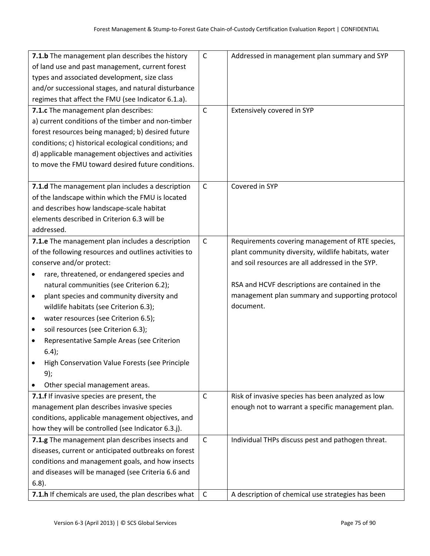| 7.1.b The management plan describes the history          | $\mathsf{C}$ | Addressed in management plan summary and SYP        |
|----------------------------------------------------------|--------------|-----------------------------------------------------|
| of land use and past management, current forest          |              |                                                     |
| types and associated development, size class             |              |                                                     |
| and/or successional stages, and natural disturbance      |              |                                                     |
| regimes that affect the FMU (see Indicator 6.1.a).       |              |                                                     |
| 7.1.c The management plan describes:                     | $\mathsf{C}$ | Extensively covered in SYP                          |
| a) current conditions of the timber and non-timber       |              |                                                     |
| forest resources being managed; b) desired future        |              |                                                     |
| conditions; c) historical ecological conditions; and     |              |                                                     |
| d) applicable management objectives and activities       |              |                                                     |
| to move the FMU toward desired future conditions.        |              |                                                     |
|                                                          |              |                                                     |
| 7.1.d The management plan includes a description         | $\mathsf{C}$ | Covered in SYP                                      |
| of the landscape within which the FMU is located         |              |                                                     |
| and describes how landscape-scale habitat                |              |                                                     |
| elements described in Criterion 6.3 will be              |              |                                                     |
| addressed.                                               |              |                                                     |
| 7.1.e The management plan includes a description         | $\mathsf{C}$ | Requirements covering management of RTE species,    |
| of the following resources and outlines activities to    |              | plant community diversity, wildlife habitats, water |
| conserve and/or protect:                                 |              | and soil resources are all addressed in the SYP.    |
| rare, threatened, or endangered species and<br>$\bullet$ |              |                                                     |
| natural communities (see Criterion 6.2);                 |              | RSA and HCVF descriptions are contained in the      |
| plant species and community diversity and<br>$\bullet$   |              | management plan summary and supporting protocol     |
| wildlife habitats (see Criterion 6.3);                   |              | document.                                           |
| water resources (see Criterion 6.5);<br>$\bullet$        |              |                                                     |
| soil resources (see Criterion 6.3);<br>٠                 |              |                                                     |
| Representative Sample Areas (see Criterion               |              |                                                     |
| $6.4$ ;                                                  |              |                                                     |
| High Conservation Value Forests (see Principle           |              |                                                     |
| 9);                                                      |              |                                                     |
| Other special management areas.                          |              |                                                     |
| 7.1.f If invasive species are present, the               | C            | Risk of invasive species has been analyzed as low   |
| management plan describes invasive species               |              | enough not to warrant a specific management plan.   |
| conditions, applicable management objectives, and        |              |                                                     |
| how they will be controlled (see Indicator 6.3.j).       |              |                                                     |
| 7.1.g The management plan describes insects and          | $\mathsf{C}$ | Individual THPs discuss pest and pathogen threat.   |
| diseases, current or anticipated outbreaks on forest     |              |                                                     |
| conditions and management goals, and how insects         |              |                                                     |
| and diseases will be managed (see Criteria 6.6 and       |              |                                                     |
| $6.8$ ).                                                 |              |                                                     |
| 7.1.h If chemicals are used, the plan describes what     | $\mathsf{C}$ | A description of chemical use strategies has been   |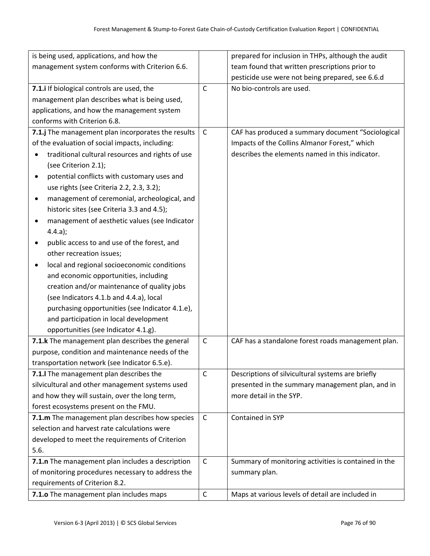| is being used, applications, and how the           |              | prepared for inclusion in THPs, although the audit   |
|----------------------------------------------------|--------------|------------------------------------------------------|
| management system conforms with Criterion 6.6.     |              | team found that written prescriptions prior to       |
|                                                    |              | pesticide use were not being prepared, see 6.6.d     |
| 7.1.i If biological controls are used, the         | $\mathsf{C}$ | No bio-controls are used.                            |
| management plan describes what is being used,      |              |                                                      |
| applications, and how the management system        |              |                                                      |
| conforms with Criterion 6.8.                       |              |                                                      |
| 7.1.j The management plan incorporates the results | $\mathsf C$  | CAF has produced a summary document "Sociological    |
| of the evaluation of social impacts, including:    |              | Impacts of the Collins Almanor Forest," which        |
| traditional cultural resources and rights of use   |              | describes the elements named in this indicator.      |
| (see Criterion 2.1);                               |              |                                                      |
| potential conflicts with customary uses and        |              |                                                      |
| use rights (see Criteria 2.2, 2.3, 3.2);           |              |                                                      |
| management of ceremonial, archeological, and       |              |                                                      |
| historic sites (see Criteria 3.3 and 4.5);         |              |                                                      |
| management of aesthetic values (see Indicator      |              |                                                      |
| 4.4.a);                                            |              |                                                      |
| public access to and use of the forest, and        |              |                                                      |
| other recreation issues;                           |              |                                                      |
| local and regional socioeconomic conditions        |              |                                                      |
| and economic opportunities, including              |              |                                                      |
| creation and/or maintenance of quality jobs        |              |                                                      |
| (see Indicators 4.1.b and 4.4.a), local            |              |                                                      |
| purchasing opportunities (see Indicator 4.1.e),    |              |                                                      |
| and participation in local development             |              |                                                      |
| opportunities (see Indicator 4.1.g).               |              |                                                      |
| 7.1.k The management plan describes the general    | $\mathsf{C}$ | CAF has a standalone forest roads management plan.   |
| purpose, condition and maintenance needs of the    |              |                                                      |
| transportation network (see Indicator 6.5.e).      |              |                                                      |
| 7.1. The management plan describes the             | $\mathsf{C}$ | Descriptions of silvicultural systems are briefly    |
| silvicultural and other management systems used    |              | presented in the summary management plan, and in     |
| and how they will sustain, over the long term,     |              | more detail in the SYP.                              |
| forest ecosystems present on the FMU.              |              |                                                      |
| 7.1.m The management plan describes how species    | $\mathsf{C}$ | Contained in SYP                                     |
| selection and harvest rate calculations were       |              |                                                      |
| developed to meet the requirements of Criterion    |              |                                                      |
| 5.6.                                               |              |                                                      |
| 7.1.n The management plan includes a description   | $\mathsf{C}$ | Summary of monitoring activities is contained in the |
| of monitoring procedures necessary to address the  |              | summary plan.                                        |
| requirements of Criterion 8.2.                     |              |                                                      |
| 7.1.0 The management plan includes maps            | $\mathsf{C}$ | Maps at various levels of detail are included in     |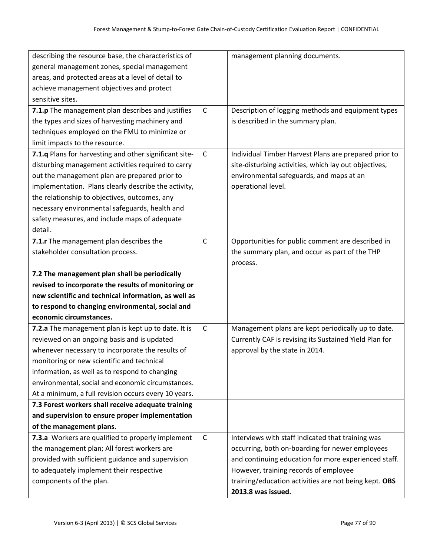| describing the resource base, the characteristics of   |              | management planning documents.                         |
|--------------------------------------------------------|--------------|--------------------------------------------------------|
| general management zones, special management           |              |                                                        |
| areas, and protected areas at a level of detail to     |              |                                                        |
| achieve management objectives and protect              |              |                                                        |
| sensitive sites.                                       |              |                                                        |
| 7.1.p The management plan describes and justifies      | $\mathsf{C}$ | Description of logging methods and equipment types     |
| the types and sizes of harvesting machinery and        |              | is described in the summary plan.                      |
| techniques employed on the FMU to minimize or          |              |                                                        |
| limit impacts to the resource.                         |              |                                                        |
| 7.1.q Plans for harvesting and other significant site- | $\mathsf{C}$ | Individual Timber Harvest Plans are prepared prior to  |
| disturbing management activities required to carry     |              | site-disturbing activities, which lay out objectives,  |
| out the management plan are prepared prior to          |              | environmental safeguards, and maps at an               |
| implementation. Plans clearly describe the activity,   |              | operational level.                                     |
| the relationship to objectives, outcomes, any          |              |                                                        |
| necessary environmental safeguards, health and         |              |                                                        |
| safety measures, and include maps of adequate          |              |                                                        |
| detail.                                                |              |                                                        |
| 7.1.r The management plan describes the                | $\mathsf{C}$ | Opportunities for public comment are described in      |
| stakeholder consultation process.                      |              | the summary plan, and occur as part of the THP         |
|                                                        |              | process.                                               |
| 7.2 The management plan shall be periodically          |              |                                                        |
| revised to incorporate the results of monitoring or    |              |                                                        |
| new scientific and technical information, as well as   |              |                                                        |
| to respond to changing environmental, social and       |              |                                                        |
| economic circumstances.                                |              |                                                        |
| 7.2.a The management plan is kept up to date. It is    | $\mathsf C$  | Management plans are kept periodically up to date.     |
| reviewed on an ongoing basis and is updated            |              | Currently CAF is revising its Sustained Yield Plan for |
| whenever necessary to incorporate the results of       |              | approval by the state in 2014.                         |
| monitoring or new scientific and technical             |              |                                                        |
| information, as well as to respond to changing         |              |                                                        |
| environmental, social and economic circumstances.      |              |                                                        |
| At a minimum, a full revision occurs every 10 years.   |              |                                                        |
| 7.3 Forest workers shall receive adequate training     |              |                                                        |
| and supervision to ensure proper implementation        |              |                                                        |
| of the management plans.                               |              |                                                        |
| 7.3.a Workers are qualified to properly implement      | $\mathsf{C}$ | Interviews with staff indicated that training was      |
| the management plan; All forest workers are            |              | occurring, both on-boarding for newer employees        |
| provided with sufficient guidance and supervision      |              | and continuing education for more experienced staff.   |
| to adequately implement their respective               |              | However, training records of employee                  |
| components of the plan.                                |              | training/education activities are not being kept. OBS  |
|                                                        |              | 2013.8 was issued.                                     |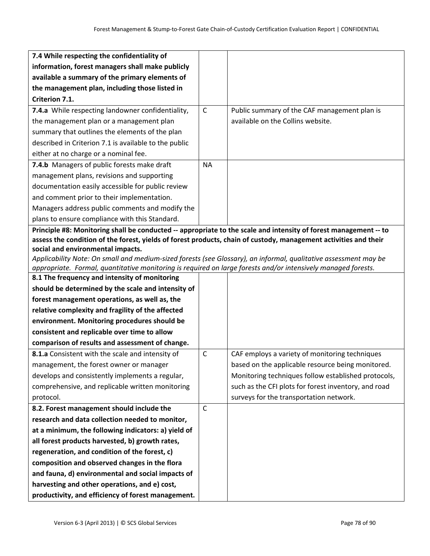| 7.4 While respecting the confidentiality of                                                                                                                                                                                       |              |                                                      |
|-----------------------------------------------------------------------------------------------------------------------------------------------------------------------------------------------------------------------------------|--------------|------------------------------------------------------|
| information, forest managers shall make publicly                                                                                                                                                                                  |              |                                                      |
| available a summary of the primary elements of                                                                                                                                                                                    |              |                                                      |
| the management plan, including those listed in                                                                                                                                                                                    |              |                                                      |
| Criterion 7.1.                                                                                                                                                                                                                    |              |                                                      |
| 7.4.a While respecting landowner confidentiality,                                                                                                                                                                                 | $\mathsf{C}$ | Public summary of the CAF management plan is         |
| the management plan or a management plan                                                                                                                                                                                          |              | available on the Collins website.                    |
| summary that outlines the elements of the plan                                                                                                                                                                                    |              |                                                      |
| described in Criterion 7.1 is available to the public                                                                                                                                                                             |              |                                                      |
| either at no charge or a nominal fee.                                                                                                                                                                                             |              |                                                      |
| 7.4.b Managers of public forests make draft                                                                                                                                                                                       | <b>NA</b>    |                                                      |
| management plans, revisions and supporting                                                                                                                                                                                        |              |                                                      |
| documentation easily accessible for public review                                                                                                                                                                                 |              |                                                      |
| and comment prior to their implementation.                                                                                                                                                                                        |              |                                                      |
| Managers address public comments and modify the                                                                                                                                                                                   |              |                                                      |
| plans to ensure compliance with this Standard.                                                                                                                                                                                    |              |                                                      |
| Principle #8: Monitoring shall be conducted -- appropriate to the scale and intensity of forest management -- to                                                                                                                  |              |                                                      |
| assess the condition of the forest, yields of forest products, chain of custody, management activities and their                                                                                                                  |              |                                                      |
| social and environmental impacts.                                                                                                                                                                                                 |              |                                                      |
| Applicability Note: On small and medium-sized forests (see Glossary), an informal, qualitative assessment may be<br>appropriate. Formal, quantitative monitoring is required on large forests and/or intensively managed forests. |              |                                                      |
| 8.1 The frequency and intensity of monitoring                                                                                                                                                                                     |              |                                                      |
| should be determined by the scale and intensity of                                                                                                                                                                                |              |                                                      |
| forest management operations, as well as, the                                                                                                                                                                                     |              |                                                      |
| relative complexity and fragility of the affected                                                                                                                                                                                 |              |                                                      |
| environment. Monitoring procedures should be                                                                                                                                                                                      |              |                                                      |
| consistent and replicable over time to allow                                                                                                                                                                                      |              |                                                      |
| comparison of results and assessment of change.                                                                                                                                                                                   |              |                                                      |
| 8.1.a Consistent with the scale and intensity of                                                                                                                                                                                  | $\mathsf C$  | CAF employs a variety of monitoring techniques       |
| management, the forest owner or manager                                                                                                                                                                                           |              | based on the applicable resource being monitored.    |
| develops and consistently implements a regular,                                                                                                                                                                                   |              | Monitoring techniques follow established protocols,  |
| comprehensive, and replicable written monitoring                                                                                                                                                                                  |              | such as the CFI plots for forest inventory, and road |
| protocol.                                                                                                                                                                                                                         |              | surveys for the transportation network.              |
| 8.2. Forest management should include the                                                                                                                                                                                         | $\mathsf{C}$ |                                                      |
| research and data collection needed to monitor,                                                                                                                                                                                   |              |                                                      |
| at a minimum, the following indicators: a) yield of                                                                                                                                                                               |              |                                                      |
| all forest products harvested, b) growth rates,                                                                                                                                                                                   |              |                                                      |
| regeneration, and condition of the forest, c)                                                                                                                                                                                     |              |                                                      |
| composition and observed changes in the flora                                                                                                                                                                                     |              |                                                      |
| and fauna, d) environmental and social impacts of                                                                                                                                                                                 |              |                                                      |
| harvesting and other operations, and e) cost,                                                                                                                                                                                     |              |                                                      |
| productivity, and efficiency of forest management.                                                                                                                                                                                |              |                                                      |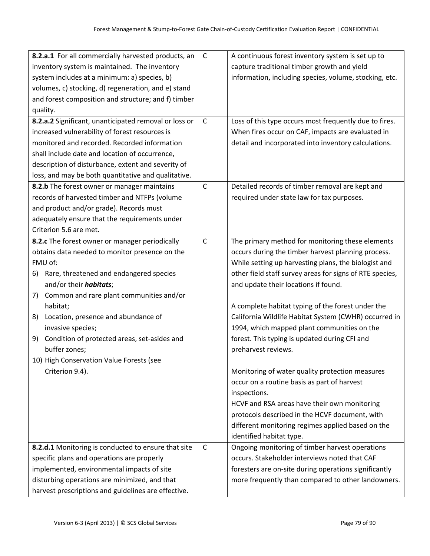| 8.2.a.1 For all commercially harvested products, an   | $\mathsf C$  | A continuous forest inventory system is set up to        |
|-------------------------------------------------------|--------------|----------------------------------------------------------|
| inventory system is maintained. The inventory         |              | capture traditional timber growth and yield              |
| system includes at a minimum: a) species, b)          |              | information, including species, volume, stocking, etc.   |
| volumes, c) stocking, d) regeneration, and e) stand   |              |                                                          |
| and forest composition and structure; and f) timber   |              |                                                          |
| quality.                                              |              |                                                          |
| 8.2.a.2 Significant, unanticipated removal or loss or | $\mathsf C$  | Loss of this type occurs most frequently due to fires.   |
| increased vulnerability of forest resources is        |              | When fires occur on CAF, impacts are evaluated in        |
| monitored and recorded. Recorded information          |              | detail and incorporated into inventory calculations.     |
| shall include date and location of occurrence,        |              |                                                          |
| description of disturbance, extent and severity of    |              |                                                          |
| loss, and may be both quantitative and qualitative.   |              |                                                          |
| 8.2.b The forest owner or manager maintains           | $\mathsf C$  | Detailed records of timber removal are kept and          |
| records of harvested timber and NTFPs (volume         |              | required under state law for tax purposes.               |
| and product and/or grade). Records must               |              |                                                          |
| adequately ensure that the requirements under         |              |                                                          |
| Criterion 5.6 are met.                                |              |                                                          |
| 8.2.c The forest owner or manager periodically        | $\mathsf{C}$ | The primary method for monitoring these elements         |
| obtains data needed to monitor presence on the        |              | occurs during the timber harvest planning process.       |
| FMU of:                                               |              | While setting up harvesting plans, the biologist and     |
| Rare, threatened and endangered species<br>6)         |              | other field staff survey areas for signs of RTE species, |
| and/or their <i>habitats</i> ;                        |              | and update their locations if found.                     |
| Common and rare plant communities and/or<br>7)        |              |                                                          |
| habitat;                                              |              | A complete habitat typing of the forest under the        |
| Location, presence and abundance of<br>8)             |              | California Wildlife Habitat System (CWHR) occurred in    |
| invasive species;                                     |              | 1994, which mapped plant communities on the              |
| Condition of protected areas, set-asides and<br>9)    |              | forest. This typing is updated during CFI and            |
| buffer zones;                                         |              | preharvest reviews.                                      |
| 10) High Conservation Value Forests (see              |              |                                                          |
| Criterion 9.4).                                       |              | Monitoring of water quality protection measures          |
|                                                       |              | occur on a routine basis as part of harvest              |
|                                                       |              | inspections.                                             |
|                                                       |              | HCVF and RSA areas have their own monitoring             |
|                                                       |              | protocols described in the HCVF document, with           |
|                                                       |              | different monitoring regimes applied based on the        |
|                                                       |              | identified habitat type.                                 |
| 8.2.d.1 Monitoring is conducted to ensure that site   | $\mathsf{C}$ | Ongoing monitoring of timber harvest operations          |
| specific plans and operations are properly            |              | occurs. Stakeholder interviews noted that CAF            |
| implemented, environmental impacts of site            |              | foresters are on-site during operations significantly    |
| disturbing operations are minimized, and that         |              | more frequently than compared to other landowners.       |
| harvest prescriptions and guidelines are effective.   |              |                                                          |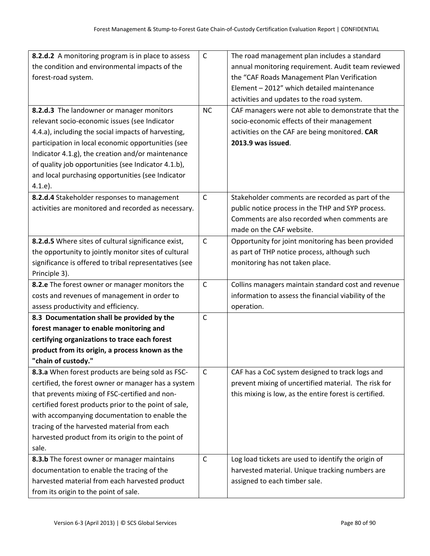| 8.2.d.2 A monitoring program is in place to assess     | $\mathsf C$  | The road management plan includes a standard           |
|--------------------------------------------------------|--------------|--------------------------------------------------------|
| the condition and environmental impacts of the         |              | annual monitoring requirement. Audit team reviewed     |
| forest-road system.                                    |              | the "CAF Roads Management Plan Verification            |
|                                                        |              | Element - 2012" which detailed maintenance             |
|                                                        |              | activities and updates to the road system.             |
| 8.2.d.3 The landowner or manager monitors              | <b>NC</b>    | CAF managers were not able to demonstrate that the     |
| relevant socio-economic issues (see Indicator          |              | socio-economic effects of their management             |
| 4.4.a), including the social impacts of harvesting,    |              | activities on the CAF are being monitored. CAR         |
| participation in local economic opportunities (see     |              | 2013.9 was issued.                                     |
| Indicator 4.1.g), the creation and/or maintenance      |              |                                                        |
| of quality job opportunities (see Indicator 4.1.b),    |              |                                                        |
| and local purchasing opportunities (see Indicator      |              |                                                        |
| 4.1.e.                                                 |              |                                                        |
| 8.2.d.4 Stakeholder responses to management            | $\mathsf{C}$ | Stakeholder comments are recorded as part of the       |
| activities are monitored and recorded as necessary.    |              | public notice process in the THP and SYP process.      |
|                                                        |              | Comments are also recorded when comments are           |
|                                                        |              | made on the CAF website.                               |
| 8.2.d.5 Where sites of cultural significance exist,    | $\mathsf C$  | Opportunity for joint monitoring has been provided     |
| the opportunity to jointly monitor sites of cultural   |              | as part of THP notice process, although such           |
| significance is offered to tribal representatives (see |              | monitoring has not taken place.                        |
| Principle 3).                                          |              |                                                        |
| 8.2.e The forest owner or manager monitors the         | $\mathsf C$  | Collins managers maintain standard cost and revenue    |
| costs and revenues of management in order to           |              | information to assess the financial viability of the   |
| assess productivity and efficiency.                    |              | operation.                                             |
| 8.3 Documentation shall be provided by the             | $\mathsf C$  |                                                        |
| forest manager to enable monitoring and                |              |                                                        |
| certifying organizations to trace each forest          |              |                                                        |
| product from its origin, a process known as the        |              |                                                        |
| "chain of custody."                                    |              |                                                        |
| 8.3.a When forest products are being sold as FSC-      | $\mathsf{C}$ | CAF has a CoC system designed to track logs and        |
| certified, the forest owner or manager has a system    |              | prevent mixing of uncertified material. The risk for   |
| that prevents mixing of FSC-certified and non-         |              | this mixing is low, as the entire forest is certified. |
| certified forest products prior to the point of sale,  |              |                                                        |
| with accompanying documentation to enable the          |              |                                                        |
| tracing of the harvested material from each            |              |                                                        |
| harvested product from its origin to the point of      |              |                                                        |
| sale.                                                  |              |                                                        |
| 8.3.b The forest owner or manager maintains            | $\mathsf C$  | Log load tickets are used to identify the origin of    |
| documentation to enable the tracing of the             |              | harvested material. Unique tracking numbers are        |
| harvested material from each harvested product         |              | assigned to each timber sale.                          |
| from its origin to the point of sale.                  |              |                                                        |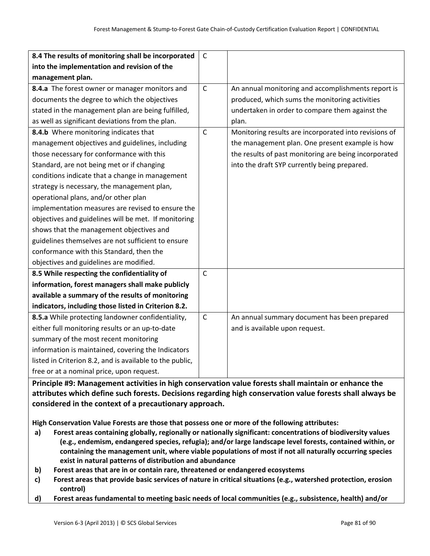| 8.4 The results of monitoring shall be incorporated      | $\mathsf{C}$ |                                                       |
|----------------------------------------------------------|--------------|-------------------------------------------------------|
| into the implementation and revision of the              |              |                                                       |
| management plan.                                         |              |                                                       |
| 8.4.a The forest owner or manager monitors and           | $\mathsf{C}$ | An annual monitoring and accomplishments report is    |
| documents the degree to which the objectives             |              | produced, which sums the monitoring activities        |
| stated in the management plan are being fulfilled,       |              | undertaken in order to compare them against the       |
| as well as significant deviations from the plan.         |              | plan.                                                 |
| 8.4.b Where monitoring indicates that                    | $\mathsf{C}$ | Monitoring results are incorporated into revisions of |
| management objectives and guidelines, including          |              | the management plan. One present example is how       |
| those necessary for conformance with this                |              | the results of past monitoring are being incorporated |
| Standard, are not being met or if changing               |              | into the draft SYP currently being prepared.          |
| conditions indicate that a change in management          |              |                                                       |
| strategy is necessary, the management plan,              |              |                                                       |
| operational plans, and/or other plan                     |              |                                                       |
| implementation measures are revised to ensure the        |              |                                                       |
| objectives and guidelines will be met. If monitoring     |              |                                                       |
| shows that the management objectives and                 |              |                                                       |
| guidelines themselves are not sufficient to ensure       |              |                                                       |
| conformance with this Standard, then the                 |              |                                                       |
| objectives and guidelines are modified.                  |              |                                                       |
| 8.5 While respecting the confidentiality of              | $\mathsf{C}$ |                                                       |
| information, forest managers shall make publicly         |              |                                                       |
| available a summary of the results of monitoring         |              |                                                       |
| indicators, including those listed in Criterion 8.2.     |              |                                                       |
| 8.5.a While protecting landowner confidentiality,        | $\mathsf C$  | An annual summary document has been prepared          |
| either full monitoring results or an up-to-date          |              | and is available upon request.                        |
| summary of the most recent monitoring                    |              |                                                       |
| information is maintained, covering the Indicators       |              |                                                       |
| listed in Criterion 8.2, and is available to the public, |              |                                                       |
| free or at a nominal price, upon request.                |              |                                                       |

**Principle #9: Management activities in high conservation value forests shall maintain or enhance the attributes which define such forests. Decisions regarding high conservation value forests shall always be considered in the context of a precautionary approach.**

**High Conservation Value Forests are those that possess one or more of the following attributes:** 

- **a) Forest areas containing globally, regionally or nationally significant: concentrations of biodiversity values (e.g., endemism, endangered species, refugia); and/or large landscape level forests, contained within, or containing the management unit, where viable populations of most if not all naturally occurring species exist in natural patterns of distribution and abundance**
- **b) Forest areas that are in or contain rare, threatened or endangered ecosystems**
- c) Forest areas that provide basic services of nature in critical situations (e.g., watershed protection, erosion **control)**
- **d) Forest areas fundamental to meeting basic needs of local communities (e.g., subsistence, health) and/or**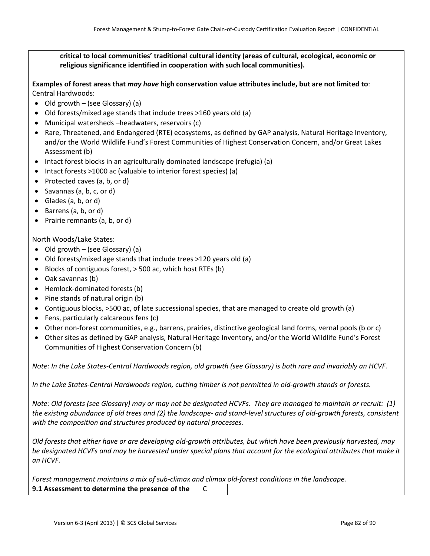**critical to local communities' traditional cultural identity (areas of cultural, ecological, economic or religious significance identified in cooperation with such local communities).** 

Examples of forest areas that may have high conservation value attributes include, but are not limited to: Central Hardwoods:

- Old growth (see Glossary) (a)
- Old forests/mixed age stands that include trees >160 years old (a)
- Municipal watersheds –headwaters, reservoirs (c)
- Rare, Threatened, and Endangered (RTE) ecosystems, as defined by GAP analysis, Natural Heritage Inventory, and/or the World Wildlife Fund's Forest Communities of Highest Conservation Concern, and/or Great Lakes Assessment (b)
- Intact forest blocks in an agriculturally dominated landscape (refugia) (a)
- Intact forests >1000 ac (valuable to interior forest species) (a)
- Protected caves (a, b, or d)
- Savannas (a, b, c, or d)
- Glades (a, b, or d)
- Barrens (a, b, or d)
- Prairie remnants (a, b, or d)

North Woods/Lake States:

- Old growth (see Glossary) (a)
- Old forests/mixed age stands that include trees >120 years old (a)
- Blocks of contiguous forest, > 500 ac, which host RTEs (b)
- Oak savannas (b)
- Hemlock‐dominated forests (b)
- Pine stands of natural origin (b)
- Contiguous blocks, >500 ac, of late successional species, that are managed to create old growth (a)
- Fens, particularly calcareous fens (c)
- Other non‐forest communities, e.g., barrens, prairies, distinctive geological land forms, vernal pools (b or c)
- Other sites as defined by GAP analysis, Natural Heritage Inventory, and/or the World Wildlife Fund's Forest Communities of Highest Conservation Concern (b)

Note: In the Lake States-Central Hardwoods region, old growth (see Glossary) is both rare and invariably an HCVF.

In the Lake States-Central Hardwoods region, cutting timber is not permitted in old-growth stands or forests.

Note: Old forests (see Glossary) may or may not be designated HCVFs. They are managed to maintain or recruit: (1) the existing abundance of old trees and (2) the landscape- and stand-level structures of old-growth forests, consistent *with the composition and structures produced by natural processes.* 

Old forests that either have or are developing old-growth attributes, but which have been previously harvested, may be designated HCVFs and may be harvested under special plans that account for the ecological attributes that make it *an HCVF.*

*Forest management maintains a mix of sub‐climax and climax old‐forest conditions in the landscape.* **9.1 Assessment to determine the presence of the** C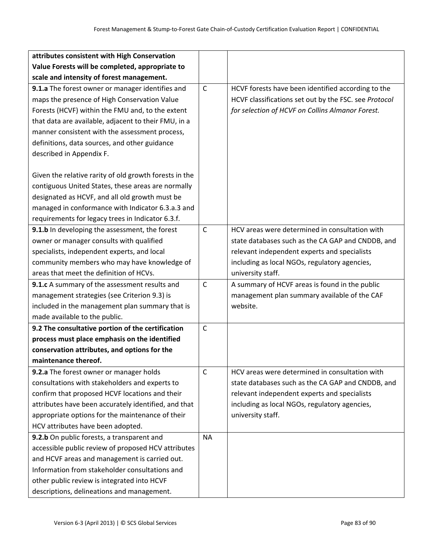| attributes consistent with High Conservation           |              |                                                       |
|--------------------------------------------------------|--------------|-------------------------------------------------------|
| Value Forests will be completed, appropriate to        |              |                                                       |
| scale and intensity of forest management.              |              |                                                       |
| 9.1.a The forest owner or manager identifies and       | $\mathsf{C}$ | HCVF forests have been identified according to the    |
| maps the presence of High Conservation Value           |              | HCVF classifications set out by the FSC. see Protocol |
| Forests (HCVF) within the FMU and, to the extent       |              | for selection of HCVF on Collins Almanor Forest.      |
| that data are available, adjacent to their FMU, in a   |              |                                                       |
| manner consistent with the assessment process,         |              |                                                       |
| definitions, data sources, and other guidance          |              |                                                       |
| described in Appendix F.                               |              |                                                       |
|                                                        |              |                                                       |
| Given the relative rarity of old growth forests in the |              |                                                       |
| contiguous United States, these areas are normally     |              |                                                       |
| designated as HCVF, and all old growth must be         |              |                                                       |
| managed in conformance with Indicator 6.3.a.3 and      |              |                                                       |
| requirements for legacy trees in Indicator 6.3.f.      |              |                                                       |
| 9.1.b In developing the assessment, the forest         | $\mathsf{C}$ | HCV areas were determined in consultation with        |
| owner or manager consults with qualified               |              | state databases such as the CA GAP and CNDDB, and     |
| specialists, independent experts, and local            |              | relevant independent experts and specialists          |
| community members who may have knowledge of            |              | including as local NGOs, regulatory agencies,         |
| areas that meet the definition of HCVs.                |              | university staff.                                     |
| 9.1.c A summary of the assessment results and          | $\mathsf{C}$ | A summary of HCVF areas is found in the public        |
| management strategies (see Criterion 9.3) is           |              | management plan summary available of the CAF          |
| included in the management plan summary that is        |              | website.                                              |
| made available to the public.                          |              |                                                       |
| 9.2 The consultative portion of the certification      | $\mathsf{C}$ |                                                       |
| process must place emphasis on the identified          |              |                                                       |
| conservation attributes, and options for the           |              |                                                       |
| maintenance thereof.                                   |              |                                                       |
| 9.2.a The forest owner or manager holds                | $\mathsf{C}$ | HCV areas were determined in consultation with        |
| consultations with stakeholders and experts to         |              | state databases such as the CA GAP and CNDDB, and     |
| confirm that proposed HCVF locations and their         |              | relevant independent experts and specialists          |
| attributes have been accurately identified, and that   |              | including as local NGOs, regulatory agencies,         |
| appropriate options for the maintenance of their       |              | university staff.                                     |
| HCV attributes have been adopted.                      |              |                                                       |
| 9.2.b On public forests, a transparent and             | <b>NA</b>    |                                                       |
| accessible public review of proposed HCV attributes    |              |                                                       |
| and HCVF areas and management is carried out.          |              |                                                       |
| Information from stakeholder consultations and         |              |                                                       |
| other public review is integrated into HCVF            |              |                                                       |
| descriptions, delineations and management.             |              |                                                       |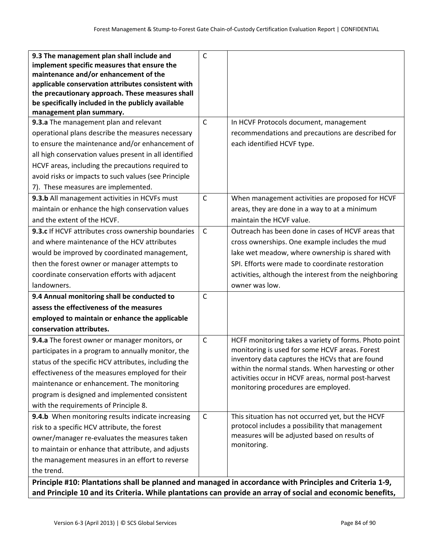| 9.3 The management plan shall include and                          | C            |                                                                                            |
|--------------------------------------------------------------------|--------------|--------------------------------------------------------------------------------------------|
| implement specific measures that ensure the                        |              |                                                                                            |
| maintenance and/or enhancement of the                              |              |                                                                                            |
| applicable conservation attributes consistent with                 |              |                                                                                            |
| the precautionary approach. These measures shall                   |              |                                                                                            |
| be specifically included in the publicly available                 |              |                                                                                            |
| management plan summary.<br>9.3.a The management plan and relevant | $\mathsf{C}$ | In HCVF Protocols document, management                                                     |
|                                                                    |              |                                                                                            |
| operational plans describe the measures necessary                  |              | recommendations and precautions are described for                                          |
| to ensure the maintenance and/or enhancement of                    |              | each identified HCVF type.                                                                 |
| all high conservation values present in all identified             |              |                                                                                            |
| HCVF areas, including the precautions required to                  |              |                                                                                            |
| avoid risks or impacts to such values (see Principle               |              |                                                                                            |
| 7). These measures are implemented.                                |              |                                                                                            |
| 9.3.b All management activities in HCVFs must                      | $\mathsf{C}$ | When management activities are proposed for HCVF                                           |
| maintain or enhance the high conservation values                   |              | areas, they are done in a way to at a minimum                                              |
| and the extent of the HCVF.                                        |              | maintain the HCVF value.                                                                   |
| 9.3.c If HCVF attributes cross ownership boundaries                | $\mathsf C$  | Outreach has been done in cases of HCVF areas that                                         |
| and where maintenance of the HCV attributes                        |              | cross ownerships. One example includes the mud                                             |
| would be improved by coordinated management,                       |              | lake wet meadow, where ownership is shared with                                            |
| then the forest owner or manager attempts to                       |              | SPI. Efforts were made to coordinate restoration                                           |
| coordinate conservation efforts with adjacent                      |              | activities, although the interest from the neighboring                                     |
| landowners.                                                        |              | owner was low.                                                                             |
| 9.4 Annual monitoring shall be conducted to                        | $\mathsf{C}$ |                                                                                            |
| assess the effectiveness of the measures                           |              |                                                                                            |
| employed to maintain or enhance the applicable                     |              |                                                                                            |
| conservation attributes.                                           |              |                                                                                            |
| 9.4.a The forest owner or manager monitors, or                     | $\mathsf{C}$ | HCFF monitoring takes a variety of forms. Photo point                                      |
| participates in a program to annually monitor, the                 |              | monitoring is used for some HCVF areas. Forest                                             |
| status of the specific HCV attributes, including the               |              | inventory data captures the HCVs that are found                                            |
| effectiveness of the measures employed for their                   |              | within the normal stands. When harvesting or other                                         |
| maintenance or enhancement. The monitoring                         |              | activities occur in HCVF areas, normal post-harvest<br>monitoring procedures are employed. |
| program is designed and implemented consistent                     |              |                                                                                            |
| with the requirements of Principle 8.                              |              |                                                                                            |
| 9.4.b When monitoring results indicate increasing                  | $\mathsf{C}$ | This situation has not occurred yet, but the HCVF                                          |
| risk to a specific HCV attribute, the forest                       |              | protocol includes a possibility that management                                            |
| owner/manager re-evaluates the measures taken                      |              | measures will be adjusted based on results of                                              |
| to maintain or enhance that attribute, and adjusts                 |              | monitoring.                                                                                |
| the management measures in an effort to reverse                    |              |                                                                                            |
| the trend.                                                         |              |                                                                                            |
|                                                                    |              |                                                                                            |

**Principle #10: Plantations shall be planned and managed in accordance with Principles and Criteria 1‐9,** and Principle 10 and its Criteria. While plantations can provide an array of social and economic benefits,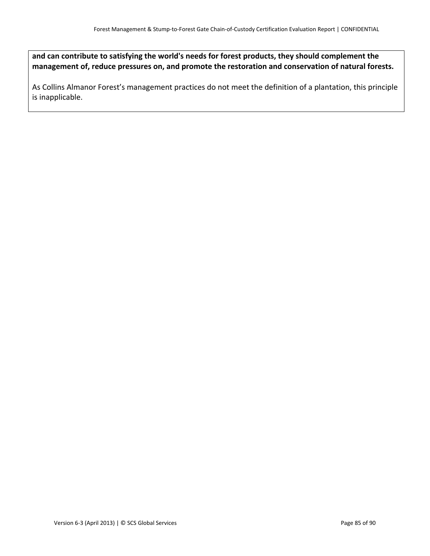**and can contribute to satisfying the world's needs for forest products, they should complement the management of, reduce pressures on, and promote the restoration and conservation of natural forests.**

As Collins Almanor Forest's management practices do not meet the definition of a plantation, this principle is inapplicable.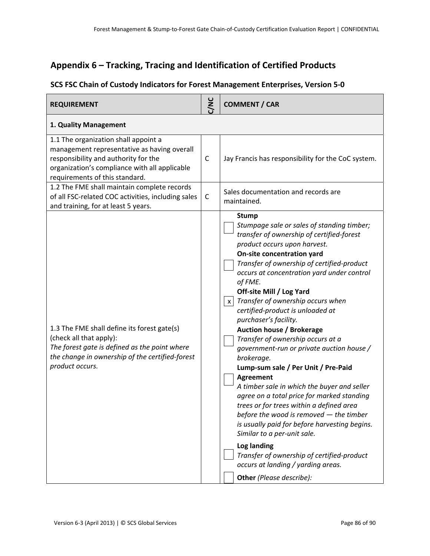## **Appendix 6 – Tracking, Tracing and Identification of Certified Products**

## **SCS FSC Chain of Custody Indicators for Forest Management Enterprises, Version 5‐0**

| <b>REQUIREMENT</b>                                                                                                                                                                                             | $\sum$      | <b>COMMENT / CAR</b>                                                                                                                                                                                                                                                                                                                                                                                                                                                                                                                                                                                                                                                                                                                                                                                                                                                                                                                                                                                                                        |
|----------------------------------------------------------------------------------------------------------------------------------------------------------------------------------------------------------------|-------------|---------------------------------------------------------------------------------------------------------------------------------------------------------------------------------------------------------------------------------------------------------------------------------------------------------------------------------------------------------------------------------------------------------------------------------------------------------------------------------------------------------------------------------------------------------------------------------------------------------------------------------------------------------------------------------------------------------------------------------------------------------------------------------------------------------------------------------------------------------------------------------------------------------------------------------------------------------------------------------------------------------------------------------------------|
| 1. Quality Management                                                                                                                                                                                          |             |                                                                                                                                                                                                                                                                                                                                                                                                                                                                                                                                                                                                                                                                                                                                                                                                                                                                                                                                                                                                                                             |
| 1.1 The organization shall appoint a<br>management representative as having overall<br>responsibility and authority for the<br>organization's compliance with all applicable<br>requirements of this standard. | $\mathsf C$ | Jay Francis has responsibility for the CoC system.                                                                                                                                                                                                                                                                                                                                                                                                                                                                                                                                                                                                                                                                                                                                                                                                                                                                                                                                                                                          |
| 1.2 The FME shall maintain complete records<br>of all FSC-related COC activities, including sales<br>and training, for at least 5 years.                                                                       | $\mathsf C$ | Sales documentation and records are<br>maintained.                                                                                                                                                                                                                                                                                                                                                                                                                                                                                                                                                                                                                                                                                                                                                                                                                                                                                                                                                                                          |
| 1.3 The FME shall define its forest gate(s)<br>(check all that apply):<br>The forest gate is defined as the point where<br>the change in ownership of the certified-forest<br>product occurs.                  |             | <b>Stump</b><br>Stumpage sale or sales of standing timber;<br>transfer of ownership of certified-forest<br>product occurs upon harvest.<br>On-site concentration yard<br>Transfer of ownership of certified-product<br>occurs at concentration yard under control<br>of FME.<br>Off-site Mill / Log Yard<br>Transfer of ownership occurs when<br>$\boldsymbol{\mathsf{x}}$<br>certified-product is unloaded at<br>purchaser's facility.<br><b>Auction house / Brokerage</b><br>Transfer of ownership occurs at a<br>government-run or private auction house /<br>brokerage.<br>Lump-sum sale / Per Unit / Pre-Paid<br><b>Agreement</b><br>A timber sale in which the buyer and seller<br>agree on a total price for marked standing<br>trees or for trees within a defined area<br>before the wood is removed $-$ the timber<br>is usually paid for before harvesting begins.<br>Similar to a per-unit sale.<br>Log landing<br>Transfer of ownership of certified-product<br>occurs at landing / yarding areas.<br>Other (Please describe): |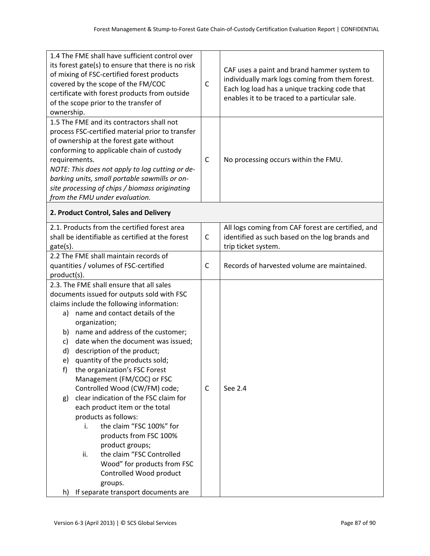| 1.4 The FME shall have sufficient control over<br>its forest gate(s) to ensure that there is no risk<br>of mixing of FSC-certified forest products<br>covered by the scope of the FM/COC<br>certificate with forest products from outside<br>of the scope prior to the transfer of |                                                                                      | $\mathsf{C}$ | CAF uses a paint and brand hammer system to<br>individually mark logs coming from them forest.<br>Each log load has a unique tracking code that<br>enables it to be traced to a particular sale. |  |  |
|------------------------------------------------------------------------------------------------------------------------------------------------------------------------------------------------------------------------------------------------------------------------------------|--------------------------------------------------------------------------------------|--------------|--------------------------------------------------------------------------------------------------------------------------------------------------------------------------------------------------|--|--|
| ownership.                                                                                                                                                                                                                                                                         |                                                                                      |              |                                                                                                                                                                                                  |  |  |
|                                                                                                                                                                                                                                                                                    | 1.5 The FME and its contractors shall not                                            |              |                                                                                                                                                                                                  |  |  |
|                                                                                                                                                                                                                                                                                    | process FSC-certified material prior to transfer                                     |              | No processing occurs within the FMU.                                                                                                                                                             |  |  |
|                                                                                                                                                                                                                                                                                    | of ownership at the forest gate without<br>conforming to applicable chain of custody |              |                                                                                                                                                                                                  |  |  |
|                                                                                                                                                                                                                                                                                    | requirements.                                                                        | $\mathsf C$  |                                                                                                                                                                                                  |  |  |
|                                                                                                                                                                                                                                                                                    | NOTE: This does not apply to log cutting or de-                                      |              |                                                                                                                                                                                                  |  |  |
|                                                                                                                                                                                                                                                                                    | barking units, small portable sawmills or on-                                        |              |                                                                                                                                                                                                  |  |  |
|                                                                                                                                                                                                                                                                                    | site processing of chips / biomass originating                                       |              |                                                                                                                                                                                                  |  |  |
|                                                                                                                                                                                                                                                                                    | from the FMU under evaluation.                                                       |              |                                                                                                                                                                                                  |  |  |
| 2. Product Control, Sales and Delivery                                                                                                                                                                                                                                             |                                                                                      |              |                                                                                                                                                                                                  |  |  |
|                                                                                                                                                                                                                                                                                    | 2.1. Products from the certified forest area                                         |              | All logs coming from CAF forest are certified, and                                                                                                                                               |  |  |
|                                                                                                                                                                                                                                                                                    | shall be identifiable as certified at the forest                                     | $\mathsf{C}$ | identified as such based on the log brands and                                                                                                                                                   |  |  |
| gate(s).<br>2.2 The FME shall maintain records of                                                                                                                                                                                                                                  |                                                                                      |              | trip ticket system.                                                                                                                                                                              |  |  |
|                                                                                                                                                                                                                                                                                    | quantities / volumes of FSC-certified                                                | C            | Records of harvested volume are maintained.                                                                                                                                                      |  |  |
| product(s).                                                                                                                                                                                                                                                                        |                                                                                      |              |                                                                                                                                                                                                  |  |  |
| 2.3. The FME shall ensure that all sales                                                                                                                                                                                                                                           |                                                                                      |              |                                                                                                                                                                                                  |  |  |
| documents issued for outputs sold with FSC                                                                                                                                                                                                                                         |                                                                                      |              |                                                                                                                                                                                                  |  |  |
| claims include the following information:                                                                                                                                                                                                                                          |                                                                                      |              |                                                                                                                                                                                                  |  |  |
| a)                                                                                                                                                                                                                                                                                 | name and contact details of the                                                      |              |                                                                                                                                                                                                  |  |  |
|                                                                                                                                                                                                                                                                                    | organization;                                                                        |              |                                                                                                                                                                                                  |  |  |
| b)                                                                                                                                                                                                                                                                                 | name and address of the customer;                                                    |              |                                                                                                                                                                                                  |  |  |
| c)                                                                                                                                                                                                                                                                                 | date when the document was issued;                                                   |              |                                                                                                                                                                                                  |  |  |
| d)<br>e)                                                                                                                                                                                                                                                                           | description of the product;<br>quantity of the products sold;                        |              |                                                                                                                                                                                                  |  |  |
| f)                                                                                                                                                                                                                                                                                 | the organization's FSC Forest                                                        |              |                                                                                                                                                                                                  |  |  |
|                                                                                                                                                                                                                                                                                    | Management (FM/COC) or FSC                                                           |              |                                                                                                                                                                                                  |  |  |
|                                                                                                                                                                                                                                                                                    | Controlled Wood (CW/FM) code;                                                        | $\mathsf C$  | See 2.4                                                                                                                                                                                          |  |  |
| g)                                                                                                                                                                                                                                                                                 | clear indication of the FSC claim for                                                |              |                                                                                                                                                                                                  |  |  |
|                                                                                                                                                                                                                                                                                    | each product item or the total                                                       |              |                                                                                                                                                                                                  |  |  |
|                                                                                                                                                                                                                                                                                    | products as follows:                                                                 |              |                                                                                                                                                                                                  |  |  |
|                                                                                                                                                                                                                                                                                    | the claim "FSC 100%" for<br>i.                                                       |              |                                                                                                                                                                                                  |  |  |
|                                                                                                                                                                                                                                                                                    | products from FSC 100%                                                               |              |                                                                                                                                                                                                  |  |  |
|                                                                                                                                                                                                                                                                                    | product groups;                                                                      |              |                                                                                                                                                                                                  |  |  |
|                                                                                                                                                                                                                                                                                    | the claim "FSC Controlled<br>ii.                                                     |              |                                                                                                                                                                                                  |  |  |
|                                                                                                                                                                                                                                                                                    | Wood" for products from FSC                                                          |              |                                                                                                                                                                                                  |  |  |
|                                                                                                                                                                                                                                                                                    | Controlled Wood product                                                              |              |                                                                                                                                                                                                  |  |  |
|                                                                                                                                                                                                                                                                                    | groups.                                                                              |              |                                                                                                                                                                                                  |  |  |
| h)                                                                                                                                                                                                                                                                                 | If separate transport documents are                                                  |              |                                                                                                                                                                                                  |  |  |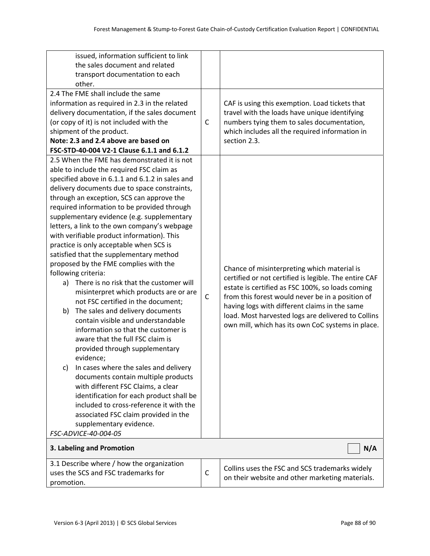| issued, information sufficient to link          |              |                                                       |  |  |
|-------------------------------------------------|--------------|-------------------------------------------------------|--|--|
| the sales document and related                  |              |                                                       |  |  |
| transport documentation to each                 |              |                                                       |  |  |
| other.                                          |              |                                                       |  |  |
| 2.4 The FME shall include the same              |              |                                                       |  |  |
| information as required in 2.3 in the related   |              | CAF is using this exemption. Load tickets that        |  |  |
| delivery documentation, if the sales document   | $\mathsf{C}$ | travel with the loads have unique identifying         |  |  |
| (or copy of it) is not included with the        |              | numbers tying them to sales documentation,            |  |  |
| shipment of the product.                        |              | which includes all the required information in        |  |  |
| Note: 2.3 and 2.4 above are based on            |              | section 2.3.                                          |  |  |
| FSC-STD-40-004 V2-1 Clause 6.1.1 and 6.1.2      |              |                                                       |  |  |
| 2.5 When the FME has demonstrated it is not     |              |                                                       |  |  |
| able to include the required FSC claim as       |              |                                                       |  |  |
| specified above in 6.1.1 and 6.1.2 in sales and |              |                                                       |  |  |
| delivery documents due to space constraints,    |              |                                                       |  |  |
| through an exception, SCS can approve the       |              |                                                       |  |  |
| required information to be provided through     |              |                                                       |  |  |
| supplementary evidence (e.g. supplementary      |              |                                                       |  |  |
| letters, a link to the own company's webpage    |              |                                                       |  |  |
| with verifiable product information). This      |              | Chance of misinterpreting which material is           |  |  |
| practice is only acceptable when SCS is         |              |                                                       |  |  |
| satisfied that the supplementary method         |              |                                                       |  |  |
| proposed by the FME complies with the           |              |                                                       |  |  |
| following criteria:                             |              | certified or not certified is legible. The entire CAF |  |  |
| There is no risk that the customer will<br>a)   |              | estate is certified as FSC 100%, so loads coming      |  |  |
| misinterpret which products are or are          | $\mathsf{C}$ | from this forest would never be in a position of      |  |  |
| not FSC certified in the document;              |              | having logs with different claims in the same         |  |  |
| The sales and delivery documents<br>b)          |              | load. Most harvested logs are delivered to Collins    |  |  |
| contain visible and understandable              |              | own mill, which has its own CoC systems in place.     |  |  |
| information so that the customer is             |              |                                                       |  |  |
| aware that the full FSC claim is                |              |                                                       |  |  |
| provided through supplementary                  |              |                                                       |  |  |
| evidence;                                       |              |                                                       |  |  |
| In cases where the sales and delivery<br>c)     |              |                                                       |  |  |
| documents contain multiple products             |              |                                                       |  |  |
| with different FSC Claims, a clear              |              |                                                       |  |  |
| identification for each product shall be        |              |                                                       |  |  |
| included to cross-reference it with the         |              |                                                       |  |  |
| associated FSC claim provided in the            |              |                                                       |  |  |
| supplementary evidence.                         |              |                                                       |  |  |
| FSC-ADVICE-40-004-05                            |              |                                                       |  |  |
| N/A<br>3. Labeling and Promotion                |              |                                                       |  |  |
| 3.1 Describe where / how the organization       |              |                                                       |  |  |
| uses the SCS and FSC trademarks for             |              | Collins uses the FSC and SCS trademarks widely        |  |  |
| promotion.                                      |              | on their website and other marketing materials.       |  |  |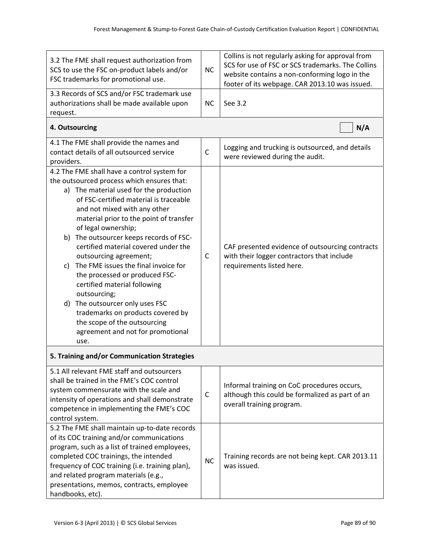| 3.2 The FME shall request authorization from<br>SCS to use the FSC on-product labels and/or<br>FSC trademarks for promotional use.                                                                                                                                                                                                                                                                                                                                                                                                                                                                                                                                                 |              | Collins is not regularly asking for approval from<br>SCS for use of FSC or SCS trademarks. The Collins<br>website contains a non-conforming logo in the<br>footer of its webpage. CAR 2013.10 was issued. |  |  |  |
|------------------------------------------------------------------------------------------------------------------------------------------------------------------------------------------------------------------------------------------------------------------------------------------------------------------------------------------------------------------------------------------------------------------------------------------------------------------------------------------------------------------------------------------------------------------------------------------------------------------------------------------------------------------------------------|--------------|-----------------------------------------------------------------------------------------------------------------------------------------------------------------------------------------------------------|--|--|--|
| 3.3 Records of SCS and/or FSC trademark use<br>authorizations shall be made available upon<br>request.                                                                                                                                                                                                                                                                                                                                                                                                                                                                                                                                                                             |              | See 3.2                                                                                                                                                                                                   |  |  |  |
| 4. Outsourcing                                                                                                                                                                                                                                                                                                                                                                                                                                                                                                                                                                                                                                                                     |              | N/A                                                                                                                                                                                                       |  |  |  |
| 4.1 The FME shall provide the names and<br>contact details of all outsourced service<br>providers.                                                                                                                                                                                                                                                                                                                                                                                                                                                                                                                                                                                 | $\mathsf{C}$ | Logging and trucking is outsourced, and details<br>were reviewed during the audit.                                                                                                                        |  |  |  |
| 4.2 The FME shall have a control system for<br>the outsourced process which ensures that:<br>a) The material used for the production<br>of FSC-certified material is traceable<br>and not mixed with any other<br>material prior to the point of transfer<br>of legal ownership;<br>b) The outsourcer keeps records of FSC-<br>certified material covered under the<br>outsourcing agreement;<br>The FME issues the final invoice for<br>C)<br>the processed or produced FSC-<br>certified material following<br>outsourcing;<br>d) The outsourcer only uses FSC<br>trademarks on products covered by<br>the scope of the outsourcing<br>agreement and not for promotional<br>use. | $\mathsf{C}$ | CAF presented evidence of outsourcing contracts<br>with their logger contractors that include<br>requirements listed here.                                                                                |  |  |  |
| 5. Training and/or Communication Strategies                                                                                                                                                                                                                                                                                                                                                                                                                                                                                                                                                                                                                                        |              |                                                                                                                                                                                                           |  |  |  |
| 5.1 All relevant FME staff and outsourcers<br>shall be trained in the FME's COC control<br>system commensurate with the scale and<br>intensity of operations and shall demonstrate<br>competence in implementing the FME's COC<br>control system.                                                                                                                                                                                                                                                                                                                                                                                                                                  |              | Informal training on CoC procedures occurs,<br>although this could be formalized as part of an<br>overall training program.                                                                               |  |  |  |
| 5.2 The FME shall maintain up-to-date records<br>of its COC training and/or communications<br>program, such as a list of trained employees,<br>completed COC trainings, the intended<br>frequency of COC training (i.e. training plan),<br>and related program materials (e.g.,<br>presentations, memos, contracts, employee<br>handbooks, etc).                                                                                                                                                                                                                                                                                                                                   |              | Training records are not being kept. CAR 2013.11<br>was issued.                                                                                                                                           |  |  |  |